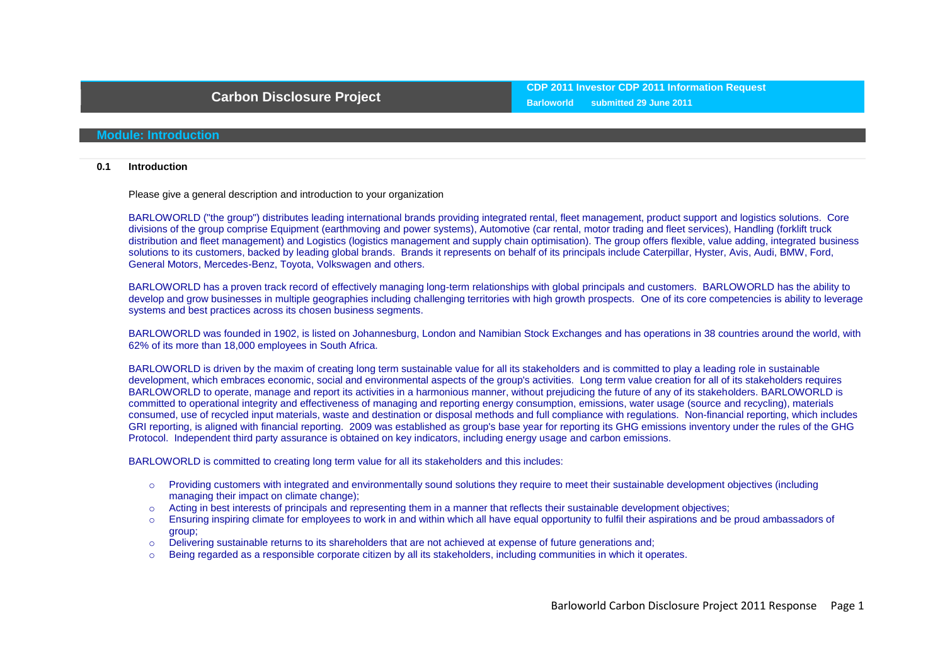## **Module: Introduction**

#### **0.1 Introduction**

Please give a general description and introduction to your organization

BARLOWORLD ("the group") distributes leading international brands providing integrated rental, fleet management, product support and logistics solutions. Core divisions of the group comprise Equipment (earthmoving and power systems), Automotive (car rental, motor trading and fleet services), Handling (forklift truck distribution and fleet management) and Logistics (logistics management and supply chain optimisation). The group offers flexible, value adding, integrated business solutions to its customers, backed by leading global brands. Brands it represents on behalf of its principals include Caterpillar, Hyster, Avis, Audi, BMW, Ford, General Motors, Mercedes-Benz, Toyota, Volkswagen and others.

BARLOWORLD has a proven track record of effectively managing long-term relationships with global principals and customers. BARLOWORLD has the ability to develop and grow businesses in multiple geographies including challenging territories with high growth prospects. One of its core competencies is ability to leverage systems and best practices across its chosen business segments.

BARLOWORLD was founded in 1902, is listed on Johannesburg, London and Namibian Stock Exchanges and has operations in 38 countries around the world, with 62% of its more than 18,000 employees in South Africa.

BARLOWORLD is driven by the maxim of creating long term sustainable value for all its stakeholders and is committed to play a leading role in sustainable development, which embraces economic, social and environmental aspects of the group's activities. Long term value creation for all of its stakeholders requires BARLOWORLD to operate, manage and report its activities in a harmonious manner, without prejudicing the future of any of its stakeholders. BARLOWORLD is committed to operational integrity and effectiveness of managing and reporting energy consumption, emissions, water usage (source and recycling), materials consumed, use of recycled input materials, waste and destination or disposal methods and full compliance with regulations. Non-financial reporting, which includes GRI reporting, is aligned with financial reporting. 2009 was established as group's base year for reporting its GHG emissions inventory under the rules of the GHG Protocol. Independent third party assurance is obtained on key indicators, including energy usage and carbon emissions.

BARLOWORLD is committed to creating long term value for all its stakeholders and this includes:

- o Providing customers with integrated and environmentally sound solutions they require to meet their sustainable development objectives (including managing their impact on climate change);
- o Acting in best interests of principals and representing them in a manner that reflects their sustainable development objectives;
- o Ensuring inspiring climate for employees to work in and within which all have equal opportunity to fulfil their aspirations and be proud ambassadors of group;
- o Delivering sustainable returns to its shareholders that are not achieved at expense of future generations and;
- Being regarded as a responsible corporate citizen by all its stakeholders, including communities in which it operates.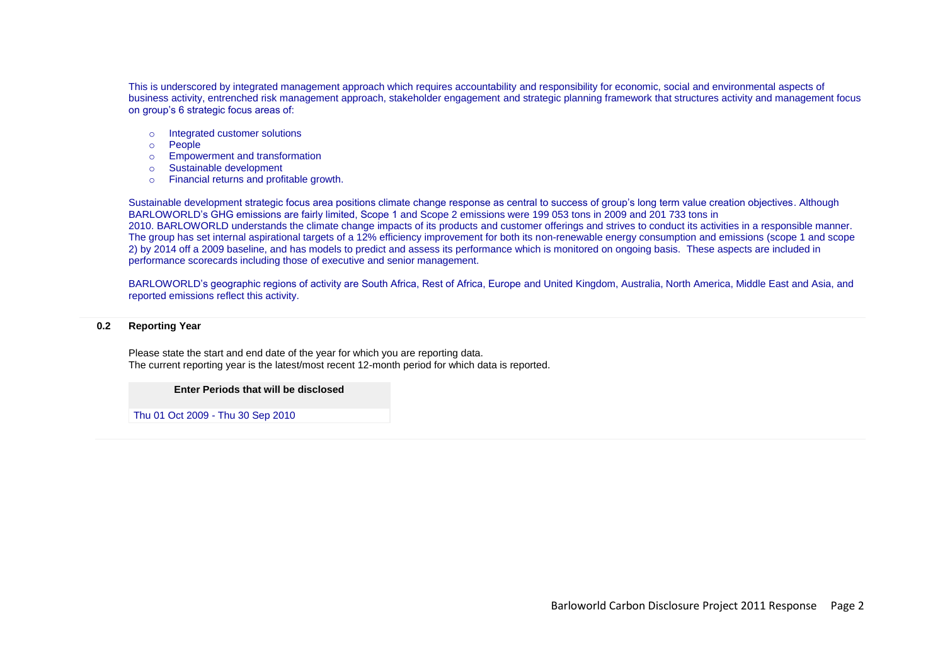This is underscored by integrated management approach which requires accountability and responsibility for economic, social and environmental aspects of business activity, entrenched risk management approach, stakeholder engagement and strategic planning framework that structures activity and management focus on group"s 6 strategic focus areas of:

- o Integrated customer solutions
- o People
- o Empowerment and transformation
- o Sustainable development
- o Financial returns and profitable growth.

Sustainable development strategic focus area positions climate change response as central to success of group's long term value creation objectives. Although BARLOWORLD"s GHG emissions are fairly limited, Scope 1 and Scope 2 emissions were 199 053 tons in 2009 and 201 733 tons in 2010. BARLOWORLD understands the climate change impacts of its products and customer offerings and strives to conduct its activities in a responsible manner. The group has set internal aspirational targets of a 12% efficiency improvement for both its non-renewable energy consumption and emissions (scope 1 and scope 2) by 2014 off a 2009 baseline, and has models to predict and assess its performance which is monitored on ongoing basis. These aspects are included in performance scorecards including those of executive and senior management.

BARLOWORLD"s geographic regions of activity are South Africa, Rest of Africa, Europe and United Kingdom, Australia, North America, Middle East and Asia, and reported emissions reflect this activity.

#### **0.2 Reporting Year**

Please state the start and end date of the year for which you are reporting data. The current reporting year is the latest/most recent 12-month period for which data is reported.

#### **Enter Periods that will be disclosed**

Thu 01 Oct 2009 - Thu 30 Sep 2010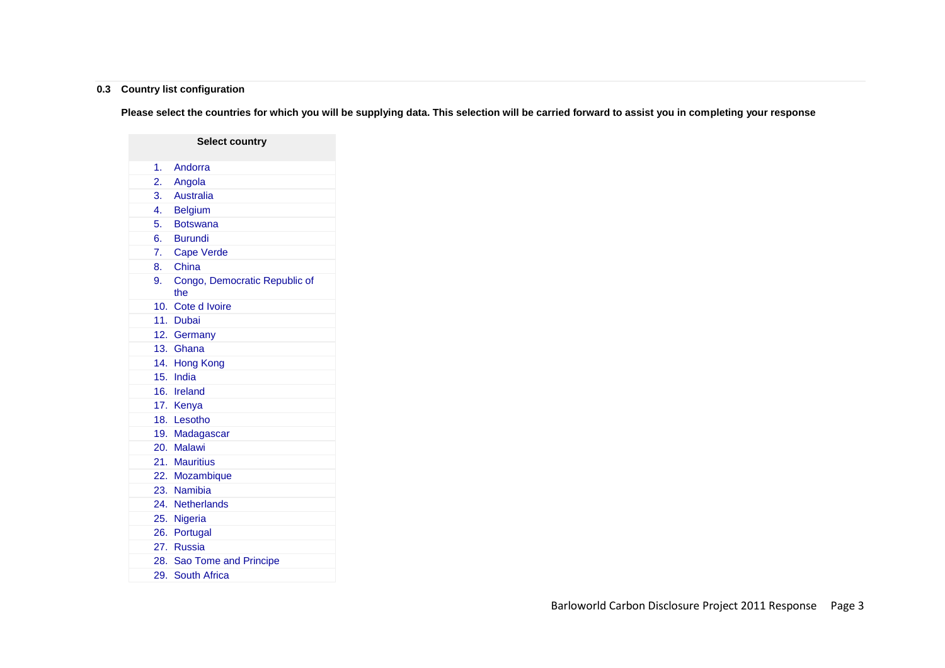## **0.3 Country list configuration**

**Please select the countries for which you will be supplying data. This selection will be carried forward to assist you in completing your response**

|    | <b>Select country</b>                |
|----|--------------------------------------|
| 1. | Andorra                              |
| 2. | Angola                               |
| 3. | Australia                            |
|    | 4. Belgium                           |
|    | 5. Botswana                          |
|    | 6. Burundi                           |
|    | 7. Cape Verde                        |
|    | 8. China                             |
| 9. | Congo, Democratic Republic of<br>the |
|    | 10. Cote d Ivoire                    |
|    | 11. Dubai                            |
|    | 12. Germany                          |
|    | 13. Ghana                            |
|    | 14. Hong Kong                        |
|    | 15. India                            |
|    | 16. Ireland                          |
|    | 17. Kenya                            |
|    | 18. Lesotho                          |
|    | 19. Madagascar                       |
|    | 20. Malawi                           |
|    | 21. Mauritius                        |
|    | 22. Mozambique                       |
|    | 23. Namibia                          |
|    | 24. Netherlands                      |
|    | 25. Nigeria                          |
|    | 26. Portugal                         |
|    | 27. Russia                           |
|    | 28. Sao Tome and Principe            |
|    | 29. South Africa                     |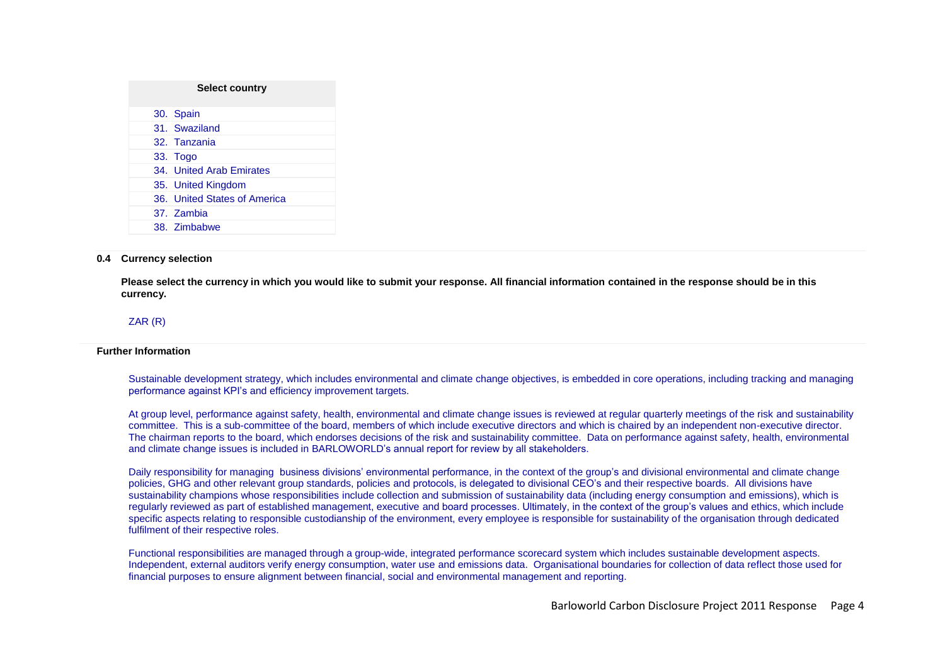| <b>Select country</b> |                              |  |  |  |  |
|-----------------------|------------------------------|--|--|--|--|
|                       | 30. Spain                    |  |  |  |  |
|                       | 31. Swaziland                |  |  |  |  |
|                       | 32. Tanzania                 |  |  |  |  |
|                       | 33. Togo                     |  |  |  |  |
|                       | 34. United Arab Emirates     |  |  |  |  |
|                       | 35. United Kingdom           |  |  |  |  |
|                       | 36. United States of America |  |  |  |  |
|                       | 37. Zambia                   |  |  |  |  |
|                       | 38. Zimbabwe                 |  |  |  |  |

#### **0.4 Currency selection**

**Please select the currency in which you would like to submit your response. All financial information contained in the response should be in this currency.**

### ZAR (R)

#### **Further Information**

Sustainable development strategy, which includes environmental and climate change objectives, is embedded in core operations, including tracking and managing performance against KPI"s and efficiency improvement targets.

At group level, performance against safety, health, environmental and climate change issues is reviewed at regular quarterly meetings of the risk and sustainability committee. This is a sub-committee of the board, members of which include executive directors and which is chaired by an independent non-executive director. The chairman reports to the board, which endorses decisions of the risk and sustainability committee. Data on performance against safety, health, environmental and climate change issues is included in BARLOWORLD"s annual report for review by all stakeholders.

Daily responsibility for managing business divisions' environmental performance, in the context of the group's and divisional environmental and climate change policies, GHG and other relevant group standards, policies and protocols, is delegated to divisional CEO"s and their respective boards. All divisions have sustainability champions whose responsibilities include collection and submission of sustainability data (including energy consumption and emissions), which is regularly reviewed as part of established management, executive and board processes. Ultimately, in the context of the group"s values and ethics, which include specific aspects relating to responsible custodianship of the environment, every employee is responsible for sustainability of the organisation through dedicated fulfilment of their respective roles.

Functional responsibilities are managed through a group-wide, integrated performance scorecard system which includes sustainable development aspects. Independent, external auditors verify energy consumption, water use and emissions data. Organisational boundaries for collection of data reflect those used for financial purposes to ensure alignment between financial, social and environmental management and reporting.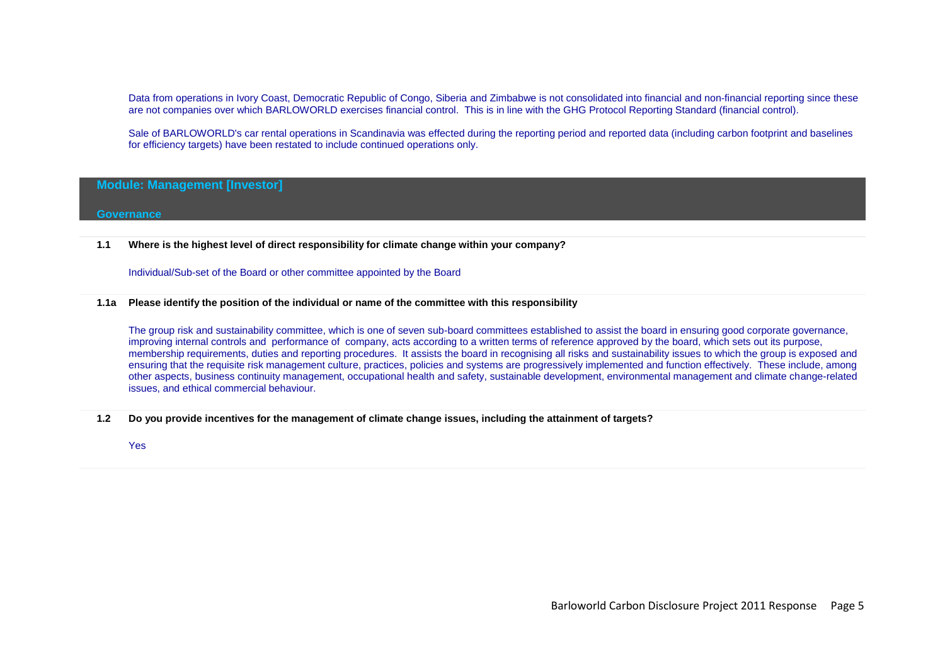Data from operations in Ivory Coast, Democratic Republic of Congo, Siberia and Zimbabwe is not consolidated into financial and non-financial reporting since these are not companies over which BARLOWORLD exercises financial control. This is in line with the GHG Protocol Reporting Standard (financial control).

Sale of BARLOWORLD's car rental operations in Scandinavia was effected during the reporting period and reported data (including carbon footprint and baselines for efficiency targets) have been restated to include continued operations only.

## **Module: Management [Investor]**

#### **Governance**

**1.1 Where is the highest level of direct responsibility for climate change within your company?**

Individual/Sub-set of the Board or other committee appointed by the Board

#### **1.1a Please identify the position of the individual or name of the committee with this responsibility**

The group risk and sustainability committee, which is one of seven sub-board committees established to assist the board in ensuring good corporate governance, improving internal controls and performance of company, acts according to a written terms of reference approved by the board, which sets out its purpose, membership requirements, duties and reporting procedures. It assists the board in recognising all risks and sustainability issues to which the group is exposed and ensuring that the requisite risk management culture, practices, policies and systems are progressively implemented and function effectively. These include, among other aspects, business continuity management, occupational health and safety, sustainable development, environmental management and climate change-related issues, and ethical commercial behaviour.

**1.2 Do you provide incentives for the management of climate change issues, including the attainment of targets?**

Yes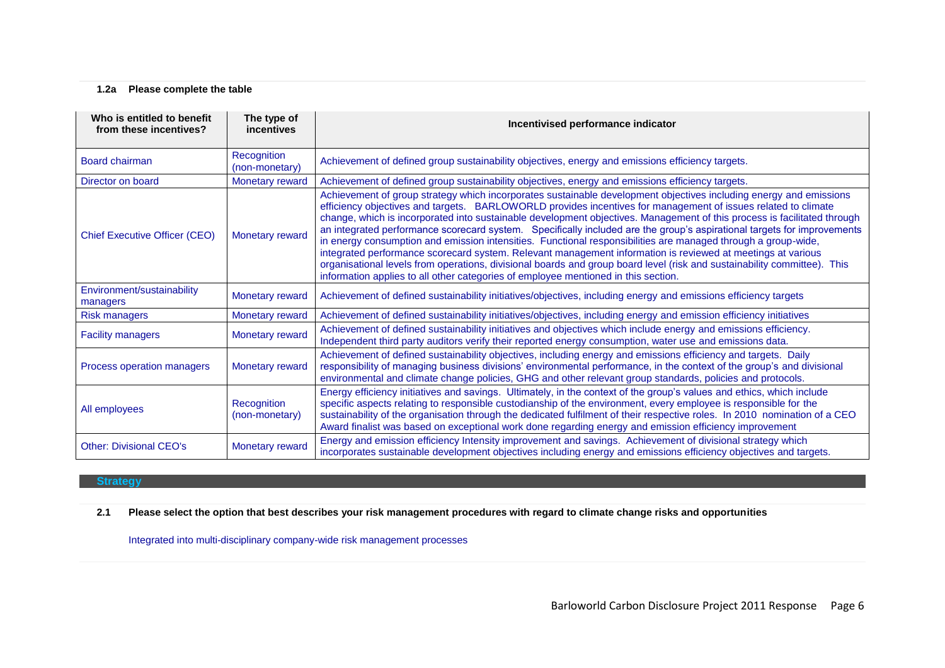## **1.2a Please complete the table**

| Who is entitled to benefit<br>from these incentives? | The type of<br>incentives     | Incentivised performance indicator                                                                                                                                                                                                                                                                                                                                                                                                                                                                                                                                                                                                                                                                                                                                                                                                                                                                                                           |  |
|------------------------------------------------------|-------------------------------|----------------------------------------------------------------------------------------------------------------------------------------------------------------------------------------------------------------------------------------------------------------------------------------------------------------------------------------------------------------------------------------------------------------------------------------------------------------------------------------------------------------------------------------------------------------------------------------------------------------------------------------------------------------------------------------------------------------------------------------------------------------------------------------------------------------------------------------------------------------------------------------------------------------------------------------------|--|
| Board chairman                                       | Recognition<br>(non-monetary) | Achievement of defined group sustainability objectives, energy and emissions efficiency targets.                                                                                                                                                                                                                                                                                                                                                                                                                                                                                                                                                                                                                                                                                                                                                                                                                                             |  |
| Director on board                                    | Monetary reward               | Achievement of defined group sustainability objectives, energy and emissions efficiency targets.                                                                                                                                                                                                                                                                                                                                                                                                                                                                                                                                                                                                                                                                                                                                                                                                                                             |  |
| <b>Chief Executive Officer (CEO)</b>                 | Monetary reward               | Achievement of group strategy which incorporates sustainable development objectives including energy and emissions<br>efficiency objectives and targets. BARLOWORLD provides incentives for management of issues related to climate<br>change, which is incorporated into sustainable development objectives. Management of this process is facilitated through<br>an integrated performance scorecard system. Specifically included are the group's aspirational targets for improvements<br>in energy consumption and emission intensities. Functional responsibilities are managed through a group-wide,<br>integrated performance scorecard system. Relevant management information is reviewed at meetings at various<br>organisational levels from operations, divisional boards and group board level (risk and sustainability committee). This<br>information applies to all other categories of employee mentioned in this section. |  |
| Environment/sustainability<br>managers               | Monetary reward               | Achievement of defined sustainability initiatives/objectives, including energy and emissions efficiency targets                                                                                                                                                                                                                                                                                                                                                                                                                                                                                                                                                                                                                                                                                                                                                                                                                              |  |
| <b>Risk managers</b>                                 | Monetary reward               | Achievement of defined sustainability initiatives/objectives, including energy and emission efficiency initiatives                                                                                                                                                                                                                                                                                                                                                                                                                                                                                                                                                                                                                                                                                                                                                                                                                           |  |
| <b>Facility managers</b>                             | Monetary reward               | Achievement of defined sustainability initiatives and objectives which include energy and emissions efficiency.<br>Independent third party auditors verify their reported energy consumption, water use and emissions data.                                                                                                                                                                                                                                                                                                                                                                                                                                                                                                                                                                                                                                                                                                                  |  |
| Process operation managers                           | Monetary reward               | Achievement of defined sustainability objectives, including energy and emissions efficiency and targets. Daily<br>responsibility of managing business divisions' environmental performance, in the context of the group's and divisional<br>environmental and climate change policies, GHG and other relevant group standards, policies and protocols.                                                                                                                                                                                                                                                                                                                                                                                                                                                                                                                                                                                       |  |
| All employees                                        | Recognition<br>(non-monetary) | Energy efficiency initiatives and savings. Ultimately, in the context of the group's values and ethics, which include<br>specific aspects relating to responsible custodianship of the environment, every employee is responsible for the<br>sustainability of the organisation through the dedicated fulfilment of their respective roles. In 2010 nomination of a CEO<br>Award finalist was based on exceptional work done regarding energy and emission efficiency improvement                                                                                                                                                                                                                                                                                                                                                                                                                                                            |  |
| <b>Other: Divisional CEO's</b>                       | Monetary reward               | Energy and emission efficiency Intensity improvement and savings. Achievement of divisional strategy which<br>incorporates sustainable development objectives including energy and emissions efficiency objectives and targets.                                                                                                                                                                                                                                                                                                                                                                                                                                                                                                                                                                                                                                                                                                              |  |

### **Strategy**

**2.1 Please select the option that best describes your risk management procedures with regard to climate change risks and opportunities**

Integrated into multi-disciplinary company-wide risk management processes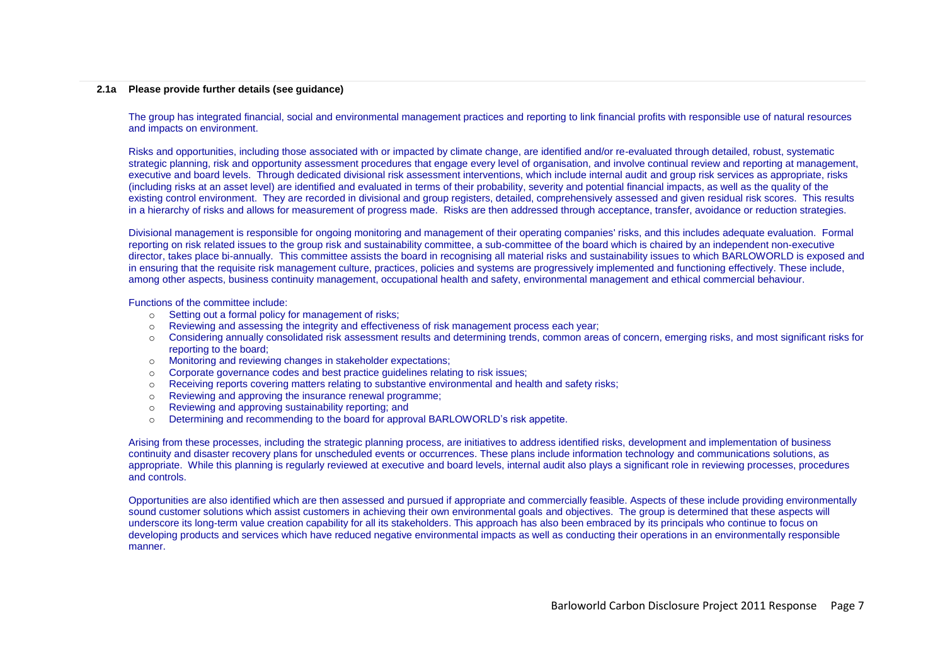#### **2.1a Please provide further details (see guidance)**

The group has integrated financial, social and environmental management practices and reporting to link financial profits with responsible use of natural resources and impacts on environment.

Risks and opportunities, including those associated with or impacted by climate change, are identified and/or re-evaluated through detailed, robust, systematic strategic planning, risk and opportunity assessment procedures that engage every level of organisation, and involve continual review and reporting at management, executive and board levels. Through dedicated divisional risk assessment interventions, which include internal audit and group risk services as appropriate, risks (including risks at an asset level) are identified and evaluated in terms of their probability, severity and potential financial impacts, as well as the quality of the existing control environment. They are recorded in divisional and group registers, detailed, comprehensively assessed and given residual risk scores. This results in a hierarchy of risks and allows for measurement of progress made. Risks are then addressed through acceptance, transfer, avoidance or reduction strategies.

Divisional management is responsible for ongoing monitoring and management of their operating companies' risks, and this includes adequate evaluation. Formal reporting on risk related issues to the group risk and sustainability committee, a sub-committee of the board which is chaired by an independent non-executive director, takes place bi-annually. This committee assists the board in recognising all material risks and sustainability issues to which BARLOWORLD is exposed and in ensuring that the requisite risk management culture, practices, policies and systems are progressively implemented and functioning effectively. These include, among other aspects, business continuity management, occupational health and safety, environmental management and ethical commercial behaviour.

Functions of the committee include:

- o Setting out a formal policy for management of risks;
- o Reviewing and assessing the integrity and effectiveness of risk management process each year;
- o Considering annually consolidated risk assessment results and determining trends, common areas of concern, emerging risks, and most significant risks for reporting to the board;
- o Monitoring and reviewing changes in stakeholder expectations;
- o Corporate governance codes and best practice guidelines relating to risk issues;
- o Receiving reports covering matters relating to substantive environmental and health and safety risks;
- o Reviewing and approving the insurance renewal programme;
- o Reviewing and approving sustainability reporting; and
- o Determining and recommending to the board for approval BARLOWORLD"s risk appetite.

Arising from these processes, including the strategic planning process, are initiatives to address identified risks, development and implementation of business continuity and disaster recovery plans for unscheduled events or occurrences. These plans include information technology and communications solutions, as appropriate. While this planning is regularly reviewed at executive and board levels, internal audit also plays a significant role in reviewing processes, procedures and controls.

Opportunities are also identified which are then assessed and pursued if appropriate and commercially feasible. Aspects of these include providing environmentally sound customer solutions which assist customers in achieving their own environmental goals and objectives. The group is determined that these aspects will underscore its long-term value creation capability for all its stakeholders. This approach has also been embraced by its principals who continue to focus on developing products and services which have reduced negative environmental impacts as well as conducting their operations in an environmentally responsible manner.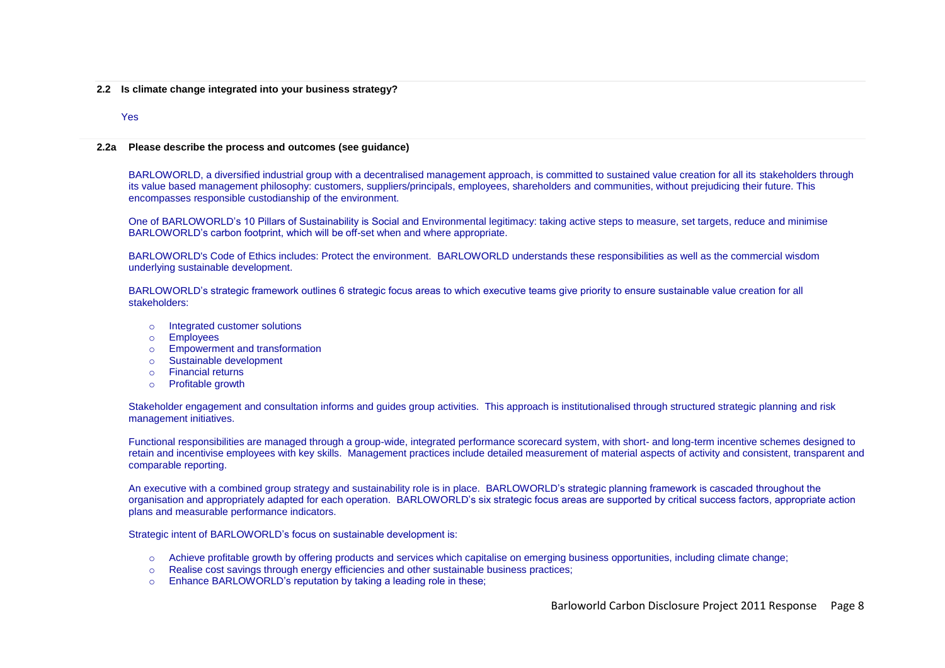**2.2 Is climate change integrated into your business strategy?**

#### Yes

#### **2.2a Please describe the process and outcomes (see guidance)**

BARLOWORLD, a diversified industrial group with a decentralised management approach, is committed to sustained value creation for all its stakeholders through its value based management philosophy: customers, suppliers/principals, employees, shareholders and communities, without prejudicing their future. This encompasses responsible custodianship of the environment.

One of BARLOWORLD"s 10 Pillars of Sustainability is Social and Environmental legitimacy: taking active steps to measure, set targets, reduce and minimise BARLOWORLD"s carbon footprint, which will be off-set when and where appropriate.

BARLOWORLD's Code of Ethics includes: Protect the environment. BARLOWORLD understands these responsibilities as well as the commercial wisdom underlying sustainable development.

BARLOWORLD"s strategic framework outlines 6 strategic focus areas to which executive teams give priority to ensure sustainable value creation for all stakeholders:

- Integrated customer solutions
- o Employees
- o Empowerment and transformation
- o Sustainable development
- o Financial returns
- o Profitable growth

Stakeholder engagement and consultation informs and guides group activities. This approach is institutionalised through structured strategic planning and risk management initiatives.

Functional responsibilities are managed through a group-wide, integrated performance scorecard system, with short- and long-term incentive schemes designed to retain and incentivise employees with key skills. Management practices include detailed measurement of material aspects of activity and consistent, transparent and comparable reporting.

An executive with a combined group strategy and sustainability role is in place. BARLOWORLD"s strategic planning framework is cascaded throughout the organisation and appropriately adapted for each operation. BARLOWORLD"s six strategic focus areas are supported by critical success factors, appropriate action plans and measurable performance indicators.

Strategic intent of BARLOWORLD"s focus on sustainable development is:

- o Achieve profitable growth by offering products and services which capitalise on emerging business opportunities, including climate change;
- o Realise cost savings through energy efficiencies and other sustainable business practices;
- o Enhance BARLOWORLD"s reputation by taking a leading role in these;

Barloworld Carbon Disclosure Project 2011 Response Page 8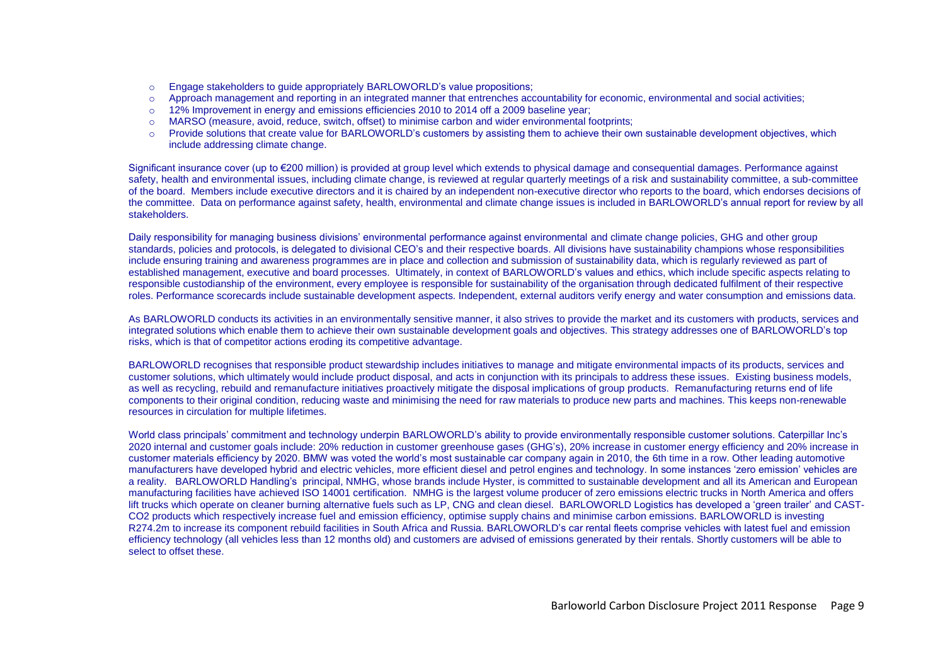- o Engage stakeholders to guide appropriately BARLOWORLD"s value propositions;
- o Approach management and reporting in an integrated manner that entrenches accountability for economic, environmental and social activities;
- o 12% Improvement in energy and emissions efficiencies 2010 to 2014 off a 2009 baseline year;
- MARSO (measure, avoid, reduce, switch, offset) to minimise carbon and wider environmental footprints;
- o Provide solutions that create value for BARLOWORLD"s customers by assisting them to achieve their own sustainable development objectives, which include addressing climate change.

Significant insurance cover (up to €200 million) is provided at group level which extends to physical damage and consequential damages. Performance against safety, health and environmental issues, including climate change, is reviewed at regular quarterly meetings of a risk and sustainability committee, a sub-committee of the board. Members include executive directors and it is chaired by an independent non-executive director who reports to the board, which endorses decisions of the committee. Data on performance against safety, health, environmental and climate change issues is included in BARLOWORLD"s annual report for review by all stakeholders.

Daily responsibility for managing business divisions" environmental performance against environmental and climate change policies, GHG and other group standards, policies and protocols, is delegated to divisional CEO"s and their respective boards. All divisions have sustainability champions whose responsibilities include ensuring training and awareness programmes are in place and collection and submission of sustainability data, which is regularly reviewed as part of established management, executive and board processes. Ultimately, in context of BARLOWORLD"s values and ethics, which include specific aspects relating to responsible custodianship of the environment, every employee is responsible for sustainability of the organisation through dedicated fulfilment of their respective roles. Performance scorecards include sustainable development aspects. Independent, external auditors verify energy and water consumption and emissions data.

As BARLOWORLD conducts its activities in an environmentally sensitive manner, it also strives to provide the market and its customers with products, services and integrated solutions which enable them to achieve their own sustainable development goals and objectives. This strategy addresses one of BARLOWORLD"s top risks, which is that of competitor actions eroding its competitive advantage.

BARLOWORLD recognises that responsible product stewardship includes initiatives to manage and mitigate environmental impacts of its products, services and customer solutions, which ultimately would include product disposal, and acts in conjunction with its principals to address these issues. Existing business models, as well as recycling, rebuild and remanufacture initiatives proactively mitigate the disposal implications of group products. Remanufacturing returns end of life components to their original condition, reducing waste and minimising the need for raw materials to produce new parts and machines. This keeps non-renewable resources in circulation for multiple lifetimes.

World class principals' commitment and technology underpin BARLOWORLD's ability to provide environmentally responsible customer solutions. Caterpillar Inc's 2020 internal and customer goals include: 20% reduction in customer greenhouse gases (GHG"s), 20% increase in customer energy efficiency and 20% increase in customer materials efficiency by 2020. BMW was voted the world"s most sustainable car company again in 2010, the 6th time in a row. Other leading automotive manufacturers have developed hybrid and electric vehicles, more efficient diesel and petrol engines and technology. In some instances "zero emission" vehicles are a reality. BARLOWORLD Handling's principal, NMHG, whose brands include Hyster, is committed to sustainable development and all its American and European manufacturing facilities have achieved ISO 14001 certification. NMHG is the largest volume producer of zero emissions electric trucks in North America and offers lift trucks which operate on cleaner burning alternative fuels such as LP, CNG and clean diesel. BARLOWORLD Logistics has developed a 'green trailer' and CAST-CO2 products which respectively increase fuel and emission efficiency, optimise supply chains and minimise carbon emissions. BARLOWORLD is investing R274.2m to increase its component rebuild facilities in South Africa and Russia. BARLOWORLD"s car rental fleets comprise vehicles with latest fuel and emission efficiency technology (all vehicles less than 12 months old) and customers are advised of emissions generated by their rentals. Shortly customers will be able to select to offset these.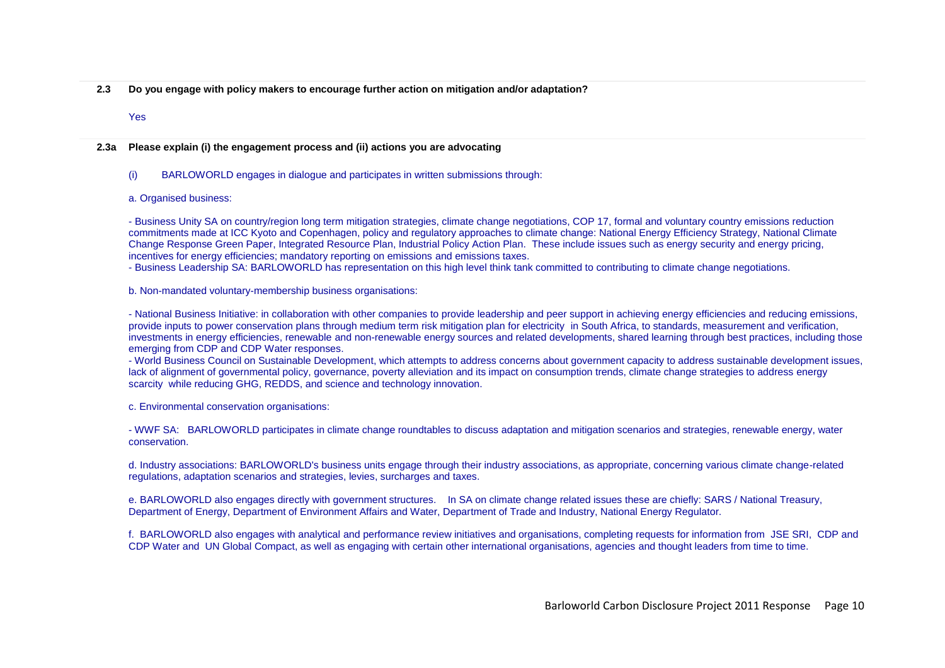- **2.3 Do you engage with policy makers to encourage further action on mitigation and/or adaptation?**
	- Yes

#### **2.3a Please explain (i) the engagement process and (ii) actions you are advocating**

### (i) BARLOWORLD engages in dialogue and participates in written submissions through:

### a. Organised business:

- Business Unity SA on country/region long term mitigation strategies, climate change negotiations, COP 17, formal and voluntary country emissions reduction commitments made at ICC Kyoto and Copenhagen, policy and regulatory approaches to climate change: National Energy Efficiency Strategy, National Climate Change Response Green Paper, Integrated Resource Plan, Industrial Policy Action Plan. These include issues such as energy security and energy pricing, incentives for energy efficiencies; mandatory reporting on emissions and emissions taxes.

- Business Leadership SA: BARLOWORLD has representation on this high level think tank committed to contributing to climate change negotiations.

b. Non-mandated voluntary-membership business organisations:

- National Business Initiative: in collaboration with other companies to provide leadership and peer support in achieving energy efficiencies and reducing emissions, provide inputs to power conservation plans through medium term risk mitigation plan for electricity in South Africa, to standards, measurement and verification, investments in energy efficiencies, renewable and non-renewable energy sources and related developments, shared learning through best practices, including those emerging from CDP and CDP Water responses.

- World Business Council on Sustainable Development, which attempts to address concerns about government capacity to address sustainable development issues, lack of alignment of governmental policy, governance, poverty alleviation and its impact on consumption trends, climate change strategies to address energy scarcity while reducing GHG, REDDS, and science and technology innovation.

c. Environmental conservation organisations:

- WWF SA: BARLOWORLD participates in climate change roundtables to discuss adaptation and mitigation scenarios and strategies, renewable energy, water conservation.

d. Industry associations: BARLOWORLD's business units engage through their industry associations, as appropriate, concerning various climate change-related regulations, adaptation scenarios and strategies, levies, surcharges and taxes.

e. BARLOWORLD also engages directly with government structures. In SA on climate change related issues these are chiefly: SARS / National Treasury, Department of Energy, Department of Environment Affairs and Water, Department of Trade and Industry, National Energy Regulator.

f. BARLOWORLD also engages with analytical and performance review initiatives and organisations, completing requests for information from JSE SRI, CDP and CDP Water and UN Global Compact, as well as engaging with certain other international organisations, agencies and thought leaders from time to time.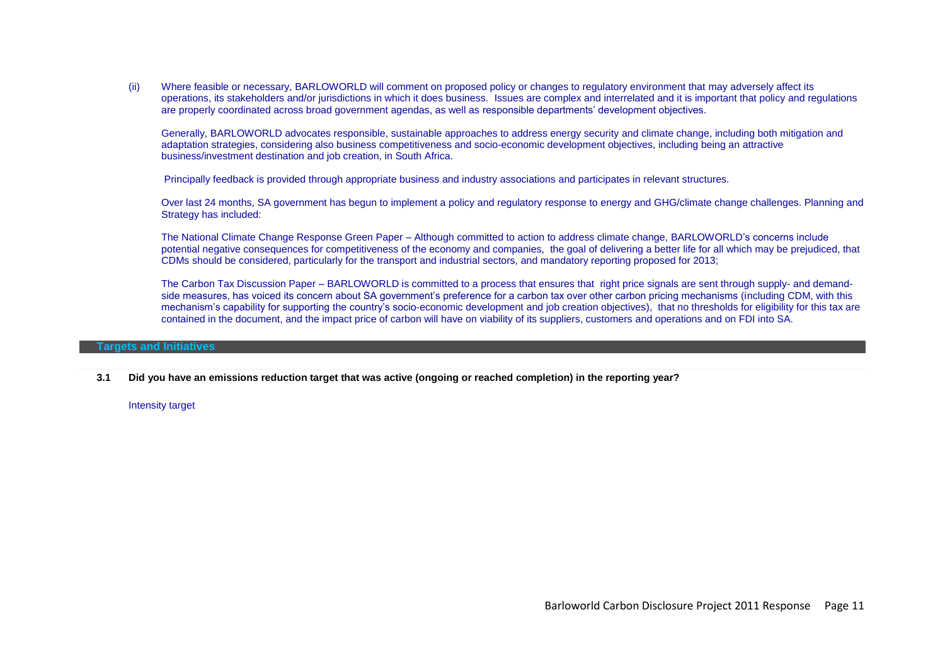(ii) Where feasible or necessary, BARLOWORLD will comment on proposed policy or changes to regulatory environment that may adversely affect its operations, its stakeholders and/or jurisdictions in which it does business. Issues are complex and interrelated and it is important that policy and regulations are properly coordinated across broad government agendas, as well as responsible departments" development objectives.

Generally, BARLOWORLD advocates responsible, sustainable approaches to address energy security and climate change, including both mitigation and adaptation strategies, considering also business competitiveness and socio-economic development objectives, including being an attractive business/investment destination and job creation, in South Africa.

Principally feedback is provided through appropriate business and industry associations and participates in relevant structures.

Over last 24 months, SA government has begun to implement a policy and regulatory response to energy and GHG/climate change challenges. Planning and Strategy has included:

The National Climate Change Response Green Paper – Although committed to action to address climate change, BARLOWORLD"s concerns include potential negative consequences for competitiveness of the economy and companies, the goal of delivering a better life for all which may be prejudiced, that CDMs should be considered, particularly for the transport and industrial sectors, and mandatory reporting proposed for 2013;

The Carbon Tax Discussion Paper – BARLOWORLD is committed to a process that ensures that right price signals are sent through supply- and demandside measures, has voiced its concern about SA government's preference for a carbon tax over other carbon pricing mechanisms (including CDM, with this mechanism"s capability for supporting the country"s socio-economic development and job creation objectives), that no thresholds for eligibility for this tax are contained in the document, and the impact price of carbon will have on viability of its suppliers, customers and operations and on FDI into SA.

### **Targets and Initiatives**

**3.1 Did you have an emissions reduction target that was active (ongoing or reached completion) in the reporting year?**

Intensity target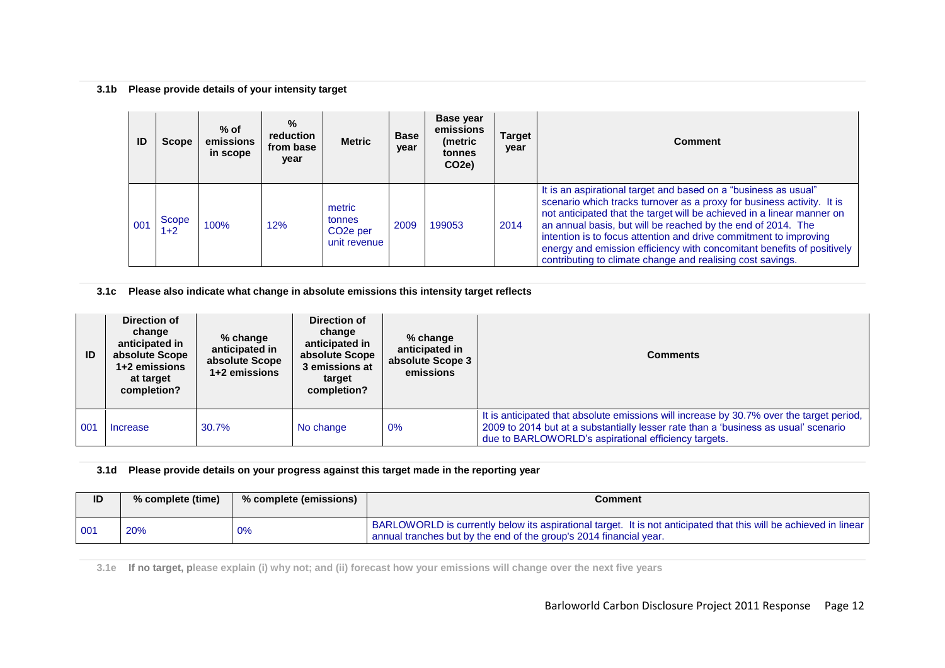## **3.1b Please provide details of your intensity target**

| ID  | <b>Scope</b>   | $%$ of<br>emissions<br>in scope | $\%$<br>reduction<br>from base<br>year | <b>Metric</b>                                             | <b>Base</b><br>year | Base year<br>emissions<br>(metric<br>tonnes<br>CO <sub>2</sub> e) | Target<br>year | <b>Comment</b>                                                                                                                                                                                                                                                                                                                                                                                                                                                                                   |
|-----|----------------|---------------------------------|----------------------------------------|-----------------------------------------------------------|---------------------|-------------------------------------------------------------------|----------------|--------------------------------------------------------------------------------------------------------------------------------------------------------------------------------------------------------------------------------------------------------------------------------------------------------------------------------------------------------------------------------------------------------------------------------------------------------------------------------------------------|
| 001 | Scope<br>$1+2$ | 100%                            | 12%                                    | metric<br>tonnes<br>CO <sub>2</sub> e per<br>unit revenue | 2009                | 199053                                                            | 2014           | It is an aspirational target and based on a "business as usual"<br>scenario which tracks turnover as a proxy for business activity. It is<br>not anticipated that the target will be achieved in a linear manner on<br>an annual basis, but will be reached by the end of 2014. The<br>intention is to focus attention and drive commitment to improving<br>energy and emission efficiency with concomitant benefits of positively<br>contributing to climate change and realising cost savings. |

**3.1c Please also indicate what change in absolute emissions this intensity target reflects**

| ID  | Direction of<br>change<br>anticipated in<br>absolute Scope<br>1+2 emissions<br>at target<br>completion? | $%$ change<br>anticipated in<br>absolute Scope<br>1+2 emissions | Direction of<br>change<br>anticipated in<br>absolute Scope<br>3 emissions at<br>target<br>completion? | % change<br>anticipated in<br>absolute Scope 3<br>emissions | <b>Comments</b>                                                                                                                                                                                                                         |
|-----|---------------------------------------------------------------------------------------------------------|-----------------------------------------------------------------|-------------------------------------------------------------------------------------------------------|-------------------------------------------------------------|-----------------------------------------------------------------------------------------------------------------------------------------------------------------------------------------------------------------------------------------|
| 001 | Increase                                                                                                | 30.7%                                                           | No change                                                                                             | 0%                                                          | It is anticipated that absolute emissions will increase by 30.7% over the target period,<br>2009 to 2014 but at a substantially lesser rate than a 'business as usual' scenario<br>due to BARLOWORLD's aspirational efficiency targets. |

## **3.1d Please provide details on your progress against this target made in the reporting year**

| ID  | % complete (time) | % complete (emissions) | Comment                                                                                                                                                                                 |
|-----|-------------------|------------------------|-----------------------------------------------------------------------------------------------------------------------------------------------------------------------------------------|
| 001 | 20%               | 0%                     | BARLOWORLD is currently below its aspirational target. It is not anticipated that this will be achieved in linear<br>annual tranches but by the end of the group's 2014 financial year. |

**3.1e If no target, please explain (i) why not; and (ii) forecast how your emissions will change over the next five years**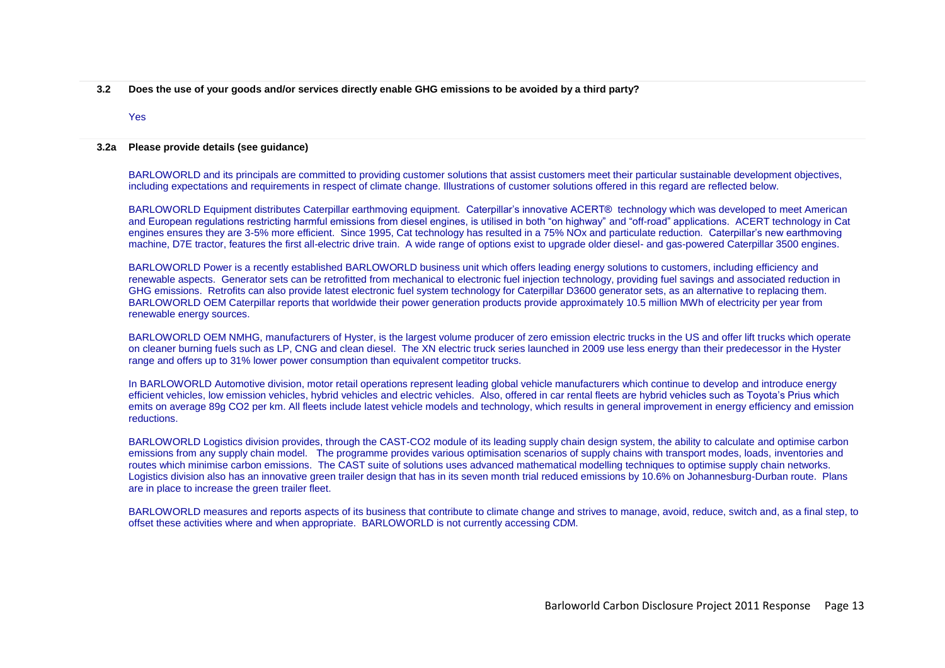**3.2 Does the use of your goods and/or services directly enable GHG emissions to be avoided by a third party?**

#### Yes

#### **3.2a Please provide details (see guidance)**

BARLOWORLD and its principals are committed to providing customer solutions that assist customers meet their particular sustainable development objectives, including expectations and requirements in respect of climate change. Illustrations of customer solutions offered in this regard are reflected below.

BARLOWORLD Equipment distributes Caterpillar earthmoving equipment. Caterpillar"s innovative ACERT® technology which was developed to meet American and European regulations restricting harmful emissions from diesel engines, is utilised in both "on highway" and "off-road" applications. ACERT technology in Cat engines ensures they are 3-5% more efficient. Since 1995, Cat technology has resulted in a 75% NOx and particulate reduction. Caterpillar's new earthmoving machine, D7E tractor, features the first all-electric drive train. A wide range of options exist to upgrade older diesel- and gas-powered Caterpillar 3500 engines.

BARLOWORLD Power is a recently established BARLOWORLD business unit which offers leading energy solutions to customers, including efficiency and renewable aspects. Generator sets can be retrofitted from mechanical to electronic fuel injection technology, providing fuel savings and associated reduction in GHG emissions. Retrofits can also provide latest electronic fuel system technology for Caterpillar D3600 generator sets, as an alternative to replacing them. BARLOWORLD OEM Caterpillar reports that worldwide their power generation products provide approximately 10.5 million MWh of electricity per year from renewable energy sources.

BARLOWORLD OEM NMHG, manufacturers of Hyster, is the largest volume producer of zero emission electric trucks in the US and offer lift trucks which operate on cleaner burning fuels such as LP, CNG and clean diesel. The XN electric truck series launched in 2009 use less energy than their predecessor in the Hyster range and offers up to 31% lower power consumption than equivalent competitor trucks.

In BARLOWORLD Automotive division, motor retail operations represent leading global vehicle manufacturers which continue to develop and introduce energy efficient vehicles, low emission vehicles, hybrid vehicles and electric vehicles. Also, offered in car rental fleets are hybrid vehicles such as Toyota"s Prius which emits on average 89g CO2 per km. All fleets include latest vehicle models and technology, which results in general improvement in energy efficiency and emission reductions.

BARLOWORLD Logistics division provides, through the CAST-CO2 module of its leading supply chain design system, the ability to calculate and optimise carbon emissions from any supply chain model. The programme provides various optimisation scenarios of supply chains with transport modes, loads, inventories and routes which minimise carbon emissions. The CAST suite of solutions uses advanced mathematical modelling techniques to optimise supply chain networks. Logistics division also has an innovative green trailer design that has in its seven month trial reduced emissions by 10.6% on Johannesburg-Durban route. Plans are in place to increase the green trailer fleet.

BARLOWORLD measures and reports aspects of its business that contribute to climate change and strives to manage, avoid, reduce, switch and, as a final step, to offset these activities where and when appropriate. BARLOWORLD is not currently accessing CDM.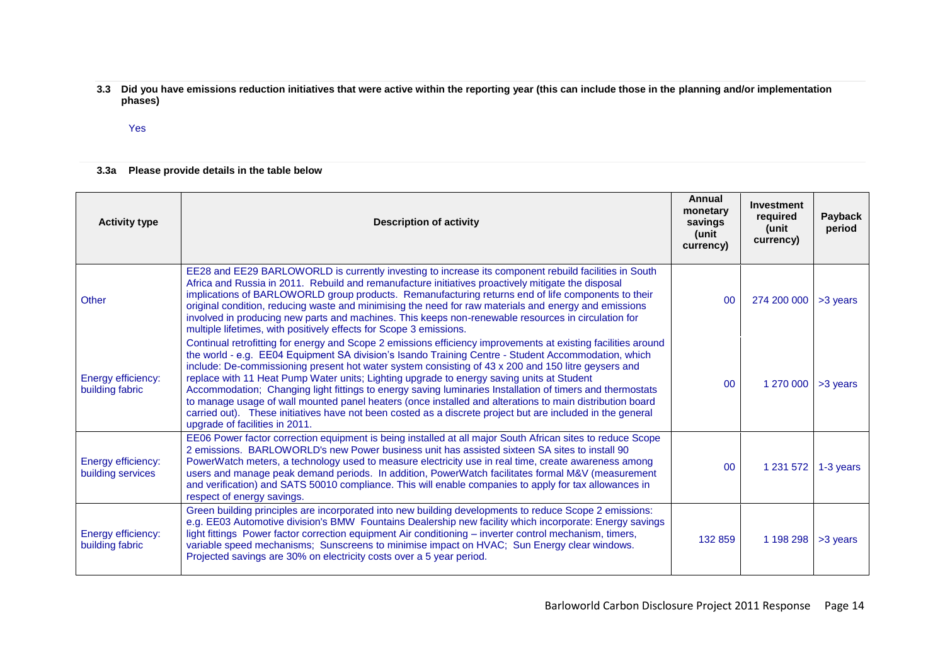**3.3 Did you have emissions reduction initiatives that were active within the reporting year (this can include those in the planning and/or implementation phases)**

Yes

## **3.3a Please provide details in the table below**

| <b>Activity type</b>                    | <b>Description of activity</b>                                                                                                                                                                                                                                                                                                                                                                                                                                                                                                                                                                                                                                                                                                                                                                    | Annual<br>monetary<br>savings<br>(unit<br>currency) | <b>Investment</b><br>required<br>(unit<br>currency) | <b>Payback</b><br>period |
|-----------------------------------------|---------------------------------------------------------------------------------------------------------------------------------------------------------------------------------------------------------------------------------------------------------------------------------------------------------------------------------------------------------------------------------------------------------------------------------------------------------------------------------------------------------------------------------------------------------------------------------------------------------------------------------------------------------------------------------------------------------------------------------------------------------------------------------------------------|-----------------------------------------------------|-----------------------------------------------------|--------------------------|
| Other                                   | EE28 and EE29 BARLOWORLD is currently investing to increase its component rebuild facilities in South<br>Africa and Russia in 2011. Rebuild and remanufacture initiatives proactively mitigate the disposal<br>implications of BARLOWORLD group products. Remanufacturing returns end of life components to their<br>original condition, reducing waste and minimising the need for raw materials and energy and emissions<br>involved in producing new parts and machines. This keeps non-renewable resources in circulation for<br>multiple lifetimes, with positively effects for Scope 3 emissions.                                                                                                                                                                                           | 00                                                  | 274 200 000                                         | >3 years                 |
| Energy efficiency:<br>building fabric   | Continual retrofitting for energy and Scope 2 emissions efficiency improvements at existing facilities around<br>the world - e.g. EE04 Equipment SA division's Isando Training Centre - Student Accommodation, which<br>include: De-commissioning present hot water system consisting of 43 x 200 and 150 litre geysers and<br>replace with 11 Heat Pump Water units; Lighting upgrade to energy saving units at Student<br>Accommodation; Changing light fittings to energy saving luminaries Installation of timers and thermostats<br>to manage usage of wall mounted panel heaters (once installed and alterations to main distribution board<br>carried out). These initiatives have not been costed as a discrete project but are included in the general<br>upgrade of facilities in 2011. | 00                                                  | 1 270 000                                           | >3 years                 |
| Energy efficiency:<br>building services | EE06 Power factor correction equipment is being installed at all major South African sites to reduce Scope<br>2 emissions. BARLOWORLD's new Power business unit has assisted sixteen SA sites to install 90<br>PowerWatch meters, a technology used to measure electricity use in real time, create awareness among<br>users and manage peak demand periods. In addition, PowerWatch facilitates formal M&V (measurement<br>and verification) and SATS 50010 compliance. This will enable companies to apply for tax allowances in<br>respect of energy savings.                                                                                                                                                                                                                                  | 0 <sup>0</sup>                                      | 1 231 572                                           | 1-3 years                |
| Energy efficiency:<br>building fabric   | Green building principles are incorporated into new building developments to reduce Scope 2 emissions:<br>e.g. EE03 Automotive division's BMW Fountains Dealership new facility which incorporate: Energy savings<br>light fittings Power factor correction equipment Air conditioning - inverter control mechanism, timers,<br>variable speed mechanisms; Sunscreens to minimise impact on HVAC; Sun Energy clear windows.<br>Projected savings are 30% on electricity costs over a 5 year period.                                                                                                                                                                                                                                                                                               | 132 859                                             | 1 198 298                                           | >3 years                 |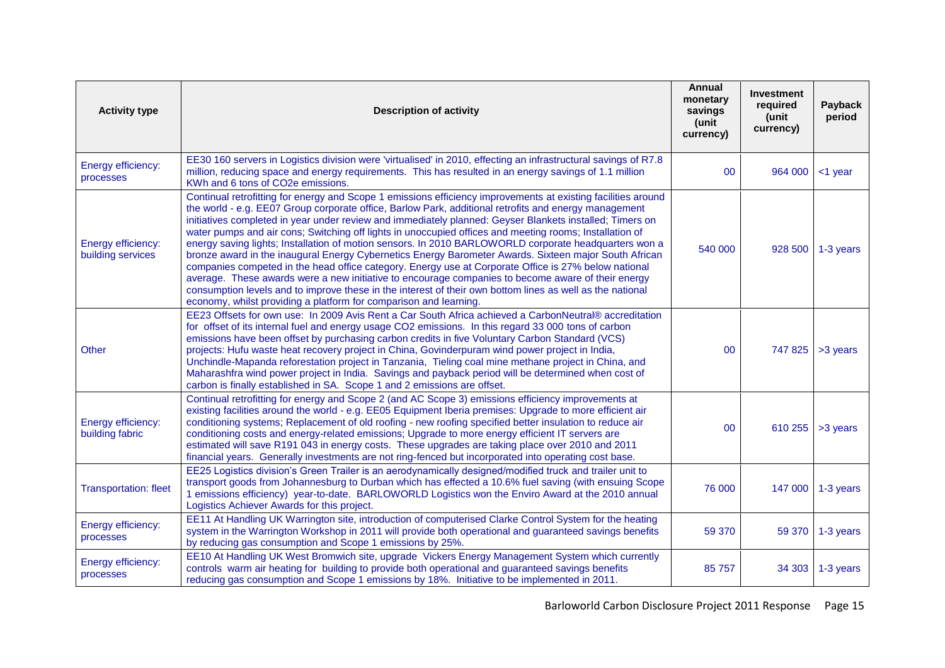| <b>Activity type</b>                    | <b>Description of activity</b>                                                                                                                                                                                                                                                                                                                                                                                                                                                                                                                                                                                                                                                                                                                                                                                                                                                                                                                                                                                                                                  | Annual<br>monetary<br>savings<br>(unit<br>currency) | <b>Investment</b><br>required<br>(unit<br>currency) | Payback<br>period |
|-----------------------------------------|-----------------------------------------------------------------------------------------------------------------------------------------------------------------------------------------------------------------------------------------------------------------------------------------------------------------------------------------------------------------------------------------------------------------------------------------------------------------------------------------------------------------------------------------------------------------------------------------------------------------------------------------------------------------------------------------------------------------------------------------------------------------------------------------------------------------------------------------------------------------------------------------------------------------------------------------------------------------------------------------------------------------------------------------------------------------|-----------------------------------------------------|-----------------------------------------------------|-------------------|
| Energy efficiency:<br>processes         | EE30 160 servers in Logistics division were 'virtualised' in 2010, effecting an infrastructural savings of R7.8<br>million, reducing space and energy requirements. This has resulted in an energy savings of 1.1 million<br>KWh and 6 tons of CO2e emissions.                                                                                                                                                                                                                                                                                                                                                                                                                                                                                                                                                                                                                                                                                                                                                                                                  | 00                                                  | 964 000                                             | <1 year           |
| Energy efficiency:<br>building services | Continual retrofitting for energy and Scope 1 emissions efficiency improvements at existing facilities around<br>the world - e.g. EE07 Group corporate office, Barlow Park, additional retrofits and energy management<br>initiatives completed in year under review and immediately planned: Geyser Blankets installed; Timers on<br>water pumps and air cons; Switching off lights in unoccupied offices and meeting rooms; Installation of<br>energy saving lights; Installation of motion sensors. In 2010 BARLOWORLD corporate headquarters won a<br>bronze award in the inaugural Energy Cybernetics Energy Barometer Awards. Sixteen major South African<br>companies competed in the head office category. Energy use at Corporate Office is 27% below national<br>average. These awards were a new initiative to encourage companies to become aware of their energy<br>consumption levels and to improve these in the interest of their own bottom lines as well as the national<br>economy, whilst providing a platform for comparison and learning. | 540 000                                             |                                                     | 928 500 1-3 years |
| Other                                   | EE23 Offsets for own use: In 2009 Avis Rent a Car South Africa achieved a CarbonNeutral® accreditation<br>for offset of its internal fuel and energy usage CO2 emissions. In this regard 33 000 tons of carbon<br>emissions have been offset by purchasing carbon credits in five Voluntary Carbon Standard (VCS)<br>projects: Hufu waste heat recovery project in China, Govinderpuram wind power project in India,<br>Unchindle-Mapanda reforestation project in Tanzania, Tieling coal mine methane project in China, and<br>Maharashfra wind power project in India. Savings and payback period will be determined when cost of<br>carbon is finally established in SA. Scope 1 and 2 emissions are offset.                                                                                                                                                                                                                                                                                                                                                 | 00                                                  |                                                     | 747 825 > 3 years |
| Energy efficiency:<br>building fabric   | Continual retrofitting for energy and Scope 2 (and AC Scope 3) emissions efficiency improvements at<br>existing facilities around the world - e.g. EE05 Equipment Iberia premises: Upgrade to more efficient air<br>conditioning systems; Replacement of old roofing - new roofing specified better insulation to reduce air<br>conditioning costs and energy-related emissions; Upgrade to more energy efficient IT servers are<br>estimated will save R191 043 in energy costs. These upgrades are taking place over 2010 and 2011<br>financial years. Generally investments are not ring-fenced but incorporated into operating cost base.                                                                                                                                                                                                                                                                                                                                                                                                                   | 00                                                  | 610 255                                             | >3 years          |
| <b>Transportation: fleet</b>            | EE25 Logistics division's Green Trailer is an aerodynamically designed/modified truck and trailer unit to<br>transport goods from Johannesburg to Durban which has effected a 10.6% fuel saving (with ensuing Scope<br>1 emissions efficiency) year-to-date. BARLOWORLD Logistics won the Enviro Award at the 2010 annual<br>Logistics Achiever Awards for this project.                                                                                                                                                                                                                                                                                                                                                                                                                                                                                                                                                                                                                                                                                        | 76 000                                              |                                                     | 147 000 1-3 years |
| Energy efficiency:<br>processes         | EE11 At Handling UK Warrington site, introduction of computerised Clarke Control System for the heating<br>system in the Warrington Workshop in 2011 will provide both operational and guaranteed savings benefits<br>by reducing gas consumption and Scope 1 emissions by 25%.                                                                                                                                                                                                                                                                                                                                                                                                                                                                                                                                                                                                                                                                                                                                                                                 | 59 370                                              | 59 370                                              | 1-3 years         |
| Energy efficiency:<br>processes         | EE10 At Handling UK West Bromwich site, upgrade Vickers Energy Management System which currently<br>controls warm air heating for building to provide both operational and guaranteed savings benefits<br>reducing gas consumption and Scope 1 emissions by 18%. Initiative to be implemented in 2011.                                                                                                                                                                                                                                                                                                                                                                                                                                                                                                                                                                                                                                                                                                                                                          | 85 757                                              | 34303                                               | 1-3 years         |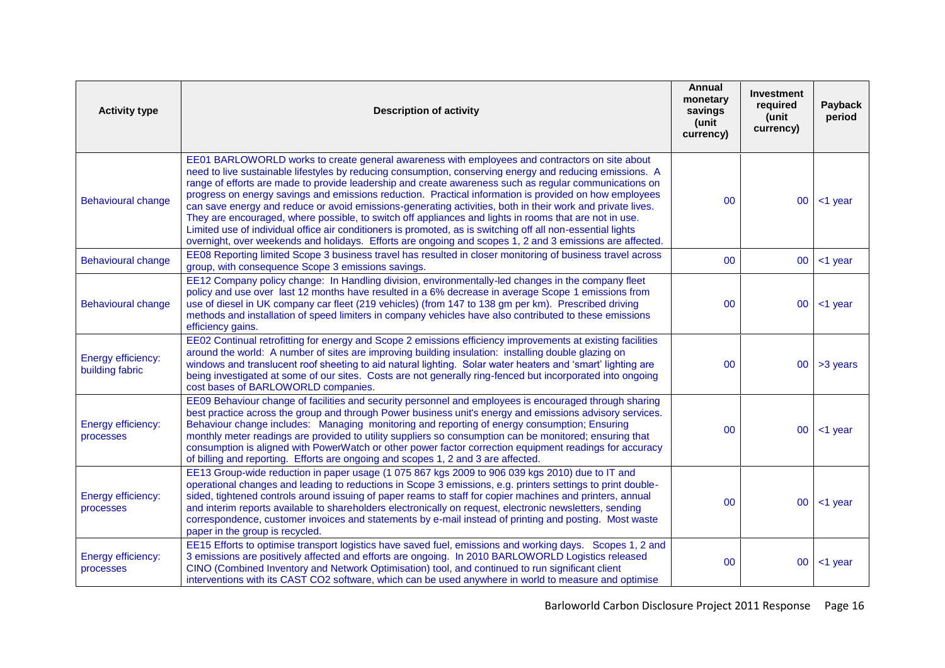| <b>Activity type</b>                  | <b>Description of activity</b>                                                                                                                                                                                                                                                                                                                                                                                                                                                                                                                                                                                                                                                                                                                                                                                                                                                    | <b>Annual</b><br>monetary<br>savings<br>(unit<br>currency) | <b>Investment</b><br>required<br>(unit<br>currency) | Payback<br>period |
|---------------------------------------|-----------------------------------------------------------------------------------------------------------------------------------------------------------------------------------------------------------------------------------------------------------------------------------------------------------------------------------------------------------------------------------------------------------------------------------------------------------------------------------------------------------------------------------------------------------------------------------------------------------------------------------------------------------------------------------------------------------------------------------------------------------------------------------------------------------------------------------------------------------------------------------|------------------------------------------------------------|-----------------------------------------------------|-------------------|
| <b>Behavioural change</b>             | EE01 BARLOWORLD works to create general awareness with employees and contractors on site about<br>need to live sustainable lifestyles by reducing consumption, conserving energy and reducing emissions. A<br>range of efforts are made to provide leadership and create awareness such as regular communications on<br>progress on energy savings and emissions reduction. Practical information is provided on how employees<br>can save energy and reduce or avoid emissions-generating activities, both in their work and private lives.<br>They are encouraged, where possible, to switch off appliances and lights in rooms that are not in use.<br>Limited use of individual office air conditioners is promoted, as is switching off all non-essential lights<br>overnight, over weekends and holidays. Efforts are ongoing and scopes 1, 2 and 3 emissions are affected. | 0 <sup>0</sup>                                             | 00 <sup>°</sup>                                     | $<$ 1 year        |
| <b>Behavioural change</b>             | EE08 Reporting limited Scope 3 business travel has resulted in closer monitoring of business travel across<br>group, with consequence Scope 3 emissions savings.                                                                                                                                                                                                                                                                                                                                                                                                                                                                                                                                                                                                                                                                                                                  | 00                                                         | 00 <sup>°</sup>                                     | <1 year           |
| <b>Behavioural change</b>             | EE12 Company policy change: In Handling division, environmentally-led changes in the company fleet<br>policy and use over last 12 months have resulted in a 6% decrease in average Scope 1 emissions from<br>use of diesel in UK company car fleet (219 vehicles) (from 147 to 138 gm per km). Prescribed driving<br>methods and installation of speed limiters in company vehicles have also contributed to these emissions<br>efficiency gains.                                                                                                                                                                                                                                                                                                                                                                                                                                 | 00                                                         | 00                                                  | <1 year           |
| Energy efficiency:<br>building fabric | EE02 Continual retrofitting for energy and Scope 2 emissions efficiency improvements at existing facilities<br>around the world: A number of sites are improving building insulation: installing double glazing on<br>windows and translucent roof sheeting to aid natural lighting. Solar water heaters and 'smart' lighting are<br>being investigated at some of our sites. Costs are not generally ring-fenced but incorporated into ongoing<br>cost bases of BARLOWORLD companies.                                                                                                                                                                                                                                                                                                                                                                                            | 00                                                         |                                                     | $00$ > 3 years    |
| Energy efficiency:<br>processes       | EE09 Behaviour change of facilities and security personnel and employees is encouraged through sharing<br>best practice across the group and through Power business unit's energy and emissions advisory services.<br>Behaviour change includes: Managing monitoring and reporting of energy consumption; Ensuring<br>monthly meter readings are provided to utility suppliers so consumption can be monitored; ensuring that<br>consumption is aligned with PowerWatch or other power factor correction equipment readings for accuracy<br>of billing and reporting. Efforts are ongoing and scopes 1, 2 and 3 are affected.                                                                                                                                                                                                                                                     | 00                                                         | 00 <sub>o</sub>                                     | <1 year           |
| Energy efficiency:<br>processes       | EE13 Group-wide reduction in paper usage (1 075 867 kgs 2009 to 906 039 kgs 2010) due to IT and<br>operational changes and leading to reductions in Scope 3 emissions, e.g. printers settings to print double-<br>sided, tightened controls around issuing of paper reams to staff for copier machines and printers, annual<br>and interim reports available to shareholders electronically on request, electronic newsletters, sending<br>correspondence, customer invoices and statements by e-mail instead of printing and posting. Most waste<br>paper in the group is recycled.                                                                                                                                                                                                                                                                                              | 00                                                         | 00                                                  | $<$ 1 year        |
| Energy efficiency:<br>processes       | EE15 Efforts to optimise transport logistics have saved fuel, emissions and working days. Scopes 1, 2 and<br>3 emissions are positively affected and efforts are ongoing. In 2010 BARLOWORLD Logistics released<br>CINO (Combined Inventory and Network Optimisation) tool, and continued to run significant client<br>interventions with its CAST CO2 software, which can be used anywhere in world to measure and optimise                                                                                                                                                                                                                                                                                                                                                                                                                                                      | 00                                                         | $00\,$                                              | $<$ 1 year        |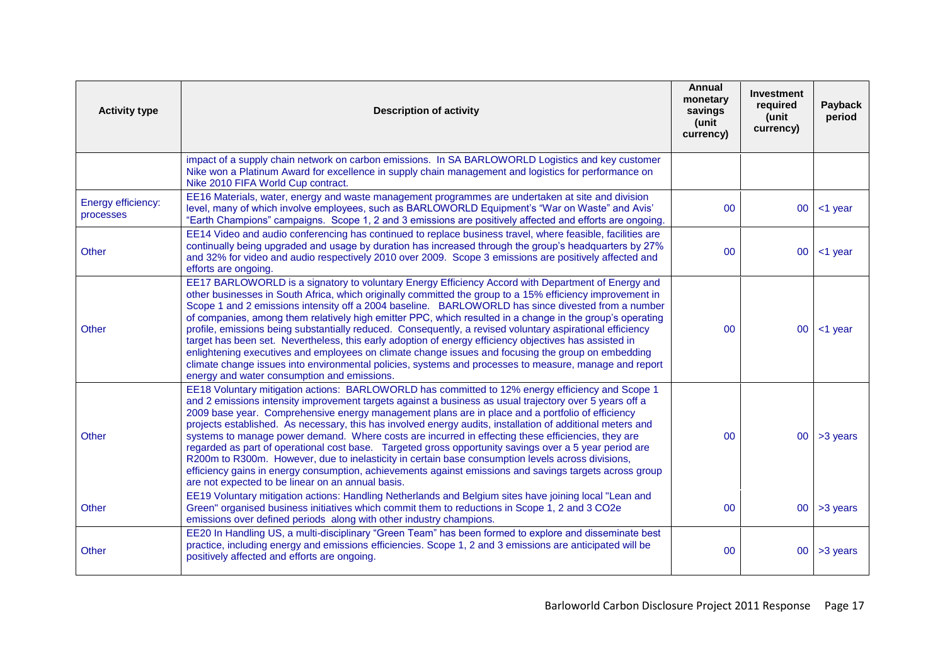| <b>Activity type</b>            | <b>Description of activity</b>                                                                                                                                                                                                                                                                                                                                                                                                                                                                                                                                                                                                                                                                                                                                                                                                                                                                                           | Annual<br>monetary<br>savings<br>(unit<br>currency) | <b>Investment</b><br>required<br>(unit<br>currency) | Payback<br>period |
|---------------------------------|--------------------------------------------------------------------------------------------------------------------------------------------------------------------------------------------------------------------------------------------------------------------------------------------------------------------------------------------------------------------------------------------------------------------------------------------------------------------------------------------------------------------------------------------------------------------------------------------------------------------------------------------------------------------------------------------------------------------------------------------------------------------------------------------------------------------------------------------------------------------------------------------------------------------------|-----------------------------------------------------|-----------------------------------------------------|-------------------|
|                                 | impact of a supply chain network on carbon emissions. In SA BARLOWORLD Logistics and key customer<br>Nike won a Platinum Award for excellence in supply chain management and logistics for performance on<br>Nike 2010 FIFA World Cup contract.                                                                                                                                                                                                                                                                                                                                                                                                                                                                                                                                                                                                                                                                          |                                                     |                                                     |                   |
| Energy efficiency:<br>processes | EE16 Materials, water, energy and waste management programmes are undertaken at site and division<br>level, many of which involve employees, such as BARLOWORLD Equipment's "War on Waste" and Avis'<br>"Earth Champions" campaigns. Scope 1, 2 and 3 emissions are positively affected and efforts are ongoing.                                                                                                                                                                                                                                                                                                                                                                                                                                                                                                                                                                                                         | $00\,$                                              | 00 <sup>°</sup>                                     | <1 year           |
| Other                           | EE14 Video and audio conferencing has continued to replace business travel, where feasible, facilities are<br>continually being upgraded and usage by duration has increased through the group's headquarters by 27%<br>and 32% for video and audio respectively 2010 over 2009. Scope 3 emissions are positively affected and<br>efforts are ongoing.                                                                                                                                                                                                                                                                                                                                                                                                                                                                                                                                                                   | 00                                                  | 00                                                  | $<$ 1 year        |
| Other                           | EE17 BARLOWORLD is a signatory to voluntary Energy Efficiency Accord with Department of Energy and<br>other businesses in South Africa, which originally committed the group to a 15% efficiency improvement in<br>Scope 1 and 2 emissions intensity off a 2004 baseline. BARLOWORLD has since divested from a number<br>of companies, among them relatively high emitter PPC, which resulted in a change in the group's operating<br>profile, emissions being substantially reduced. Consequently, a revised voluntary aspirational efficiency<br>target has been set. Nevertheless, this early adoption of energy efficiency objectives has assisted in<br>enlightening executives and employees on climate change issues and focusing the group on embedding<br>climate change issues into environmental policies, systems and processes to measure, manage and report<br>energy and water consumption and emissions. | 00                                                  | 00 <sup>°</sup>                                     | $<$ 1 year        |
| Other                           | EE18 Voluntary mitigation actions: BARLOWORLD has committed to 12% energy efficiency and Scope 1<br>and 2 emissions intensity improvement targets against a business as usual trajectory over 5 years off a<br>2009 base year. Comprehensive energy management plans are in place and a portfolio of efficiency<br>projects established. As necessary, this has involved energy audits, installation of additional meters and<br>systems to manage power demand. Where costs are incurred in effecting these efficiencies, they are<br>regarded as part of operational cost base. Targeted gross opportunity savings over a 5 year period are<br>R200m to R300m. However, due to inelasticity in certain base consumption levels across divisions,<br>efficiency gains in energy consumption, achievements against emissions and savings targets across group<br>are not expected to be linear on an annual basis.       | $00\,$                                              |                                                     | $00$ > 3 years    |
| <b>Other</b>                    | EE19 Voluntary mitigation actions: Handling Netherlands and Belgium sites have joining local "Lean and<br>Green" organised business initiatives which commit them to reductions in Scope 1, 2 and 3 CO2e<br>emissions over defined periods along with other industry champions.                                                                                                                                                                                                                                                                                                                                                                                                                                                                                                                                                                                                                                          | 00                                                  |                                                     | $00$ > 3 years    |
| <b>Other</b>                    | EE20 In Handling US, a multi-disciplinary "Green Team" has been formed to explore and disseminate best<br>practice, including energy and emissions efficiencies. Scope 1, 2 and 3 emissions are anticipated will be<br>positively affected and efforts are ongoing.                                                                                                                                                                                                                                                                                                                                                                                                                                                                                                                                                                                                                                                      | $00\,$                                              | 00 <sup>°</sup>                                     | >3 years          |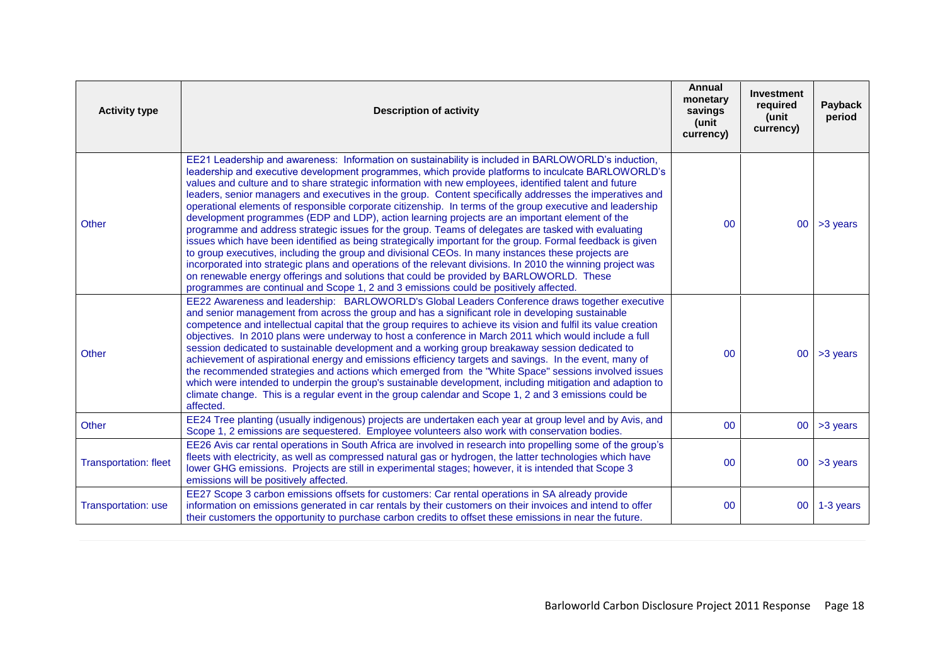| <b>Activity type</b>         | <b>Description of activity</b>                                                                                                                                                                                                                                                                                                                                                                                                                                                                                                                                                                                                                                                                                                                                                                                                                                                                                                                                                                                                                                                                                                                                                                                                                                               | Annual<br>monetary<br>savings<br>(unit<br>currency) | Investment<br>required<br>(unit<br>currency) | Payback<br>period |
|------------------------------|------------------------------------------------------------------------------------------------------------------------------------------------------------------------------------------------------------------------------------------------------------------------------------------------------------------------------------------------------------------------------------------------------------------------------------------------------------------------------------------------------------------------------------------------------------------------------------------------------------------------------------------------------------------------------------------------------------------------------------------------------------------------------------------------------------------------------------------------------------------------------------------------------------------------------------------------------------------------------------------------------------------------------------------------------------------------------------------------------------------------------------------------------------------------------------------------------------------------------------------------------------------------------|-----------------------------------------------------|----------------------------------------------|-------------------|
| <b>Other</b>                 | EE21 Leadership and awareness: Information on sustainability is included in BARLOWORLD's induction,<br>leadership and executive development programmes, which provide platforms to inculcate BARLOWORLD's<br>values and culture and to share strategic information with new employees, identified talent and future<br>leaders, senior managers and executives in the group. Content specifically addresses the imperatives and<br>operational elements of responsible corporate citizenship. In terms of the group executive and leadership<br>development programmes (EDP and LDP), action learning projects are an important element of the<br>programme and address strategic issues for the group. Teams of delegates are tasked with evaluating<br>issues which have been identified as being strategically important for the group. Formal feedback is given<br>to group executives, including the group and divisional CEOs. In many instances these projects are<br>incorporated into strategic plans and operations of the relevant divisions. In 2010 the winning project was<br>on renewable energy offerings and solutions that could be provided by BARLOWORLD. These<br>programmes are continual and Scope 1, 2 and 3 emissions could be positively affected. | 00                                                  | 00 <sup>°</sup>                              | >3 years          |
| <b>Other</b>                 | EE22 Awareness and leadership: BARLOWORLD's Global Leaders Conference draws together executive<br>and senior management from across the group and has a significant role in developing sustainable<br>competence and intellectual capital that the group requires to achieve its vision and fulfil its value creation<br>objectives. In 2010 plans were underway to host a conference in March 2011 which would include a full<br>session dedicated to sustainable development and a working group breakaway session dedicated to<br>achievement of aspirational energy and emissions efficiency targets and savings. In the event, many of<br>the recommended strategies and actions which emerged from the "White Space" sessions involved issues<br>which were intended to underpin the group's sustainable development, including mitigation and adaption to<br>climate change. This is a regular event in the group calendar and Scope 1, 2 and 3 emissions could be<br>affected.                                                                                                                                                                                                                                                                                       | 00                                                  | 00 <sub>1</sub>                              | >3 years          |
| Other                        | EE24 Tree planting (usually indigenous) projects are undertaken each year at group level and by Avis, and<br>Scope 1, 2 emissions are sequestered. Employee volunteers also work with conservation bodies.                                                                                                                                                                                                                                                                                                                                                                                                                                                                                                                                                                                                                                                                                                                                                                                                                                                                                                                                                                                                                                                                   | $00\,$                                              | 00 <sup>1</sup>                              | >3 years          |
| <b>Transportation: fleet</b> | EE26 Avis car rental operations in South Africa are involved in research into propelling some of the group's<br>fleets with electricity, as well as compressed natural gas or hydrogen, the latter technologies which have<br>lower GHG emissions. Projects are still in experimental stages; however, it is intended that Scope 3<br>emissions will be positively affected.                                                                                                                                                                                                                                                                                                                                                                                                                                                                                                                                                                                                                                                                                                                                                                                                                                                                                                 | 00                                                  | 00 <sub>o</sub>                              | >3 years          |
| Transportation: use          | EE27 Scope 3 carbon emissions offsets for customers: Car rental operations in SA already provide<br>information on emissions generated in car rentals by their customers on their invoices and intend to offer<br>their customers the opportunity to purchase carbon credits to offset these emissions in near the future.                                                                                                                                                                                                                                                                                                                                                                                                                                                                                                                                                                                                                                                                                                                                                                                                                                                                                                                                                   | 00                                                  | 00 <sup>1</sup>                              | 1-3 years         |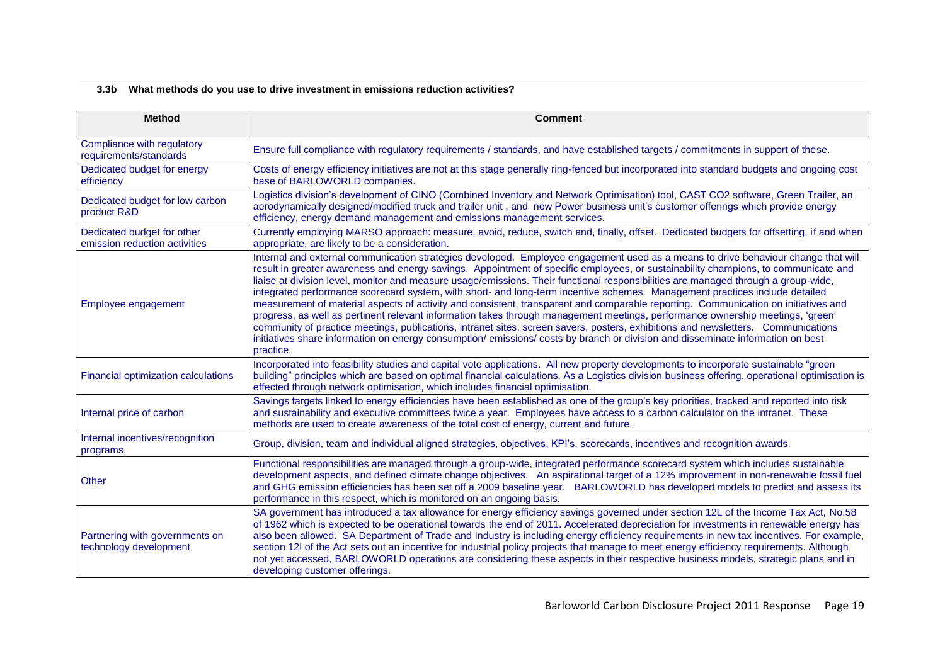# **3.3b What methods do you use to drive investment in emissions reduction activities?**

| <b>Method</b>                                                                                                                                                                                                                                                                                                                                                                                     | <b>Comment</b>                                                                                                                                                                                                                                                                                                                                                                                                                                                                                                                                                                                                                                                                                                                                                                                                                                                                                                                                                                                                                                                                                          |  |  |
|---------------------------------------------------------------------------------------------------------------------------------------------------------------------------------------------------------------------------------------------------------------------------------------------------------------------------------------------------------------------------------------------------|---------------------------------------------------------------------------------------------------------------------------------------------------------------------------------------------------------------------------------------------------------------------------------------------------------------------------------------------------------------------------------------------------------------------------------------------------------------------------------------------------------------------------------------------------------------------------------------------------------------------------------------------------------------------------------------------------------------------------------------------------------------------------------------------------------------------------------------------------------------------------------------------------------------------------------------------------------------------------------------------------------------------------------------------------------------------------------------------------------|--|--|
| Compliance with regulatory<br>requirements/standards                                                                                                                                                                                                                                                                                                                                              | Ensure full compliance with regulatory requirements / standards, and have established targets / commitments in support of these.                                                                                                                                                                                                                                                                                                                                                                                                                                                                                                                                                                                                                                                                                                                                                                                                                                                                                                                                                                        |  |  |
| Dedicated budget for energy<br>efficiency                                                                                                                                                                                                                                                                                                                                                         | Costs of energy efficiency initiatives are not at this stage generally ring-fenced but incorporated into standard budgets and ongoing cost<br>base of BARLOWORLD companies.                                                                                                                                                                                                                                                                                                                                                                                                                                                                                                                                                                                                                                                                                                                                                                                                                                                                                                                             |  |  |
| Logistics division's development of CINO (Combined Inventory and Network Optimisation) tool, CAST CO2 software, Green Trailer, an<br>Dedicated budget for low carbon<br>aerodynamically designed/modified truck and trailer unit, and new Power business unit's customer offerings which provide energy<br>product R&D<br>efficiency, energy demand management and emissions management services. |                                                                                                                                                                                                                                                                                                                                                                                                                                                                                                                                                                                                                                                                                                                                                                                                                                                                                                                                                                                                                                                                                                         |  |  |
| Dedicated budget for other<br>emission reduction activities                                                                                                                                                                                                                                                                                                                                       | Currently employing MARSO approach: measure, avoid, reduce, switch and, finally, offset. Dedicated budgets for offsetting, if and when<br>appropriate, are likely to be a consideration.                                                                                                                                                                                                                                                                                                                                                                                                                                                                                                                                                                                                                                                                                                                                                                                                                                                                                                                |  |  |
| Employee engagement                                                                                                                                                                                                                                                                                                                                                                               | Internal and external communication strategies developed. Employee engagement used as a means to drive behaviour change that will<br>result in greater awareness and energy savings. Appointment of specific employees, or sustainability champions, to communicate and<br>liaise at division level, monitor and measure usage/emissions. Their functional responsibilities are managed through a group-wide,<br>integrated performance scorecard system, with short- and long-term incentive schemes. Management practices include detailed<br>measurement of material aspects of activity and consistent, transparent and comparable reporting. Communication on initiatives and<br>progress, as well as pertinent relevant information takes through management meetings, performance ownership meetings, 'green'<br>community of practice meetings, publications, intranet sites, screen savers, posters, exhibitions and newsletters. Communications<br>initiatives share information on energy consumption/emissions/costs by branch or division and disseminate information on best<br>practice. |  |  |
| <b>Financial optimization calculations</b>                                                                                                                                                                                                                                                                                                                                                        | Incorporated into feasibility studies and capital vote applications. All new property developments to incorporate sustainable "green<br>building" principles which are based on optimal financial calculations. As a Logistics division business offering, operational optimisation is<br>effected through network optimisation, which includes financial optimisation.                                                                                                                                                                                                                                                                                                                                                                                                                                                                                                                                                                                                                                                                                                                                 |  |  |
| Internal price of carbon                                                                                                                                                                                                                                                                                                                                                                          | Savings targets linked to energy efficiencies have been established as one of the group's key priorities, tracked and reported into risk<br>and sustainability and executive committees twice a year. Employees have access to a carbon calculator on the intranet. These<br>methods are used to create awareness of the total cost of energy, current and future.                                                                                                                                                                                                                                                                                                                                                                                                                                                                                                                                                                                                                                                                                                                                      |  |  |
| Internal incentives/recognition<br>programs,                                                                                                                                                                                                                                                                                                                                                      | Group, division, team and individual aligned strategies, objectives, KPI's, scorecards, incentives and recognition awards.                                                                                                                                                                                                                                                                                                                                                                                                                                                                                                                                                                                                                                                                                                                                                                                                                                                                                                                                                                              |  |  |
| Other                                                                                                                                                                                                                                                                                                                                                                                             | Functional responsibilities are managed through a group-wide, integrated performance scorecard system which includes sustainable<br>development aspects, and defined climate change objectives. An aspirational target of a 12% improvement in non-renewable fossil fuel<br>and GHG emission efficiencies has been set off a 2009 baseline year. BARLOWORLD has developed models to predict and assess its<br>performance in this respect, which is monitored on an ongoing basis.                                                                                                                                                                                                                                                                                                                                                                                                                                                                                                                                                                                                                      |  |  |
| Partnering with governments on<br>technology development                                                                                                                                                                                                                                                                                                                                          | SA government has introduced a tax allowance for energy efficiency savings governed under section 12L of the Income Tax Act, No.58<br>of 1962 which is expected to be operational towards the end of 2011. Accelerated depreciation for investments in renewable energy has<br>also been allowed. SA Department of Trade and Industry is including energy efficiency requirements in new tax incentives. For example,<br>section 12I of the Act sets out an incentive for industrial policy projects that manage to meet energy efficiency requirements. Although<br>not yet accessed, BARLOWORLD operations are considering these aspects in their respective business models, strategic plans and in<br>developing customer offerings.                                                                                                                                                                                                                                                                                                                                                                |  |  |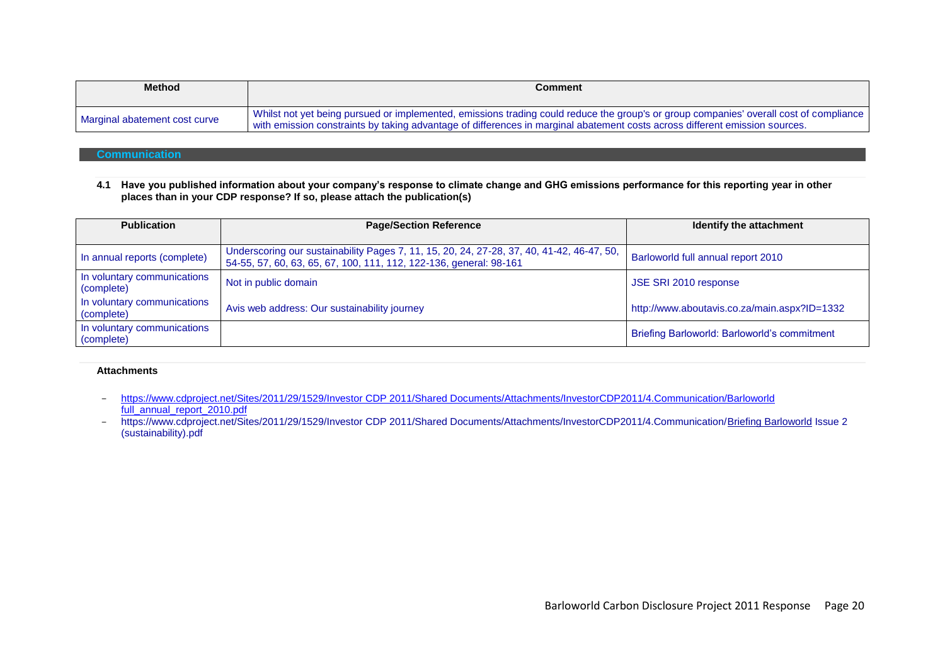| <b>Method</b>                 | Comment                                                                                                                                                                                                                                                                 |
|-------------------------------|-------------------------------------------------------------------------------------------------------------------------------------------------------------------------------------------------------------------------------------------------------------------------|
| Marginal abatement cost curve | Whilst not yet being pursued or implemented, emissions trading could reduce the group's or group companies' overall cost of compliance '<br>with emission constraints by taking advantage of differences in marginal abatement costs across different emission sources. |

## **Communication**

**4.1 Have you published information about your company's response to climate change and GHG emissions performance for this reporting year in other places than in your CDP response? If so, please attach the publication(s)**

| <b>Publication</b>                        | <b>Page/Section Reference</b>                                                                                                                                   | Identify the attachment                      |
|-------------------------------------------|-----------------------------------------------------------------------------------------------------------------------------------------------------------------|----------------------------------------------|
| In annual reports (complete)              | Underscoring our sustainability Pages 7, 11, 15, 20, 24, 27-28, 37, 40, 41-42, 46-47, 50,<br>54-55, 57, 60, 63, 65, 67, 100, 111, 112, 122-136, general: 98-161 | Barloworld full annual report 2010           |
| In voluntary communications<br>(complete) | Not in public domain                                                                                                                                            | JSE SRI 2010 response                        |
| In voluntary communications<br>(complete) | Avis web address: Our sustainability journey                                                                                                                    | http://www.aboutavis.co.za/main.aspx?ID=1332 |
| In voluntary communications<br>(complete) |                                                                                                                                                                 | Briefing Barloworld: Barloworld's commitment |

#### **Attachments**

- [https://www.cdproject.net/Sites/2011/29/1529/Investor CDP 2011/Shared Documents/Attachments/InvestorCDP2011/4.Communication/Barloworld](https://www.cdproject.net/Sites/2011/29/1529/Investor%20CDP%202011/Shared%20Documents/Attachments/InvestorCDP2011/4.Communication/Barloworld%20full_annual_report_2010.pdf)  [full\\_annual\\_report\\_2010.pdf](https://www.cdproject.net/Sites/2011/29/1529/Investor%20CDP%202011/Shared%20Documents/Attachments/InvestorCDP2011/4.Communication/Barloworld%20full_annual_report_2010.pdf)
- https://www.cdproject.net/Sites/2011/29/1529/Investor CDP 2011/Shared Documents/Attachments/InvestorCDP2011/4.Communication/Briefing Barloworld Issue 2 (sustainability).pdf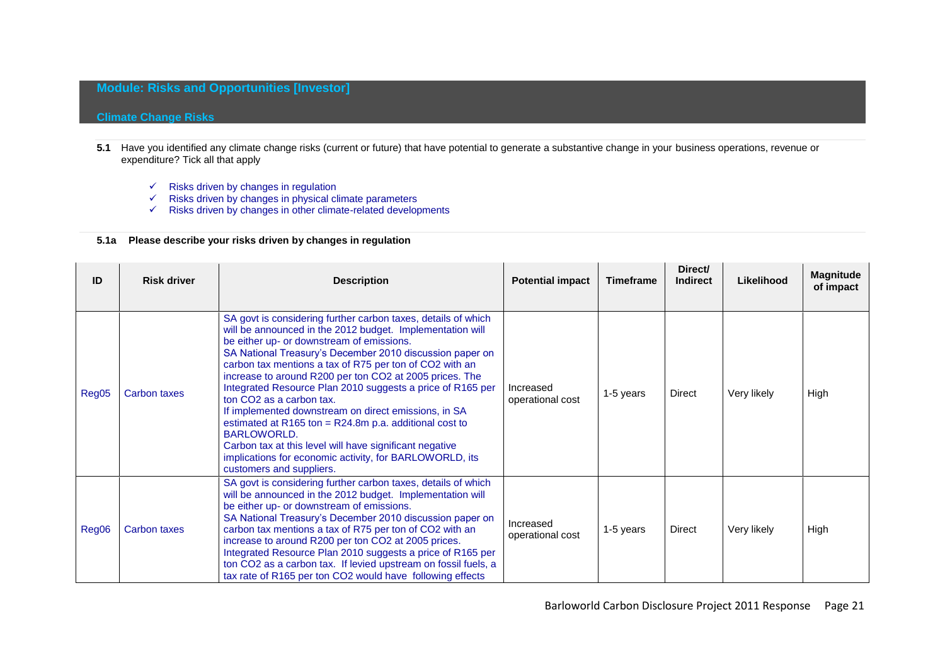## **Module: Risks and Opportunities [Investor]**

## **Climate Change Risks**

- **5.1** Have you identified any climate change risks (current or future) that have potential to generate a substantive change in your business operations, revenue or expenditure? Tick all that apply
	- $\checkmark$  Risks driven by changes in regulation
	- $\checkmark$  Risks driven by changes in physical climate parameters
	- $\checkmark$  Risks driven by changes in other climate-related developments

## **5.1a Please describe your risks driven by changes in regulation**

| ID    | <b>Risk driver</b> | <b>Description</b>                                                                                                                                                                                                                                                                                                                                                                                                                                                                                                                                                                                                                                                                                                                                   | <b>Potential impact</b>       | <b>Timeframe</b> | Direct/<br><b>Indirect</b> | Likelihood  | <b>Magnitude</b><br>of impact |
|-------|--------------------|------------------------------------------------------------------------------------------------------------------------------------------------------------------------------------------------------------------------------------------------------------------------------------------------------------------------------------------------------------------------------------------------------------------------------------------------------------------------------------------------------------------------------------------------------------------------------------------------------------------------------------------------------------------------------------------------------------------------------------------------------|-------------------------------|------------------|----------------------------|-------------|-------------------------------|
| Reg05 | Carbon taxes       | SA govt is considering further carbon taxes, details of which<br>will be announced in the 2012 budget. Implementation will<br>be either up- or downstream of emissions.<br>SA National Treasury's December 2010 discussion paper on<br>carbon tax mentions a tax of R75 per ton of CO2 with an<br>increase to around R200 per ton CO2 at 2005 prices. The<br>Integrated Resource Plan 2010 suggests a price of R165 per<br>ton CO <sub>2</sub> as a carbon tax.<br>If implemented downstream on direct emissions, in SA<br>estimated at R165 ton = $R24.8m$ p.a. additional cost to<br>BARLOWORLD.<br>Carbon tax at this level will have significant negative<br>implications for economic activity, for BARLOWORLD, its<br>customers and suppliers. | Increased<br>operational cost | 1-5 years        | <b>Direct</b>              | Very likely | High                          |
| Reg06 | Carbon taxes       | SA govt is considering further carbon taxes, details of which<br>will be announced in the 2012 budget. Implementation will<br>be either up- or downstream of emissions.<br>SA National Treasury's December 2010 discussion paper on<br>carbon tax mentions a tax of R75 per ton of CO2 with an<br>increase to around R200 per ton CO2 at 2005 prices.<br>Integrated Resource Plan 2010 suggests a price of R165 per<br>ton CO2 as a carbon tax. If levied upstream on fossil fuels, a<br>tax rate of R165 per ton CO2 would have following effects                                                                                                                                                                                                   | Increased<br>operational cost | 1-5 years        | <b>Direct</b>              | Very likely | High                          |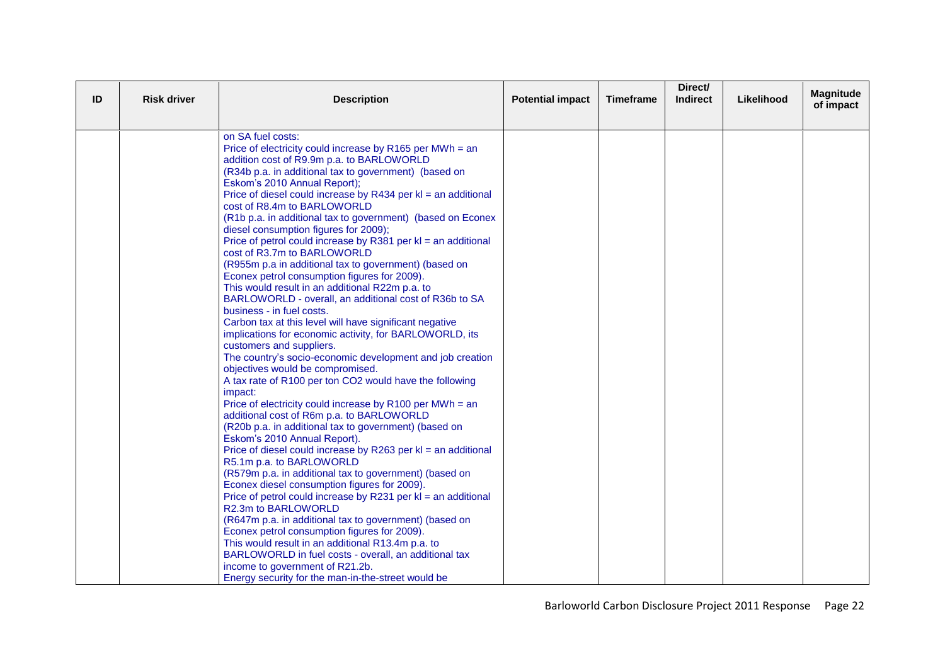| ID | <b>Risk driver</b> | <b>Description</b>                                                                                | <b>Potential impact</b> | <b>Timeframe</b> | Direct/<br><b>Indirect</b> | Likelihood | <b>Magnitude</b><br>of impact |
|----|--------------------|---------------------------------------------------------------------------------------------------|-------------------------|------------------|----------------------------|------------|-------------------------------|
|    |                    |                                                                                                   |                         |                  |                            |            |                               |
|    |                    | on SA fuel costs:<br>Price of electricity could increase by R165 per MWh = an                     |                         |                  |                            |            |                               |
|    |                    | addition cost of R9.9m p.a. to BARLOWORLD                                                         |                         |                  |                            |            |                               |
|    |                    | (R34b p.a. in additional tax to government) (based on                                             |                         |                  |                            |            |                               |
|    |                    | Eskom's 2010 Annual Report);                                                                      |                         |                  |                            |            |                               |
|    |                    | Price of diesel could increase by R434 per kl = an additional                                     |                         |                  |                            |            |                               |
|    |                    | cost of R8.4m to BARLOWORLD                                                                       |                         |                  |                            |            |                               |
|    |                    | (R1b p.a. in additional tax to government) (based on Econex                                       |                         |                  |                            |            |                               |
|    |                    | diesel consumption figures for 2009);                                                             |                         |                  |                            |            |                               |
|    |                    | Price of petrol could increase by R381 per kl = an additional                                     |                         |                  |                            |            |                               |
|    |                    | cost of R3.7m to BARLOWORLD<br>(R955m p.a in additional tax to government) (based on              |                         |                  |                            |            |                               |
|    |                    | Econex petrol consumption figures for 2009).                                                      |                         |                  |                            |            |                               |
|    |                    | This would result in an additional R22m p.a. to                                                   |                         |                  |                            |            |                               |
|    |                    | BARLOWORLD - overall, an additional cost of R36b to SA                                            |                         |                  |                            |            |                               |
|    |                    | business - in fuel costs.                                                                         |                         |                  |                            |            |                               |
|    |                    | Carbon tax at this level will have significant negative                                           |                         |                  |                            |            |                               |
|    |                    | implications for economic activity, for BARLOWORLD, its                                           |                         |                  |                            |            |                               |
|    |                    | customers and suppliers.                                                                          |                         |                  |                            |            |                               |
|    |                    | The country's socio-economic development and job creation                                         |                         |                  |                            |            |                               |
|    |                    | objectives would be compromised.                                                                  |                         |                  |                            |            |                               |
|    |                    | A tax rate of R100 per ton CO2 would have the following                                           |                         |                  |                            |            |                               |
|    |                    | impact:<br>Price of electricity could increase by R100 per MWh = an                               |                         |                  |                            |            |                               |
|    |                    | additional cost of R6m p.a. to BARLOWORLD                                                         |                         |                  |                            |            |                               |
|    |                    | (R20b p.a. in additional tax to government) (based on                                             |                         |                  |                            |            |                               |
|    |                    | Eskom's 2010 Annual Report).                                                                      |                         |                  |                            |            |                               |
|    |                    | Price of diesel could increase by R263 per kl = an additional                                     |                         |                  |                            |            |                               |
|    |                    | R5.1m p.a. to BARLOWORLD                                                                          |                         |                  |                            |            |                               |
|    |                    | (R579m p.a. in additional tax to government) (based on                                            |                         |                  |                            |            |                               |
|    |                    | Econex diesel consumption figures for 2009).                                                      |                         |                  |                            |            |                               |
|    |                    | Price of petrol could increase by R231 per kl = an additional                                     |                         |                  |                            |            |                               |
|    |                    | R2.3m to BARLOWORLD                                                                               |                         |                  |                            |            |                               |
|    |                    | (R647m p.a. in additional tax to government) (based on                                            |                         |                  |                            |            |                               |
|    |                    | Econex petrol consumption figures for 2009).<br>This would result in an additional R13.4m p.a. to |                         |                  |                            |            |                               |
|    |                    | BARLOWORLD in fuel costs - overall, an additional tax                                             |                         |                  |                            |            |                               |
|    |                    | income to government of R21.2b.                                                                   |                         |                  |                            |            |                               |
|    |                    | Energy security for the man-in-the-street would be                                                |                         |                  |                            |            |                               |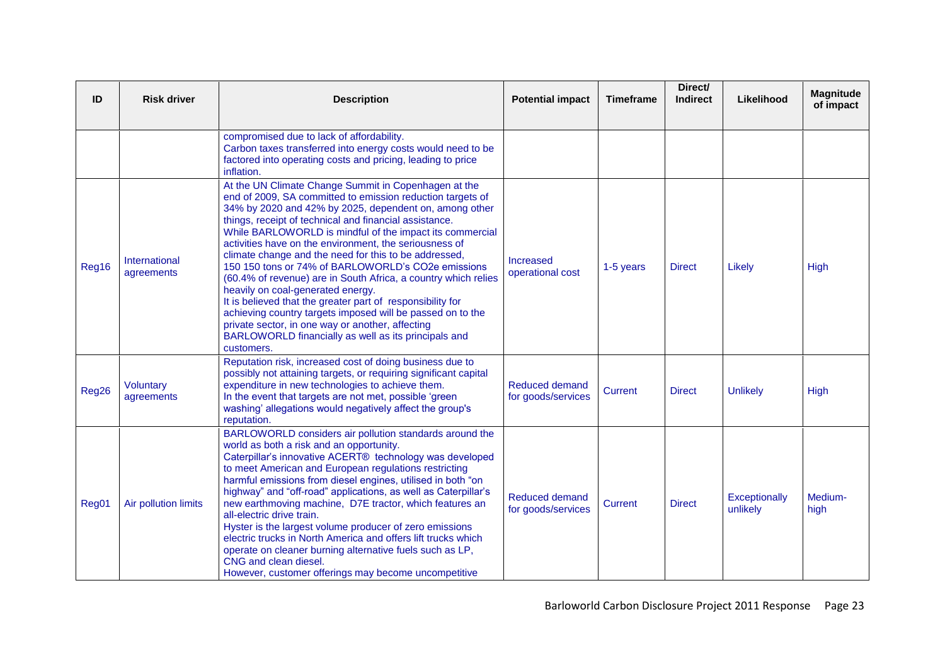| ID    | <b>Risk driver</b>          | <b>Description</b>                                                                                                                                                                                                                                                                                                                                                                                                                                                                                                                                                                                                                                                                                                                                                                                                                       | <b>Potential impact</b>              | <b>Timeframe</b> | Direct/<br><b>Indirect</b> | Likelihood                | <b>Magnitude</b><br>of impact |
|-------|-----------------------------|------------------------------------------------------------------------------------------------------------------------------------------------------------------------------------------------------------------------------------------------------------------------------------------------------------------------------------------------------------------------------------------------------------------------------------------------------------------------------------------------------------------------------------------------------------------------------------------------------------------------------------------------------------------------------------------------------------------------------------------------------------------------------------------------------------------------------------------|--------------------------------------|------------------|----------------------------|---------------------------|-------------------------------|
|       |                             | compromised due to lack of affordability.<br>Carbon taxes transferred into energy costs would need to be<br>factored into operating costs and pricing, leading to price<br>inflation.                                                                                                                                                                                                                                                                                                                                                                                                                                                                                                                                                                                                                                                    |                                      |                  |                            |                           |                               |
| Reg16 | International<br>agreements | At the UN Climate Change Summit in Copenhagen at the<br>end of 2009, SA committed to emission reduction targets of<br>34% by 2020 and 42% by 2025, dependent on, among other<br>things, receipt of technical and financial assistance.<br>While BARLOWORLD is mindful of the impact its commercial<br>activities have on the environment, the seriousness of<br>climate change and the need for this to be addressed,<br>150 150 tons or 74% of BARLOWORLD's CO2e emissions<br>(60.4% of revenue) are in South Africa, a country which relies<br>heavily on coal-generated energy.<br>It is believed that the greater part of responsibility for<br>achieving country targets imposed will be passed on to the<br>private sector, in one way or another, affecting<br>BARLOWORLD financially as well as its principals and<br>customers. | Increased<br>operational cost        | 1-5 years        | <b>Direct</b>              | Likely                    | High                          |
| Reg26 | Voluntary<br>agreements     | Reputation risk, increased cost of doing business due to<br>possibly not attaining targets, or requiring significant capital<br>expenditure in new technologies to achieve them.<br>In the event that targets are not met, possible 'green'<br>washing' allegations would negatively affect the group's<br>reputation.                                                                                                                                                                                                                                                                                                                                                                                                                                                                                                                   | Reduced demand<br>for goods/services | <b>Current</b>   | <b>Direct</b>              | <b>Unlikely</b>           | High                          |
| Reg01 | Air pollution limits        | BARLOWORLD considers air pollution standards around the<br>world as both a risk and an opportunity.<br>Caterpillar's innovative ACERT® technology was developed<br>to meet American and European regulations restricting<br>harmful emissions from diesel engines, utilised in both "on<br>highway" and "off-road" applications, as well as Caterpillar's<br>new earthmoving machine, D7E tractor, which features an<br>all-electric drive train.<br>Hyster is the largest volume producer of zero emissions<br>electric trucks in North America and offers lift trucks which<br>operate on cleaner burning alternative fuels such as LP,<br>CNG and clean diesel.<br>However, customer offerings may become uncompetitive                                                                                                               | Reduced demand<br>for goods/services | Current          | <b>Direct</b>              | Exceptionally<br>unlikely | Medium-<br>high               |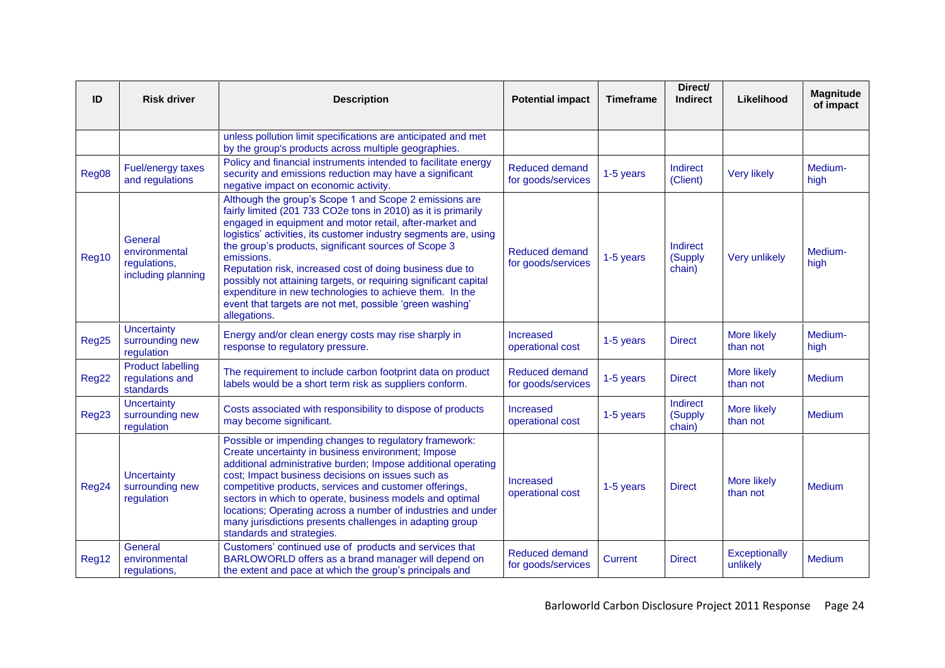| ID    | <b>Risk driver</b>                                             | <b>Description</b>                                                                                                                                                                                                                                                                                                                                                                                                                                                                                                                                                                                  | <b>Potential impact</b>                     | <b>Timeframe</b> | Direct/<br><b>Indirect</b>    | Likelihood                     | <b>Magnitude</b><br>of impact |
|-------|----------------------------------------------------------------|-----------------------------------------------------------------------------------------------------------------------------------------------------------------------------------------------------------------------------------------------------------------------------------------------------------------------------------------------------------------------------------------------------------------------------------------------------------------------------------------------------------------------------------------------------------------------------------------------------|---------------------------------------------|------------------|-------------------------------|--------------------------------|-------------------------------|
|       |                                                                | unless pollution limit specifications are anticipated and met<br>by the group's products across multiple geographies.                                                                                                                                                                                                                                                                                                                                                                                                                                                                               |                                             |                  |                               |                                |                               |
| Reg08 | Fuel/energy taxes<br>and regulations                           | Policy and financial instruments intended to facilitate energy<br>security and emissions reduction may have a significant<br>negative impact on economic activity.                                                                                                                                                                                                                                                                                                                                                                                                                                  | Reduced demand<br>for goods/services        | 1-5 years        | Indirect<br>(Client)          | <b>Very likely</b>             | Medium-<br>high               |
| Reg10 | General<br>environmental<br>regulations,<br>including planning | Although the group's Scope 1 and Scope 2 emissions are<br>fairly limited (201 733 CO2e tons in 2010) as it is primarily<br>engaged in equipment and motor retail, after-market and<br>logistics' activities, its customer industry segments are, using<br>the group's products, significant sources of Scope 3<br>emissions.<br>Reputation risk, increased cost of doing business due to<br>possibly not attaining targets, or requiring significant capital<br>expenditure in new technologies to achieve them. In the<br>event that targets are not met, possible 'green washing'<br>allegations. | <b>Reduced demand</b><br>for goods/services | 1-5 years        | Indirect<br>(Supply<br>chain) | <b>Very unlikely</b>           | Medium-<br>high               |
| Reg25 | <b>Uncertainty</b><br>surrounding new<br>regulation            | Energy and/or clean energy costs may rise sharply in<br>response to regulatory pressure.                                                                                                                                                                                                                                                                                                                                                                                                                                                                                                            | Increased<br>operational cost               | 1-5 years        | <b>Direct</b>                 | <b>More likely</b><br>than not | Medium-<br>high               |
| Reg22 | <b>Product labelling</b><br>regulations and<br>standards       | The requirement to include carbon footprint data on product<br>labels would be a short term risk as suppliers conform.                                                                                                                                                                                                                                                                                                                                                                                                                                                                              | Reduced demand<br>for goods/services        | 1-5 years        | <b>Direct</b>                 | <b>More likely</b><br>than not | Medium                        |
| Reg23 | Uncertainty<br>surrounding new<br>regulation                   | Costs associated with responsibility to dispose of products<br>may become significant.                                                                                                                                                                                                                                                                                                                                                                                                                                                                                                              | Increased<br>operational cost               | 1-5 years        | Indirect<br>(Supply<br>chain) | <b>More likely</b><br>than not | Medium                        |
| Reg24 | <b>Uncertainty</b><br>surrounding new<br>regulation            | Possible or impending changes to regulatory framework:<br>Create uncertainty in business environment; Impose<br>additional administrative burden; Impose additional operating<br>cost; Impact business decisions on issues such as<br>competitive products, services and customer offerings,<br>sectors in which to operate, business models and optimal<br>locations; Operating across a number of industries and under<br>many jurisdictions presents challenges in adapting group<br>standards and strategies.                                                                                   | <b>Increased</b><br>operational cost        | 1-5 years        | <b>Direct</b>                 | <b>More likely</b><br>than not | <b>Medium</b>                 |
| Reg12 | General<br>environmental<br>regulations,                       | Customers' continued use of products and services that<br>BARLOWORLD offers as a brand manager will depend on<br>the extent and pace at which the group's principals and                                                                                                                                                                                                                                                                                                                                                                                                                            | <b>Reduced demand</b><br>for goods/services | <b>Current</b>   | <b>Direct</b>                 | Exceptionally<br>unlikely      | Medium                        |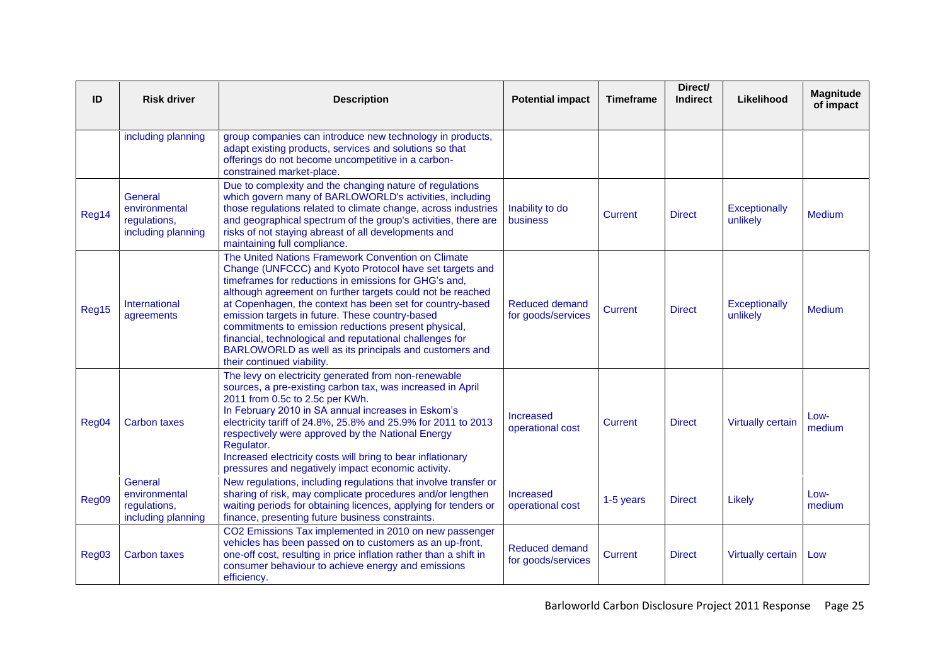| ID    | <b>Risk driver</b>                                             | <b>Description</b>                                                                                                                                                                                                                                                                                                                                                                                                                                                                                                                                               | <b>Potential impact</b>                     | <b>Timeframe</b> | Direct/<br><b>Indirect</b> | Likelihood                | <b>Magnitude</b><br>of impact |
|-------|----------------------------------------------------------------|------------------------------------------------------------------------------------------------------------------------------------------------------------------------------------------------------------------------------------------------------------------------------------------------------------------------------------------------------------------------------------------------------------------------------------------------------------------------------------------------------------------------------------------------------------------|---------------------------------------------|------------------|----------------------------|---------------------------|-------------------------------|
|       | including planning                                             | group companies can introduce new technology in products,<br>adapt existing products, services and solutions so that<br>offerings do not become uncompetitive in a carbon-<br>constrained market-place.                                                                                                                                                                                                                                                                                                                                                          |                                             |                  |                            |                           |                               |
| Reg14 | General<br>environmental<br>regulations,<br>including planning | Due to complexity and the changing nature of regulations<br>which govern many of BARLOWORLD's activities, including<br>those regulations related to climate change, across industries<br>and geographical spectrum of the group's activities, there are<br>risks of not staying abreast of all developments and<br>maintaining full compliance.                                                                                                                                                                                                                  | Inability to do<br><b>business</b>          | Current          | <b>Direct</b>              | Exceptionally<br>unlikely | Medium                        |
| Reg15 | International<br>agreements                                    | The United Nations Framework Convention on Climate<br>Change (UNFCCC) and Kyoto Protocol have set targets and<br>timeframes for reductions in emissions for GHG's and,<br>although agreement on further targets could not be reached<br>at Copenhagen, the context has been set for country-based<br>emission targets in future. These country-based<br>commitments to emission reductions present physical,<br>financial, technological and reputational challenges for<br>BARLOWORLD as well as its principals and customers and<br>their continued viability. | <b>Reduced demand</b><br>for goods/services | Current          | <b>Direct</b>              | Exceptionally<br>unlikely | Medium                        |
| Reg04 | <b>Carbon taxes</b>                                            | The levy on electricity generated from non-renewable<br>sources, a pre-existing carbon tax, was increased in April<br>2011 from 0.5c to 2.5c per KWh.<br>In February 2010 in SA annual increases in Eskom's<br>electricity tariff of 24.8%, 25.8% and 25.9% for 2011 to 2013<br>respectively were approved by the National Energy<br>Regulator.<br>Increased electricity costs will bring to bear inflationary<br>pressures and negatively impact economic activity.                                                                                             | <b>Increased</b><br>operational cost        | Current          | <b>Direct</b>              | <b>Virtually certain</b>  | Low-<br>medium                |
| Reg09 | General<br>environmental<br>regulations,<br>including planning | New regulations, including regulations that involve transfer or<br>sharing of risk, may complicate procedures and/or lengthen<br>waiting periods for obtaining licences, applying for tenders or<br>finance, presenting future business constraints.                                                                                                                                                                                                                                                                                                             | Increased<br>operational cost               | 1-5 years        | <b>Direct</b>              | Likely                    | Low-<br>medium                |
| Reg03 | <b>Carbon taxes</b>                                            | CO2 Emissions Tax implemented in 2010 on new passenger<br>vehicles has been passed on to customers as an up-front,<br>one-off cost, resulting in price inflation rather than a shift in<br>consumer behaviour to achieve energy and emissions<br>efficiency.                                                                                                                                                                                                                                                                                                     | <b>Reduced demand</b><br>for goods/services | <b>Current</b>   | <b>Direct</b>              | <b>Virtually certain</b>  | Low                           |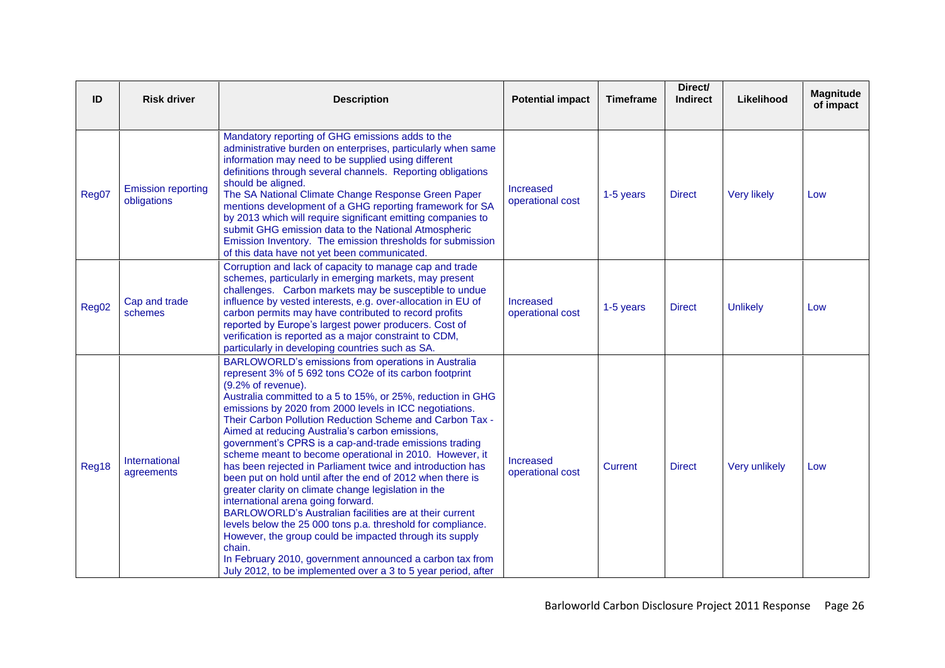| ID    | <b>Risk driver</b>                       | <b>Description</b>                                                                                                                                                                                                                                                                                                                                                                                                                                                                                                                                                                                                                                                                                                                                                                                                                                                                                                                                                                                                                                       | <b>Potential impact</b>              | <b>Timeframe</b> | Direct/<br><b>Indirect</b> | Likelihood         | <b>Magnitude</b><br>of impact |
|-------|------------------------------------------|----------------------------------------------------------------------------------------------------------------------------------------------------------------------------------------------------------------------------------------------------------------------------------------------------------------------------------------------------------------------------------------------------------------------------------------------------------------------------------------------------------------------------------------------------------------------------------------------------------------------------------------------------------------------------------------------------------------------------------------------------------------------------------------------------------------------------------------------------------------------------------------------------------------------------------------------------------------------------------------------------------------------------------------------------------|--------------------------------------|------------------|----------------------------|--------------------|-------------------------------|
| Reg07 | <b>Emission reporting</b><br>obligations | Mandatory reporting of GHG emissions adds to the<br>administrative burden on enterprises, particularly when same<br>information may need to be supplied using different<br>definitions through several channels. Reporting obligations<br>should be aligned.<br>The SA National Climate Change Response Green Paper<br>mentions development of a GHG reporting framework for SA<br>by 2013 which will require significant emitting companies to<br>submit GHG emission data to the National Atmospheric<br>Emission Inventory. The emission thresholds for submission<br>of this data have not yet been communicated.                                                                                                                                                                                                                                                                                                                                                                                                                                    | <b>Increased</b><br>operational cost | 1-5 years        | <b>Direct</b>              | <b>Very likely</b> | Low                           |
| Reg02 | Cap and trade<br>schemes                 | Corruption and lack of capacity to manage cap and trade<br>schemes, particularly in emerging markets, may present<br>challenges. Carbon markets may be susceptible to undue<br>influence by vested interests, e.g. over-allocation in EU of<br>carbon permits may have contributed to record profits<br>reported by Europe's largest power producers. Cost of<br>verification is reported as a major constraint to CDM,<br>particularly in developing countries such as SA.                                                                                                                                                                                                                                                                                                                                                                                                                                                                                                                                                                              | <b>Increased</b><br>operational cost | 1-5 years        | <b>Direct</b>              | <b>Unlikely</b>    | Low                           |
| Reg18 | International<br>agreements              | BARLOWORLD's emissions from operations in Australia<br>represent 3% of 5 692 tons CO2e of its carbon footprint<br>(9.2% of revenue).<br>Australia committed to a 5 to 15%, or 25%, reduction in GHG<br>emissions by 2020 from 2000 levels in ICC negotiations.<br>Their Carbon Pollution Reduction Scheme and Carbon Tax -<br>Aimed at reducing Australia's carbon emissions,<br>government's CPRS is a cap-and-trade emissions trading<br>scheme meant to become operational in 2010. However, it<br>has been rejected in Parliament twice and introduction has<br>been put on hold until after the end of 2012 when there is<br>greater clarity on climate change legislation in the<br>international arena going forward.<br>BARLOWORLD's Australian facilities are at their current<br>levels below the 25 000 tons p.a. threshold for compliance.<br>However, the group could be impacted through its supply<br>chain.<br>In February 2010, government announced a carbon tax from<br>July 2012, to be implemented over a 3 to 5 year period, after | Increased<br>operational cost        | Current          | <b>Direct</b>              | Very unlikely      | Low                           |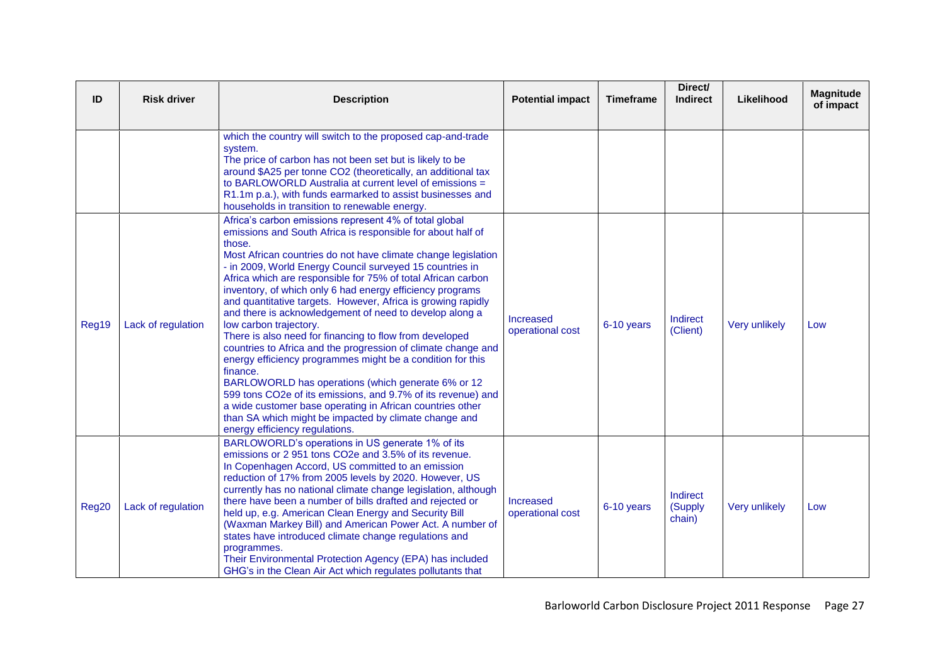| ID    | <b>Risk driver</b> | <b>Description</b>                                                                                                                                                                                                                                                                                                                                                                                                                                                                                                                                                                                                                                                                                                                                                                                                                                                                                                                                                                                                                 | <b>Potential impact</b>       | <b>Timeframe</b> | Direct/<br><b>Indirect</b>    | Likelihood    | <b>Magnitude</b><br>of impact |
|-------|--------------------|------------------------------------------------------------------------------------------------------------------------------------------------------------------------------------------------------------------------------------------------------------------------------------------------------------------------------------------------------------------------------------------------------------------------------------------------------------------------------------------------------------------------------------------------------------------------------------------------------------------------------------------------------------------------------------------------------------------------------------------------------------------------------------------------------------------------------------------------------------------------------------------------------------------------------------------------------------------------------------------------------------------------------------|-------------------------------|------------------|-------------------------------|---------------|-------------------------------|
|       |                    | which the country will switch to the proposed cap-and-trade<br>system.<br>The price of carbon has not been set but is likely to be<br>around \$A25 per tonne CO2 (theoretically, an additional tax<br>to BARLOWORLD Australia at current level of emissions =<br>R1.1m p.a.), with funds earmarked to assist businesses and<br>households in transition to renewable energy.                                                                                                                                                                                                                                                                                                                                                                                                                                                                                                                                                                                                                                                       |                               |                  |                               |               |                               |
| Reg19 | Lack of regulation | Africa's carbon emissions represent 4% of total global<br>emissions and South Africa is responsible for about half of<br>those.<br>Most African countries do not have climate change legislation<br>- in 2009, World Energy Council surveyed 15 countries in<br>Africa which are responsible for 75% of total African carbon<br>inventory, of which only 6 had energy efficiency programs<br>and quantitative targets. However, Africa is growing rapidly<br>and there is acknowledgement of need to develop along a<br>low carbon trajectory.<br>There is also need for financing to flow from developed<br>countries to Africa and the progression of climate change and<br>energy efficiency programmes might be a condition for this<br>finance.<br>BARLOWORLD has operations (which generate 6% or 12<br>599 tons CO2e of its emissions, and 9.7% of its revenue) and<br>a wide customer base operating in African countries other<br>than SA which might be impacted by climate change and<br>energy efficiency regulations. | Increased<br>operational cost | 6-10 years       | Indirect<br>(Client)          | Very unlikely | Low                           |
| Reg20 | Lack of regulation | BARLOWORLD's operations in US generate 1% of its<br>emissions or 2 951 tons CO2e and 3.5% of its revenue.<br>In Copenhagen Accord, US committed to an emission<br>reduction of 17% from 2005 levels by 2020. However, US<br>currently has no national climate change legislation, although<br>there have been a number of bills drafted and rejected or<br>held up, e.g. American Clean Energy and Security Bill<br>(Waxman Markey Bill) and American Power Act. A number of<br>states have introduced climate change regulations and<br>programmes.<br>Their Environmental Protection Agency (EPA) has included<br>GHG's in the Clean Air Act which regulates pollutants that                                                                                                                                                                                                                                                                                                                                                     | Increased<br>operational cost | 6-10 years       | Indirect<br>(Supply<br>chain) | Very unlikely | Low                           |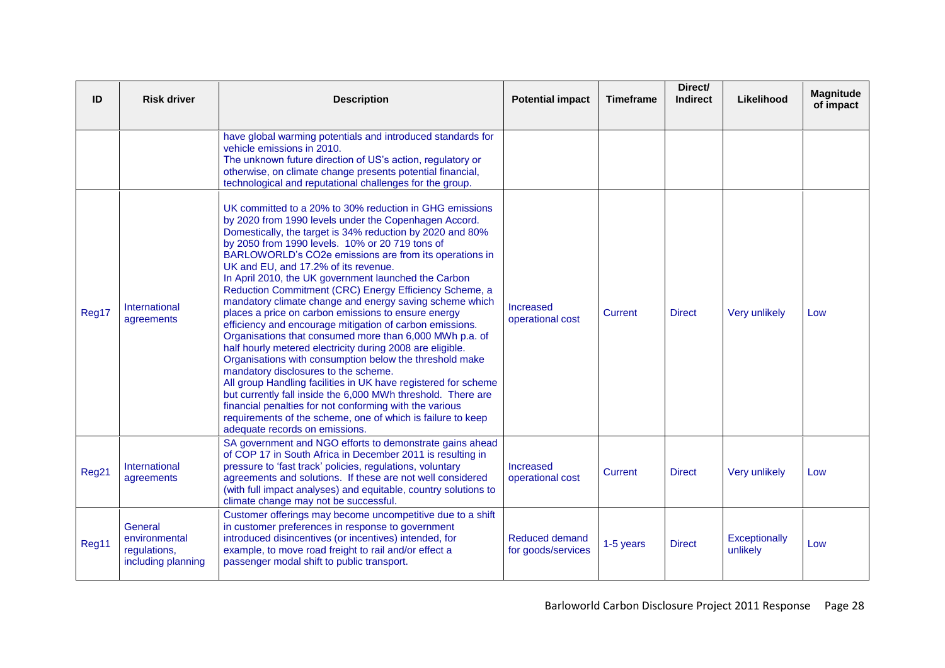| ID    | <b>Risk driver</b>                                             | <b>Description</b>                                                                                                                                                                                                                                                                                                                                                                                                                                                                                                                                                                                                                                                                                                                                                                                                                                                                                                                                                                                                                                                                                                                                          | <b>Potential impact</b>              | <b>Timeframe</b> | Direct/<br><b>Indirect</b> | Likelihood                | <b>Magnitude</b><br>of impact |
|-------|----------------------------------------------------------------|-------------------------------------------------------------------------------------------------------------------------------------------------------------------------------------------------------------------------------------------------------------------------------------------------------------------------------------------------------------------------------------------------------------------------------------------------------------------------------------------------------------------------------------------------------------------------------------------------------------------------------------------------------------------------------------------------------------------------------------------------------------------------------------------------------------------------------------------------------------------------------------------------------------------------------------------------------------------------------------------------------------------------------------------------------------------------------------------------------------------------------------------------------------|--------------------------------------|------------------|----------------------------|---------------------------|-------------------------------|
|       |                                                                | have global warming potentials and introduced standards for<br>vehicle emissions in 2010.<br>The unknown future direction of US's action, regulatory or<br>otherwise, on climate change presents potential financial,<br>technological and reputational challenges for the group.                                                                                                                                                                                                                                                                                                                                                                                                                                                                                                                                                                                                                                                                                                                                                                                                                                                                           |                                      |                  |                            |                           |                               |
| Reg17 | International<br>agreements                                    | UK committed to a 20% to 30% reduction in GHG emissions<br>by 2020 from 1990 levels under the Copenhagen Accord.<br>Domestically, the target is 34% reduction by 2020 and 80%<br>by 2050 from 1990 levels. 10% or 20 719 tons of<br>BARLOWORLD's CO2e emissions are from its operations in<br>UK and EU, and 17.2% of its revenue.<br>In April 2010, the UK government launched the Carbon<br>Reduction Commitment (CRC) Energy Efficiency Scheme, a<br>mandatory climate change and energy saving scheme which<br>places a price on carbon emissions to ensure energy<br>efficiency and encourage mitigation of carbon emissions.<br>Organisations that consumed more than 6,000 MWh p.a. of<br>half hourly metered electricity during 2008 are eligible.<br>Organisations with consumption below the threshold make<br>mandatory disclosures to the scheme.<br>All group Handling facilities in UK have registered for scheme<br>but currently fall inside the 6,000 MWh threshold. There are<br>financial penalties for not conforming with the various<br>requirements of the scheme, one of which is failure to keep<br>adequate records on emissions. | <b>Increased</b><br>operational cost | Current          | <b>Direct</b>              | <b>Very unlikely</b>      | Low                           |
| Reg21 | International<br>agreements                                    | SA government and NGO efforts to demonstrate gains ahead<br>of COP 17 in South Africa in December 2011 is resulting in<br>pressure to 'fast track' policies, regulations, voluntary<br>agreements and solutions. If these are not well considered<br>(with full impact analyses) and equitable, country solutions to<br>climate change may not be successful.                                                                                                                                                                                                                                                                                                                                                                                                                                                                                                                                                                                                                                                                                                                                                                                               | Increased<br>operational cost        | Current          | <b>Direct</b>              | <b>Very unlikely</b>      | Low                           |
| Reg11 | General<br>environmental<br>regulations,<br>including planning | Customer offerings may become uncompetitive due to a shift<br>in customer preferences in response to government<br>introduced disincentives (or incentives) intended, for<br>example, to move road freight to rail and/or effect a<br>passenger modal shift to public transport.                                                                                                                                                                                                                                                                                                                                                                                                                                                                                                                                                                                                                                                                                                                                                                                                                                                                            | Reduced demand<br>for goods/services | 1-5 years        | <b>Direct</b>              | Exceptionally<br>unlikely | Low                           |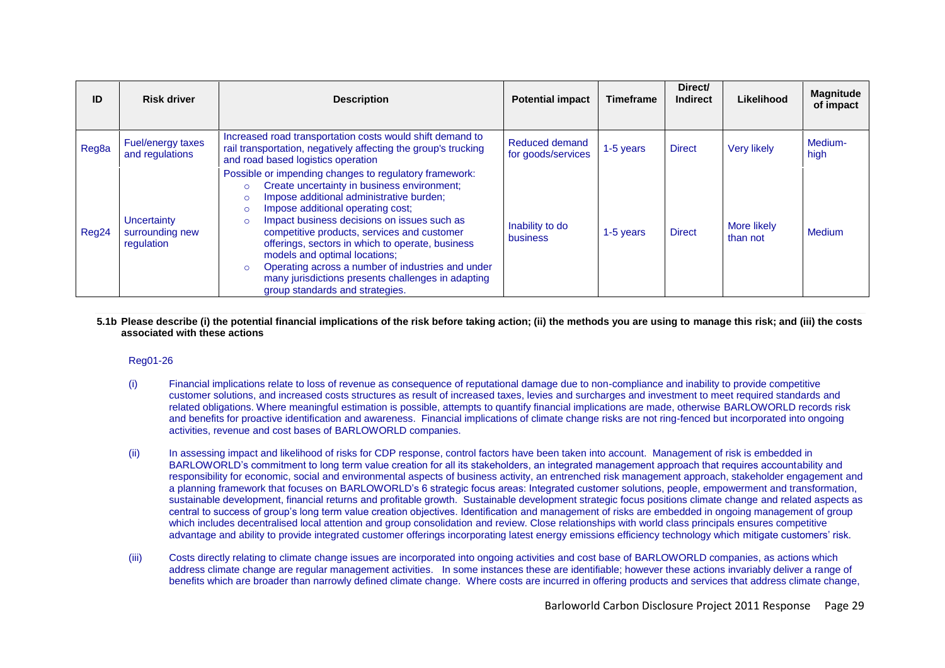| ID    | <b>Risk driver</b>                           | <b>Description</b>                                                                                                                                                                                                                                                                                                                                                                                                                                                                                                                                                             | <b>Potential impact</b>              | <b>Timeframe</b> | Direct/<br><b>Indirect</b> | Likelihood              | <b>Magnitude</b><br>of impact |
|-------|----------------------------------------------|--------------------------------------------------------------------------------------------------------------------------------------------------------------------------------------------------------------------------------------------------------------------------------------------------------------------------------------------------------------------------------------------------------------------------------------------------------------------------------------------------------------------------------------------------------------------------------|--------------------------------------|------------------|----------------------------|-------------------------|-------------------------------|
| Reg8a | Fuel/energy taxes<br>and regulations         | Increased road transportation costs would shift demand to<br>rail transportation, negatively affecting the group's trucking<br>and road based logistics operation                                                                                                                                                                                                                                                                                                                                                                                                              | Reduced demand<br>for goods/services | 1-5 years        | <b>Direct</b>              | <b>Very likely</b>      | Medium-<br>high               |
| Reg24 | Uncertainty<br>surrounding new<br>regulation | Possible or impending changes to regulatory framework:<br>Create uncertainty in business environment;<br>$\circ$<br>Impose additional administrative burden;<br>$\circ$<br>Impose additional operating cost;<br>$\circ$<br>Impact business decisions on issues such as<br>$\circ$<br>competitive products, services and customer<br>offerings, sectors in which to operate, business<br>models and optimal locations;<br>Operating across a number of industries and under<br>$\circ$<br>many jurisdictions presents challenges in adapting<br>group standards and strategies. | Inability to do<br><b>business</b>   | 1-5 years        | <b>Direct</b>              | More likely<br>than not | Medium                        |

#### **5.1b Please describe (i) the potential financial implications of the risk before taking action; (ii) the methods you are using to manage this risk; and (iii) the costs associated with these actions**

## Reg01-26

- (i) Financial implications relate to loss of revenue as consequence of reputational damage due to non-compliance and inability to provide competitive customer solutions, and increased costs structures as result of increased taxes, levies and surcharges and investment to meet required standards and related obligations. Where meaningful estimation is possible, attempts to quantify financial implications are made, otherwise BARLOWORLD records risk and benefits for proactive identification and awareness. Financial implications of climate change risks are not ring-fenced but incorporated into ongoing activities, revenue and cost bases of BARLOWORLD companies.
- (ii) In assessing impact and likelihood of risks for CDP response, control factors have been taken into account. Management of risk is embedded in BARLOWORLD"s commitment to long term value creation for all its stakeholders, an integrated management approach that requires accountability and responsibility for economic, social and environmental aspects of business activity, an entrenched risk management approach, stakeholder engagement and a planning framework that focuses on BARLOWORLD"s 6 strategic focus areas: Integrated customer solutions, people, empowerment and transformation, sustainable development, financial returns and profitable growth. Sustainable development strategic focus positions climate change and related aspects as central to success of group"s long term value creation objectives. Identification and management of risks are embedded in ongoing management of group which includes decentralised local attention and group consolidation and review. Close relationships with world class principals ensures competitive advantage and ability to provide integrated customer offerings incorporating latest energy emissions efficiency technology which mitigate customers" risk.
- (iii) Costs directly relating to climate change issues are incorporated into ongoing activities and cost base of BARLOWORLD companies, as actions which address climate change are regular management activities. In some instances these are identifiable; however these actions invariably deliver a range of benefits which are broader than narrowly defined climate change. Where costs are incurred in offering products and services that address climate change,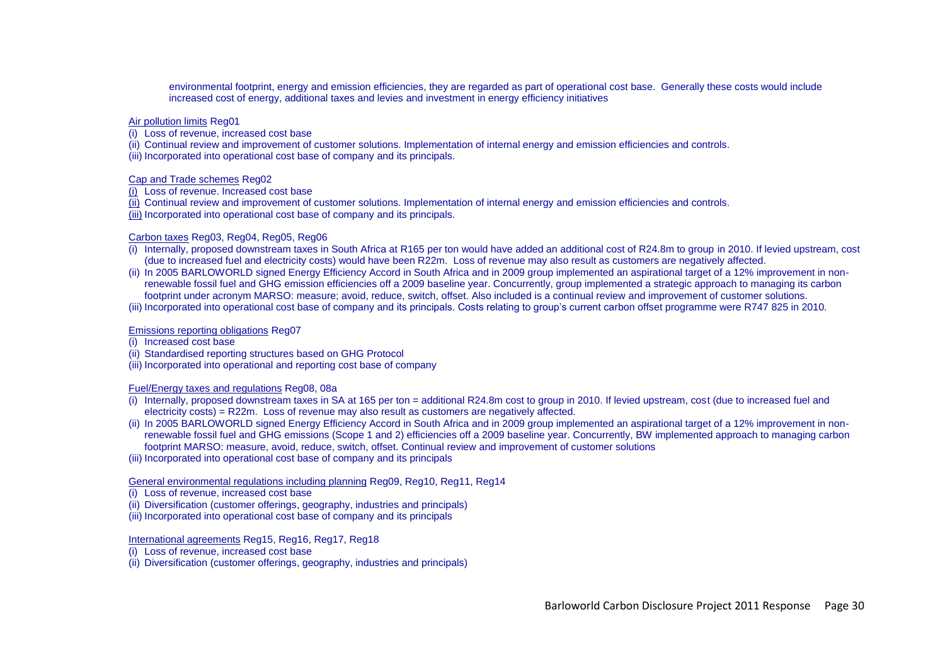environmental footprint, energy and emission efficiencies, they are regarded as part of operational cost base. Generally these costs would include increased cost of energy, additional taxes and levies and investment in energy efficiency initiatives

### Air pollution limits Reg01

(i) Loss of revenue, increased cost base

- (ii) Continual review and improvement of customer solutions. Implementation of internal energy and emission efficiencies and controls.
- (iii) Incorporated into operational cost base of company and its principals.

## Cap and Trade schemes Reg02

- (i) Loss of revenue. Increased cost base
- (ii) Continual review and improvement of customer solutions. Implementation of internal energy and emission efficiencies and controls.
- (iii) Incorporated into operational cost base of company and its principals.

## Carbon taxes Reg03, Reg04, Reg05, Reg06

- (i) Internally, proposed downstream taxes in South Africa at R165 per ton would have added an additional cost of R24.8m to group in 2010. If levied upstream, cost (due to increased fuel and electricity costs) would have been R22m. Loss of revenue may also result as customers are negatively affected.
- (ii) In 2005 BARLOWORLD signed Energy Efficiency Accord in South Africa and in 2009 group implemented an aspirational target of a 12% improvement in nonrenewable fossil fuel and GHG emission efficiencies off a 2009 baseline year. Concurrently, group implemented a strategic approach to managing its carbon footprint under acronym MARSO: measure; avoid, reduce, switch, offset. Also included is a continual review and improvement of customer solutions.
- (iii) Incorporated into operational cost base of company and its principals. Costs relating to group's current carbon offset programme were R747,825 in 2010.

## Emissions reporting obligations Reg07

(i) Increased cost base

- (ii) Standardised reporting structures based on GHG Protocol
- (iii) Incorporated into operational and reporting cost base of company

## Fuel/Energy taxes and regulations Reg08, 08a

- $\overline{f}$  Internally, proposed downstream taxes in SA at 165 per ton = additional R24.8m cost to group in 2010. If levied upstream, cost (due to increased fuel and electricity costs) = R22m. Loss of revenue may also result as customers are negatively affected.
- (ii) In 2005 BARLOWORLD signed Energy Efficiency Accord in South Africa and in 2009 group implemented an aspirational target of a 12% improvement in nonrenewable fossil fuel and GHG emissions (Scope 1 and 2) efficiencies off a 2009 baseline year. Concurrently, BW implemented approach to managing carbon footprint MARSO: measure, avoid, reduce, switch, offset. Continual review and improvement of customer solutions
- (iii) Incorporated into operational cost base of company and its principals

## General environmental regulations including planning Reg09, Reg10, Reg11, Reg14

- (i) Loss of revenue, increased cost base
- (ii) Diversification (customer offerings, geography, industries and principals)
- (iii) Incorporated into operational cost base of company and its principals

## International agreements Reg15, Reg16, Reg17, Reg18

- (i) Loss of revenue, increased cost base
- (ii) Diversification (customer offerings, geography, industries and principals)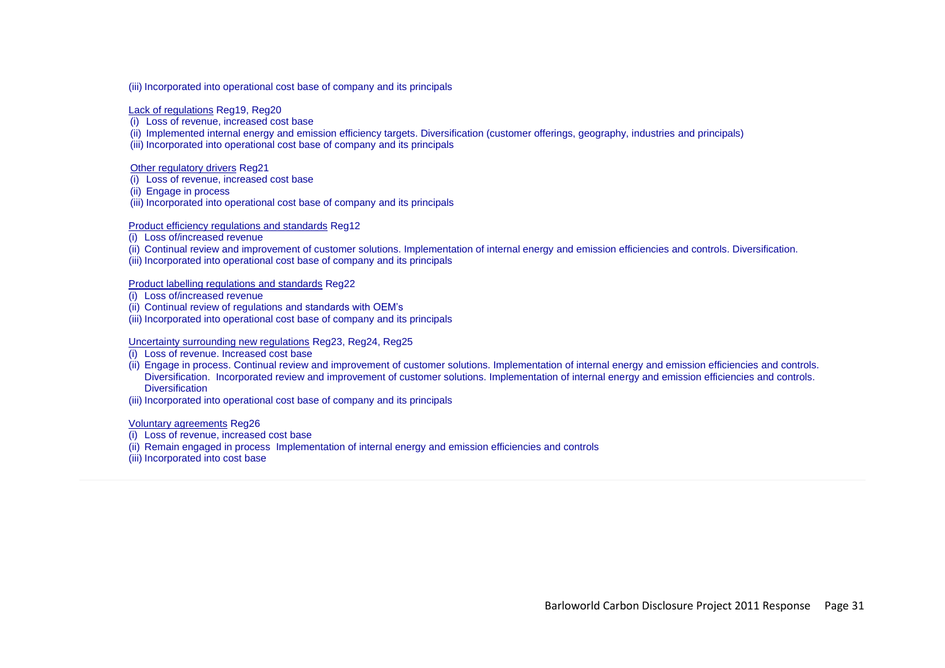(iii) Incorporated into operational cost base of company and its principals

Lack of regulations Reg19, Reg20

- (i) Loss of revenue, increased cost base
- (ii) Implemented internal energy and emission efficiency targets. Diversification (customer offerings, geography, industries and principals)

(iii) Incorporated into operational cost base of company and its principals

Other regulatory drivers Reg21

- (i) Loss of revenue, increased cost base
- (ii) Engage in process
- (iii) Incorporated into operational cost base of company and its principals

Product efficiency regulations and standards Reg12

- (i) Loss of/increased revenue
- (ii) Continual review and improvement of customer solutions. Implementation of internal energy and emission efficiencies and controls. Diversification.
- (iii) Incorporated into operational cost base of company and its principals

Product labelling regulations and standards Reg22

- (i) Loss of/increased revenue
- (ii) Continual review of regulations and standards with OEM"s
- (iii) Incorporated into operational cost base of company and its principals

## Uncertainty surrounding new regulations Reg23, Reg24, Reg25

- (i) Loss of revenue. Increased cost base
- (ii) Engage in process. Continual review and improvement of customer solutions. Implementation of internal energy and emission efficiencies and controls. Diversification. Incorporated review and improvement of customer solutions. Implementation of internal energy and emission efficiencies and controls. **Diversification**
- (iii) Incorporated into operational cost base of company and its principals

Voluntary agreements Reg26

- (i) Loss of revenue, increased cost base
- (ii) Remain engaged in process Implementation of internal energy and emission efficiencies and controls
- (iii) Incorporated into cost base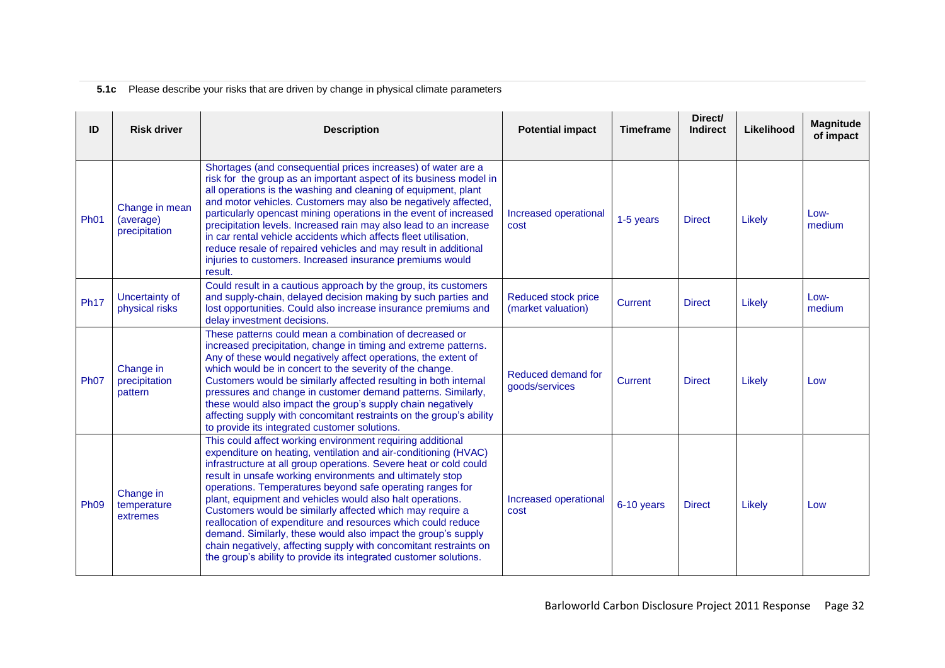# **5.1c** Please describe your risks that are driven by change in physical climate parameters

| ID          | <b>Risk driver</b>                           | <b>Description</b>                                                                                                                                                                                                                                                                                                                                                                                                                                                                                                                                                                                                                                                                                                                | <b>Potential impact</b>                   | <b>Timeframe</b> | Direct/<br><b>Indirect</b> | Likelihood | <b>Magnitude</b><br>of impact |
|-------------|----------------------------------------------|-----------------------------------------------------------------------------------------------------------------------------------------------------------------------------------------------------------------------------------------------------------------------------------------------------------------------------------------------------------------------------------------------------------------------------------------------------------------------------------------------------------------------------------------------------------------------------------------------------------------------------------------------------------------------------------------------------------------------------------|-------------------------------------------|------------------|----------------------------|------------|-------------------------------|
| <b>Ph01</b> | Change in mean<br>(average)<br>precipitation | Shortages (and consequential prices increases) of water are a<br>risk for the group as an important aspect of its business model in<br>all operations is the washing and cleaning of equipment, plant<br>and motor vehicles. Customers may also be negatively affected,<br>particularly opencast mining operations in the event of increased<br>precipitation levels. Increased rain may also lead to an increase<br>in car rental vehicle accidents which affects fleet utilisation.<br>reduce resale of repaired vehicles and may result in additional<br>injuries to customers. Increased insurance premiums would<br>result.                                                                                                  | Increased operational<br>cost             | 1-5 years        | <b>Direct</b>              | Likely     | Low-<br>medium                |
| <b>Ph17</b> | Uncertainty of<br>physical risks             | Could result in a cautious approach by the group, its customers<br>and supply-chain, delayed decision making by such parties and<br>lost opportunities. Could also increase insurance premiums and<br>delay investment decisions.                                                                                                                                                                                                                                                                                                                                                                                                                                                                                                 | Reduced stock price<br>(market valuation) | Current          | <b>Direct</b>              | Likely     | Low-<br>medium                |
| <b>Ph07</b> | Change in<br>precipitation<br>pattern        | These patterns could mean a combination of decreased or<br>increased precipitation, change in timing and extreme patterns.<br>Any of these would negatively affect operations, the extent of<br>which would be in concert to the severity of the change.<br>Customers would be similarly affected resulting in both internal<br>pressures and change in customer demand patterns. Similarly,<br>these would also impact the group's supply chain negatively<br>affecting supply with concomitant restraints on the group's ability<br>to provide its integrated customer solutions.                                                                                                                                               | Reduced demand for<br>goods/services      | Current          | <b>Direct</b>              | Likely     | Low                           |
| <b>Ph09</b> | Change in<br>temperature<br>extremes         | This could affect working environment requiring additional<br>expenditure on heating, ventilation and air-conditioning (HVAC)<br>infrastructure at all group operations. Severe heat or cold could<br>result in unsafe working environments and ultimately stop<br>operations. Temperatures beyond safe operating ranges for<br>plant, equipment and vehicles would also halt operations.<br>Customers would be similarly affected which may require a<br>reallocation of expenditure and resources which could reduce<br>demand. Similarly, these would also impact the group's supply<br>chain negatively, affecting supply with concomitant restraints on<br>the group's ability to provide its integrated customer solutions. | Increased operational<br>cost             | 6-10 years       | <b>Direct</b>              | Likely     | Low                           |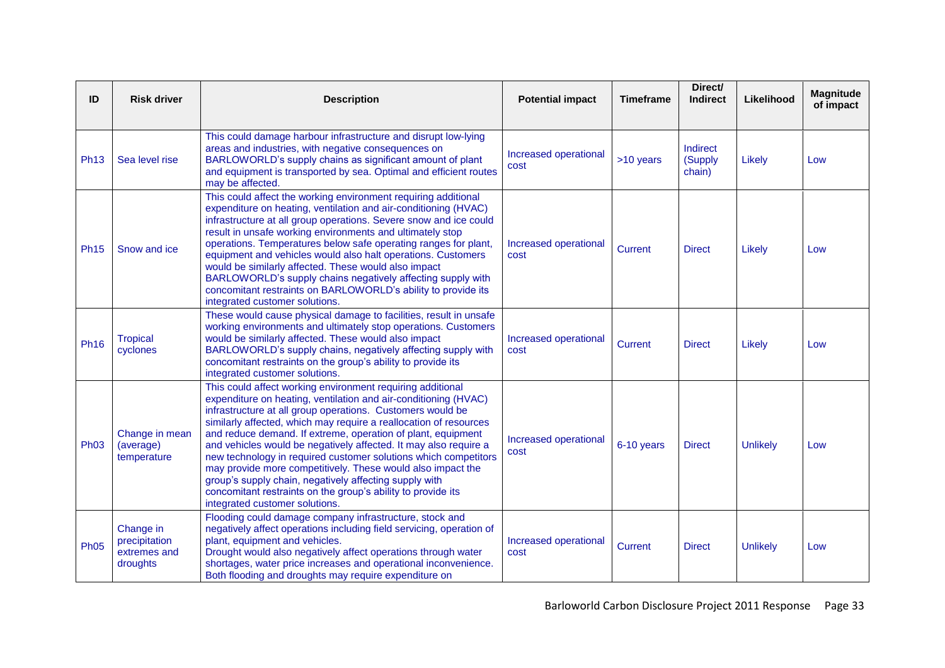| ID          | <b>Risk driver</b>                                     | <b>Description</b>                                                                                                                                                                                                                                                                                                                                                                                                                                                                                                                                                                                                                                                                                 | <b>Potential impact</b>       | <b>Timeframe</b> | Direct/<br><b>Indirect</b>    | Likelihood      | <b>Magnitude</b><br>of impact |
|-------------|--------------------------------------------------------|----------------------------------------------------------------------------------------------------------------------------------------------------------------------------------------------------------------------------------------------------------------------------------------------------------------------------------------------------------------------------------------------------------------------------------------------------------------------------------------------------------------------------------------------------------------------------------------------------------------------------------------------------------------------------------------------------|-------------------------------|------------------|-------------------------------|-----------------|-------------------------------|
| <b>Ph13</b> | Sea level rise                                         | This could damage harbour infrastructure and disrupt low-lying<br>areas and industries, with negative consequences on<br>BARLOWORLD's supply chains as significant amount of plant<br>and equipment is transported by sea. Optimal and efficient routes<br>may be affected.                                                                                                                                                                                                                                                                                                                                                                                                                        | Increased operational<br>cost | >10 years        | Indirect<br>(Supply<br>chain) | Likely          | Low                           |
| <b>Ph15</b> | Snow and ice                                           | This could affect the working environment requiring additional<br>expenditure on heating, ventilation and air-conditioning (HVAC)<br>infrastructure at all group operations. Severe snow and ice could<br>result in unsafe working environments and ultimately stop<br>operations. Temperatures below safe operating ranges for plant,<br>equipment and vehicles would also halt operations. Customers<br>would be similarly affected. These would also impact<br>BARLOWORLD's supply chains negatively affecting supply with<br>concomitant restraints on BARLOWORLD's ability to provide its<br>integrated customer solutions.                                                                   | Increased operational<br>cost | Current          | <b>Direct</b>                 | Likely          | Low                           |
| <b>Ph16</b> | <b>Tropical</b><br>cyclones                            | These would cause physical damage to facilities, result in unsafe<br>working environments and ultimately stop operations. Customers<br>would be similarly affected. These would also impact<br>BARLOWORLD's supply chains, negatively affecting supply with<br>concomitant restraints on the group's ability to provide its<br>integrated customer solutions.                                                                                                                                                                                                                                                                                                                                      | Increased operational<br>cost | Current          | <b>Direct</b>                 | Likely          | Low                           |
| <b>Ph03</b> | Change in mean<br>(average)<br>temperature             | This could affect working environment requiring additional<br>expenditure on heating, ventilation and air-conditioning (HVAC)<br>infrastructure at all group operations. Customers would be<br>similarly affected, which may require a reallocation of resources<br>and reduce demand. If extreme, operation of plant, equipment<br>and vehicles would be negatively affected. It may also require a<br>new technology in required customer solutions which competitors<br>may provide more competitively. These would also impact the<br>group's supply chain, negatively affecting supply with<br>concomitant restraints on the group's ability to provide its<br>integrated customer solutions. | Increased operational<br>cost | 6-10 years       | <b>Direct</b>                 | <b>Unlikely</b> | Low                           |
| <b>Ph05</b> | Change in<br>precipitation<br>extremes and<br>droughts | Flooding could damage company infrastructure, stock and<br>negatively affect operations including field servicing, operation of<br>plant, equipment and vehicles.<br>Drought would also negatively affect operations through water<br>shortages, water price increases and operational inconvenience.<br>Both flooding and droughts may require expenditure on                                                                                                                                                                                                                                                                                                                                     | Increased operational<br>cost | <b>Current</b>   | <b>Direct</b>                 | <b>Unlikely</b> | Low                           |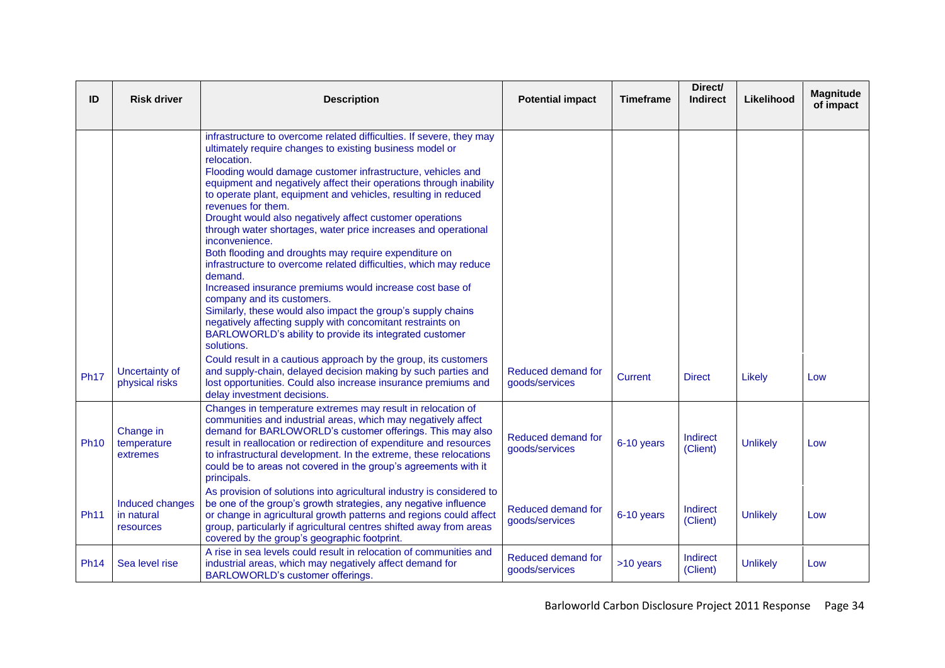| ID          | <b>Risk driver</b>                         | <b>Description</b>                                                                                                                                                                                                                                                                                                                                                                                                                                                                                                                                                                                                                                                                                                                                                                                                                                                                                                                                                     | <b>Potential impact</b>              | <b>Timeframe</b> | Direct/<br><b>Indirect</b> | Likelihood      | <b>Magnitude</b><br>of impact |
|-------------|--------------------------------------------|------------------------------------------------------------------------------------------------------------------------------------------------------------------------------------------------------------------------------------------------------------------------------------------------------------------------------------------------------------------------------------------------------------------------------------------------------------------------------------------------------------------------------------------------------------------------------------------------------------------------------------------------------------------------------------------------------------------------------------------------------------------------------------------------------------------------------------------------------------------------------------------------------------------------------------------------------------------------|--------------------------------------|------------------|----------------------------|-----------------|-------------------------------|
|             |                                            | infrastructure to overcome related difficulties. If severe, they may<br>ultimately require changes to existing business model or<br>relocation.<br>Flooding would damage customer infrastructure, vehicles and<br>equipment and negatively affect their operations through inability<br>to operate plant, equipment and vehicles, resulting in reduced<br>revenues for them.<br>Drought would also negatively affect customer operations<br>through water shortages, water price increases and operational<br>inconvenience.<br>Both flooding and droughts may require expenditure on<br>infrastructure to overcome related difficulties, which may reduce<br>demand.<br>Increased insurance premiums would increase cost base of<br>company and its customers.<br>Similarly, these would also impact the group's supply chains<br>negatively affecting supply with concomitant restraints on<br>BARLOWORLD's ability to provide its integrated customer<br>solutions. |                                      |                  |                            |                 |                               |
| <b>Ph17</b> | Uncertainty of<br>physical risks           | Could result in a cautious approach by the group, its customers<br>and supply-chain, delayed decision making by such parties and<br>lost opportunities. Could also increase insurance premiums and<br>delay investment decisions.                                                                                                                                                                                                                                                                                                                                                                                                                                                                                                                                                                                                                                                                                                                                      | Reduced demand for<br>goods/services | <b>Current</b>   | <b>Direct</b>              | Likely          | Low                           |
| <b>Ph10</b> | Change in<br>temperature<br>extremes       | Changes in temperature extremes may result in relocation of<br>communities and industrial areas, which may negatively affect<br>demand for BARLOWORLD's customer offerings. This may also<br>result in reallocation or redirection of expenditure and resources<br>to infrastructural development. In the extreme, these relocations<br>could be to areas not covered in the group's agreements with it<br>principals.                                                                                                                                                                                                                                                                                                                                                                                                                                                                                                                                                 | Reduced demand for<br>goods/services | 6-10 years       | Indirect<br>(Client)       | <b>Unlikely</b> | Low                           |
| <b>Ph11</b> | Induced changes<br>in natural<br>resources | As provision of solutions into agricultural industry is considered to<br>be one of the group's growth strategies, any negative influence<br>or change in agricultural growth patterns and regions could affect<br>group, particularly if agricultural centres shifted away from areas<br>covered by the group's geographic footprint.                                                                                                                                                                                                                                                                                                                                                                                                                                                                                                                                                                                                                                  | Reduced demand for<br>goods/services | 6-10 years       | Indirect<br>(Client)       | <b>Unlikely</b> | Low                           |
| <b>Ph14</b> | Sea level rise                             | A rise in sea levels could result in relocation of communities and<br>industrial areas, which may negatively affect demand for<br>BARLOWORLD's customer offerings.                                                                                                                                                                                                                                                                                                                                                                                                                                                                                                                                                                                                                                                                                                                                                                                                     | Reduced demand for<br>goods/services | >10 years        | Indirect<br>(Client)       | <b>Unlikely</b> | Low                           |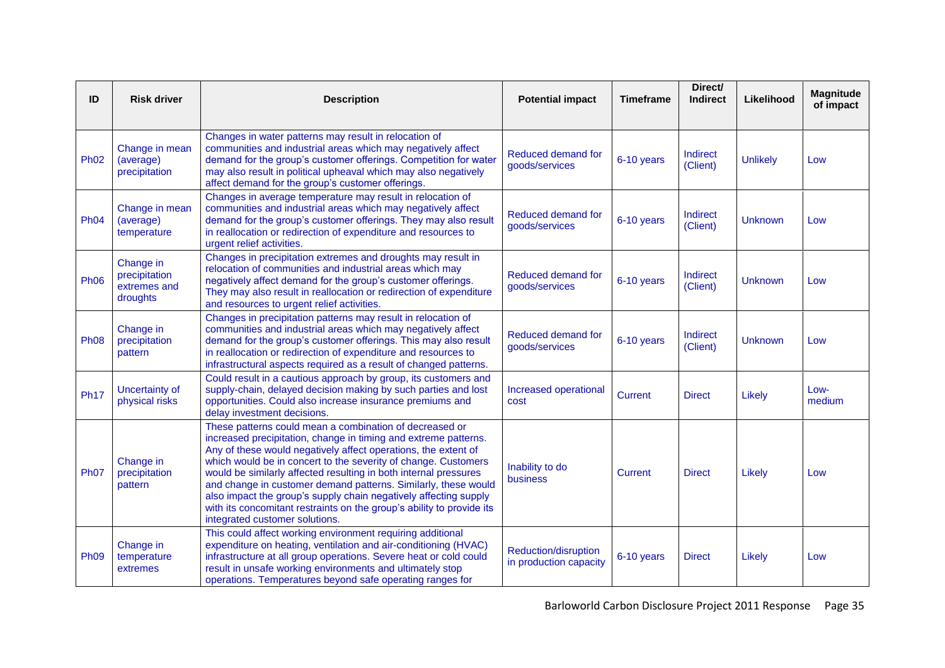| ID          | <b>Risk driver</b>                                     | <b>Description</b>                                                                                                                                                                                                                                                                                                                                                                                                                                                                                                                                                                  | <b>Potential impact</b>                               | <b>Timeframe</b> | Direct/<br><b>Indirect</b> | Likelihood      | <b>Magnitude</b><br>of impact |
|-------------|--------------------------------------------------------|-------------------------------------------------------------------------------------------------------------------------------------------------------------------------------------------------------------------------------------------------------------------------------------------------------------------------------------------------------------------------------------------------------------------------------------------------------------------------------------------------------------------------------------------------------------------------------------|-------------------------------------------------------|------------------|----------------------------|-----------------|-------------------------------|
| <b>Ph02</b> | Change in mean<br>(average)<br>precipitation           | Changes in water patterns may result in relocation of<br>communities and industrial areas which may negatively affect<br>demand for the group's customer offerings. Competition for water<br>may also result in political upheaval which may also negatively<br>affect demand for the group's customer offerings.                                                                                                                                                                                                                                                                   | Reduced demand for<br>goods/services                  | 6-10 years       | Indirect<br>(Client)       | <b>Unlikely</b> | Low                           |
| <b>Ph04</b> | Change in mean<br>(average)<br>temperature             | Changes in average temperature may result in relocation of<br>communities and industrial areas which may negatively affect<br>demand for the group's customer offerings. They may also result<br>in reallocation or redirection of expenditure and resources to<br>urgent relief activities.                                                                                                                                                                                                                                                                                        | Reduced demand for<br>goods/services                  | 6-10 years       | Indirect<br>(Client)       | <b>Unknown</b>  | Low                           |
| <b>Ph06</b> | Change in<br>precipitation<br>extremes and<br>droughts | Changes in precipitation extremes and droughts may result in<br>relocation of communities and industrial areas which may<br>negatively affect demand for the group's customer offerings.<br>They may also result in reallocation or redirection of expenditure<br>and resources to urgent relief activities.                                                                                                                                                                                                                                                                        | Reduced demand for<br>goods/services                  | 6-10 years       | Indirect<br>(Client)       | <b>Unknown</b>  | Low                           |
| <b>Ph08</b> | Change in<br>precipitation<br>pattern                  | Changes in precipitation patterns may result in relocation of<br>communities and industrial areas which may negatively affect<br>demand for the group's customer offerings. This may also result<br>in reallocation or redirection of expenditure and resources to<br>infrastructural aspects required as a result of changed patterns.                                                                                                                                                                                                                                             | Reduced demand for<br>goods/services                  | 6-10 years       | Indirect<br>(Client)       | <b>Unknown</b>  | Low                           |
| <b>Ph17</b> | Uncertainty of<br>physical risks                       | Could result in a cautious approach by group, its customers and<br>supply-chain, delayed decision making by such parties and lost<br>opportunities. Could also increase insurance premiums and<br>delay investment decisions.                                                                                                                                                                                                                                                                                                                                                       | Increased operational<br>cost                         | Current          | <b>Direct</b>              | Likely          | Low-<br>medium                |
| <b>Ph07</b> | Change in<br>precipitation<br>pattern                  | These patterns could mean a combination of decreased or<br>increased precipitation, change in timing and extreme patterns.<br>Any of these would negatively affect operations, the extent of<br>which would be in concert to the severity of change. Customers<br>would be similarly affected resulting in both internal pressures<br>and change in customer demand patterns. Similarly, these would<br>also impact the group's supply chain negatively affecting supply<br>with its concomitant restraints on the group's ability to provide its<br>integrated customer solutions. | Inability to do<br>business                           | Current          | <b>Direct</b>              | Likely          | Low                           |
| <b>Ph09</b> | Change in<br>temperature<br>extremes                   | This could affect working environment requiring additional<br>expenditure on heating, ventilation and air-conditioning (HVAC)<br>infrastructure at all group operations. Severe heat or cold could<br>result in unsafe working environments and ultimately stop<br>operations. Temperatures beyond safe operating ranges for                                                                                                                                                                                                                                                        | <b>Reduction/disruption</b><br>in production capacity | 6-10 years       | <b>Direct</b>              | Likely          | Low                           |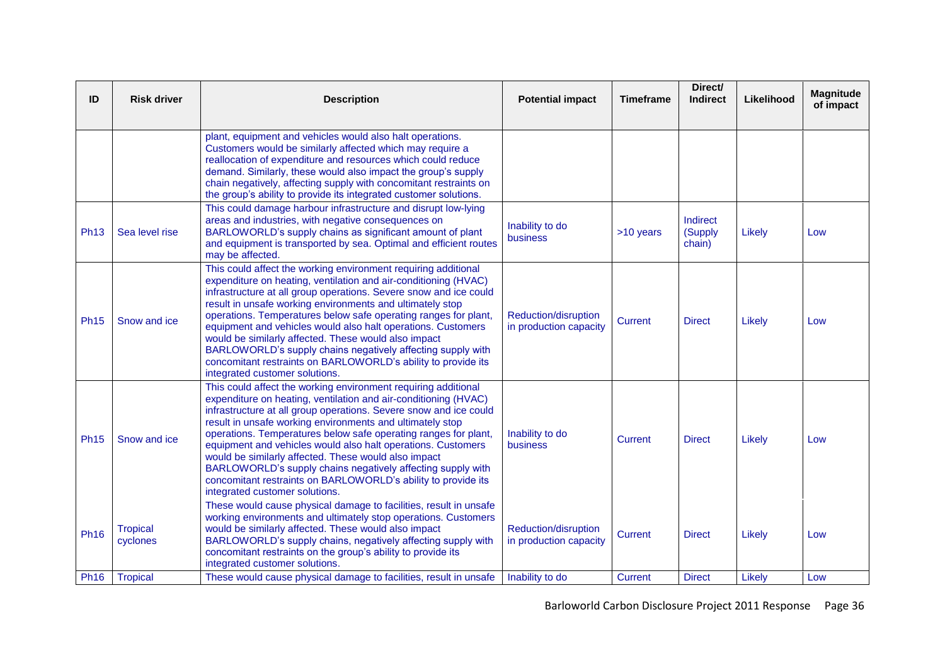| ID          | <b>Risk driver</b>          | <b>Description</b>                                                                                                                                                                                                                                                                                                                                                                                                                                                                                                                                                                                                               | <b>Potential impact</b>                        | <b>Timeframe</b> | Direct/<br><b>Indirect</b>    | Likelihood | <b>Magnitude</b><br>of impact |
|-------------|-----------------------------|----------------------------------------------------------------------------------------------------------------------------------------------------------------------------------------------------------------------------------------------------------------------------------------------------------------------------------------------------------------------------------------------------------------------------------------------------------------------------------------------------------------------------------------------------------------------------------------------------------------------------------|------------------------------------------------|------------------|-------------------------------|------------|-------------------------------|
|             |                             | plant, equipment and vehicles would also halt operations.<br>Customers would be similarly affected which may require a<br>reallocation of expenditure and resources which could reduce<br>demand. Similarly, these would also impact the group's supply<br>chain negatively, affecting supply with concomitant restraints on<br>the group's ability to provide its integrated customer solutions.                                                                                                                                                                                                                                |                                                |                  |                               |            |                               |
| <b>Ph13</b> | Sea level rise              | This could damage harbour infrastructure and disrupt low-lying<br>areas and industries, with negative consequences on<br>BARLOWORLD's supply chains as significant amount of plant<br>and equipment is transported by sea. Optimal and efficient routes<br>may be affected.                                                                                                                                                                                                                                                                                                                                                      | Inability to do<br>business                    | >10 years        | Indirect<br>(Supply<br>chain) | Likely     | Low                           |
| <b>Ph15</b> | Snow and ice                | This could affect the working environment requiring additional<br>expenditure on heating, ventilation and air-conditioning (HVAC)<br>infrastructure at all group operations. Severe snow and ice could<br>result in unsafe working environments and ultimately stop<br>operations. Temperatures below safe operating ranges for plant,<br>equipment and vehicles would also halt operations. Customers<br>would be similarly affected. These would also impact<br>BARLOWORLD's supply chains negatively affecting supply with<br>concomitant restraints on BARLOWORLD's ability to provide its<br>integrated customer solutions. | Reduction/disruption<br>in production capacity | <b>Current</b>   | <b>Direct</b>                 | Likely     | Low                           |
| <b>Ph15</b> | Snow and ice                | This could affect the working environment requiring additional<br>expenditure on heating, ventilation and air-conditioning (HVAC)<br>infrastructure at all group operations. Severe snow and ice could<br>result in unsafe working environments and ultimately stop<br>operations. Temperatures below safe operating ranges for plant,<br>equipment and vehicles would also halt operations. Customers<br>would be similarly affected. These would also impact<br>BARLOWORLD's supply chains negatively affecting supply with<br>concomitant restraints on BARLOWORLD's ability to provide its<br>integrated customer solutions. | Inability to do<br>business                    | Current          | <b>Direct</b>                 | Likely     | Low                           |
| <b>Ph16</b> | <b>Tropical</b><br>cyclones | These would cause physical damage to facilities, result in unsafe<br>working environments and ultimately stop operations. Customers<br>would be similarly affected. These would also impact<br>BARLOWORLD's supply chains, negatively affecting supply with<br>concomitant restraints on the group's ability to provide its<br>integrated customer solutions.                                                                                                                                                                                                                                                                    | Reduction/disruption<br>in production capacity | <b>Current</b>   | <b>Direct</b>                 | Likely     | Low                           |
| <b>Ph16</b> | <b>Tropical</b>             | These would cause physical damage to facilities, result in unsafe                                                                                                                                                                                                                                                                                                                                                                                                                                                                                                                                                                | Inability to do                                | <b>Current</b>   | <b>Direct</b>                 | Likely     | Low                           |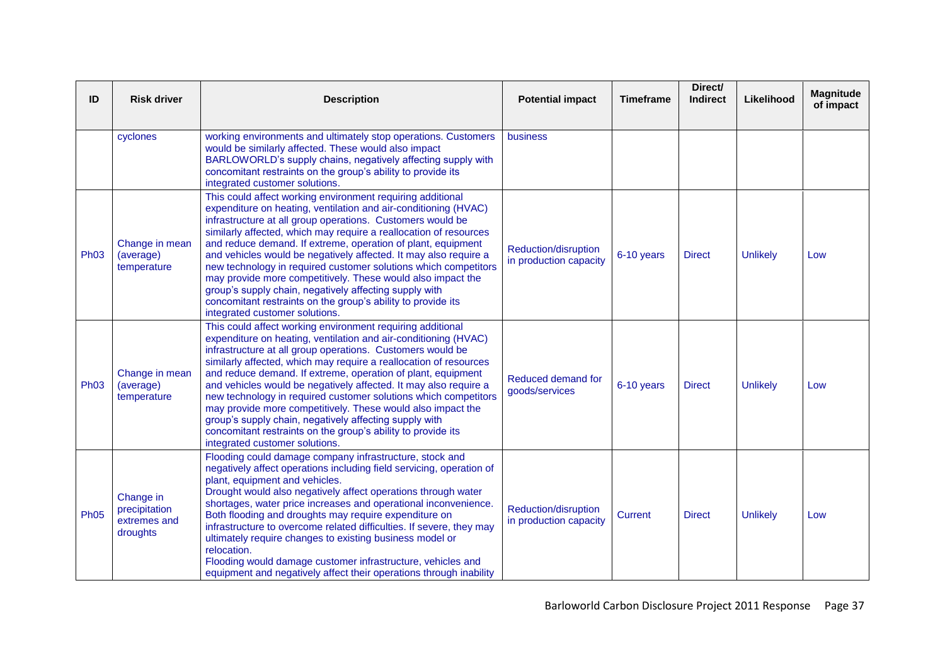| ID          | <b>Risk driver</b>                                     | <b>Description</b>                                                                                                                                                                                                                                                                                                                                                                                                                                                                                                                                                                                                                                                                                 | <b>Potential impact</b>                        | <b>Timeframe</b> | Direct/<br><b>Indirect</b> | Likelihood      | <b>Magnitude</b><br>of impact |
|-------------|--------------------------------------------------------|----------------------------------------------------------------------------------------------------------------------------------------------------------------------------------------------------------------------------------------------------------------------------------------------------------------------------------------------------------------------------------------------------------------------------------------------------------------------------------------------------------------------------------------------------------------------------------------------------------------------------------------------------------------------------------------------------|------------------------------------------------|------------------|----------------------------|-----------------|-------------------------------|
|             | cyclones                                               | working environments and ultimately stop operations. Customers<br>would be similarly affected. These would also impact<br>BARLOWORLD's supply chains, negatively affecting supply with<br>concomitant restraints on the group's ability to provide its<br>integrated customer solutions.                                                                                                                                                                                                                                                                                                                                                                                                           | business                                       |                  |                            |                 |                               |
| <b>Ph03</b> | Change in mean<br>(average)<br>temperature             | This could affect working environment requiring additional<br>expenditure on heating, ventilation and air-conditioning (HVAC)<br>infrastructure at all group operations. Customers would be<br>similarly affected, which may require a reallocation of resources<br>and reduce demand. If extreme, operation of plant, equipment<br>and vehicles would be negatively affected. It may also require a<br>new technology in required customer solutions which competitors<br>may provide more competitively. These would also impact the<br>group's supply chain, negatively affecting supply with<br>concomitant restraints on the group's ability to provide its<br>integrated customer solutions. | Reduction/disruption<br>in production capacity | 6-10 years       | <b>Direct</b>              | <b>Unlikely</b> | Low                           |
| <b>Ph03</b> | Change in mean<br>(average)<br>temperature             | This could affect working environment requiring additional<br>expenditure on heating, ventilation and air-conditioning (HVAC)<br>infrastructure at all group operations. Customers would be<br>similarly affected, which may require a reallocation of resources<br>and reduce demand. If extreme, operation of plant, equipment<br>and vehicles would be negatively affected. It may also require a<br>new technology in required customer solutions which competitors<br>may provide more competitively. These would also impact the<br>group's supply chain, negatively affecting supply with<br>concomitant restraints on the group's ability to provide its<br>integrated customer solutions. | Reduced demand for<br>goods/services           | 6-10 years       | <b>Direct</b>              | <b>Unlikely</b> | Low                           |
| <b>Ph05</b> | Change in<br>precipitation<br>extremes and<br>droughts | Flooding could damage company infrastructure, stock and<br>negatively affect operations including field servicing, operation of<br>plant, equipment and vehicles.<br>Drought would also negatively affect operations through water<br>shortages, water price increases and operational inconvenience.<br>Both flooding and droughts may require expenditure on<br>infrastructure to overcome related difficulties. If severe, they may<br>ultimately require changes to existing business model or<br>relocation.<br>Flooding would damage customer infrastructure, vehicles and<br>equipment and negatively affect their operations through inability                                             | Reduction/disruption<br>in production capacity | <b>Current</b>   | <b>Direct</b>              | <b>Unlikely</b> | Low                           |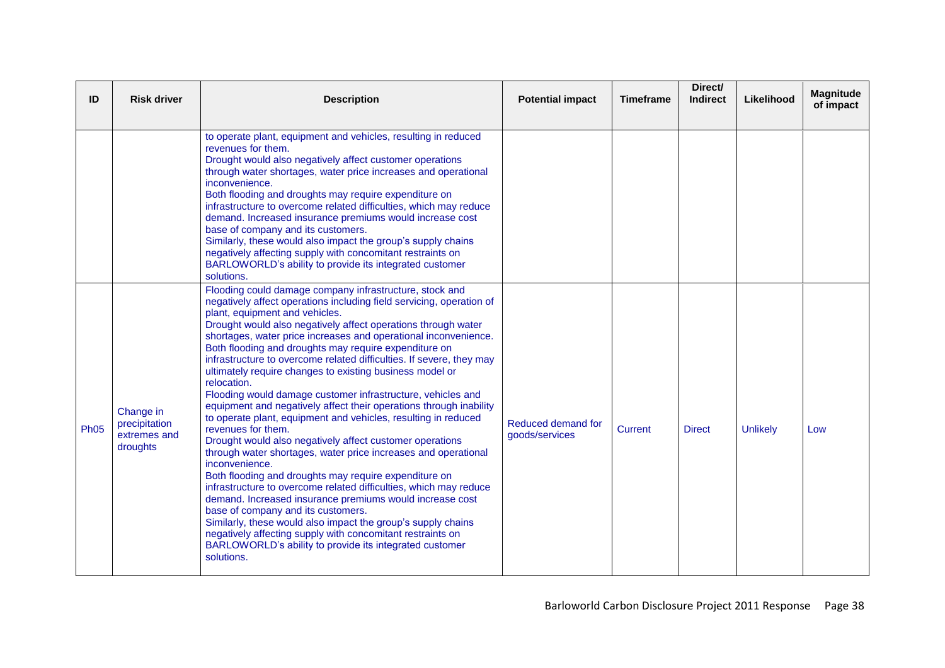| ID          | <b>Risk driver</b>                                     | <b>Description</b>                                                                                                                                                                                                                                                                                                                                                                                                                                                                                                                                                                                                                                                                                                                                                                                                                                                                                                                                                                                                                                                                                                                                                                                                                                                                                                                    | <b>Potential impact</b>              | <b>Timeframe</b> | Direct/<br><b>Indirect</b> | Likelihood      | <b>Magnitude</b><br>of impact |
|-------------|--------------------------------------------------------|---------------------------------------------------------------------------------------------------------------------------------------------------------------------------------------------------------------------------------------------------------------------------------------------------------------------------------------------------------------------------------------------------------------------------------------------------------------------------------------------------------------------------------------------------------------------------------------------------------------------------------------------------------------------------------------------------------------------------------------------------------------------------------------------------------------------------------------------------------------------------------------------------------------------------------------------------------------------------------------------------------------------------------------------------------------------------------------------------------------------------------------------------------------------------------------------------------------------------------------------------------------------------------------------------------------------------------------|--------------------------------------|------------------|----------------------------|-----------------|-------------------------------|
|             |                                                        | to operate plant, equipment and vehicles, resulting in reduced<br>revenues for them.<br>Drought would also negatively affect customer operations<br>through water shortages, water price increases and operational<br>inconvenience.<br>Both flooding and droughts may require expenditure on<br>infrastructure to overcome related difficulties, which may reduce<br>demand. Increased insurance premiums would increase cost<br>base of company and its customers.<br>Similarly, these would also impact the group's supply chains<br>negatively affecting supply with concomitant restraints on<br>BARLOWORLD's ability to provide its integrated customer<br>solutions.                                                                                                                                                                                                                                                                                                                                                                                                                                                                                                                                                                                                                                                           |                                      |                  |                            |                 |                               |
| <b>Ph05</b> | Change in<br>precipitation<br>extremes and<br>droughts | Flooding could damage company infrastructure, stock and<br>negatively affect operations including field servicing, operation of<br>plant, equipment and vehicles.<br>Drought would also negatively affect operations through water<br>shortages, water price increases and operational inconvenience.<br>Both flooding and droughts may require expenditure on<br>infrastructure to overcome related difficulties. If severe, they may<br>ultimately require changes to existing business model or<br>relocation.<br>Flooding would damage customer infrastructure, vehicles and<br>equipment and negatively affect their operations through inability<br>to operate plant, equipment and vehicles, resulting in reduced<br>revenues for them.<br>Drought would also negatively affect customer operations<br>through water shortages, water price increases and operational<br>inconvenience.<br>Both flooding and droughts may require expenditure on<br>infrastructure to overcome related difficulties, which may reduce<br>demand. Increased insurance premiums would increase cost<br>base of company and its customers.<br>Similarly, these would also impact the group's supply chains<br>negatively affecting supply with concomitant restraints on<br>BARLOWORLD's ability to provide its integrated customer<br>solutions. | Reduced demand for<br>goods/services | <b>Current</b>   | <b>Direct</b>              | <b>Unlikely</b> | Low                           |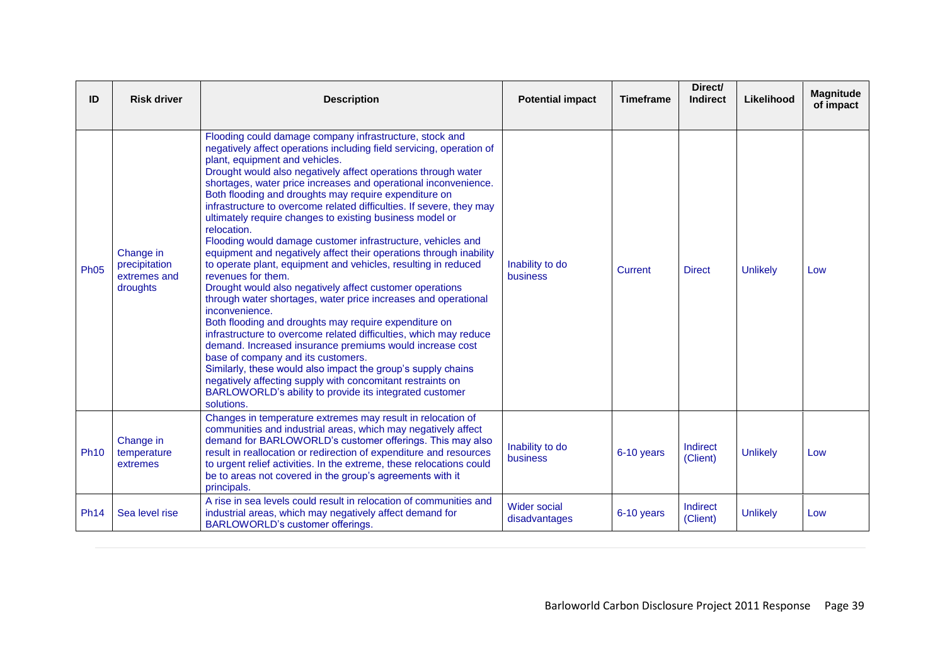| ID          | <b>Risk driver</b>                                     | <b>Description</b>                                                                                                                                                                                                                                                                                                                                                                                                                                                                                                                                                                                                                                                                                                                                                                                                                                                                                                                                                                                                                                                                                                                                                                                                                                                                                                                    | <b>Potential impact</b>              | <b>Timeframe</b> | Direct/<br><b>Indirect</b> | Likelihood      | <b>Magnitude</b><br>of impact |
|-------------|--------------------------------------------------------|---------------------------------------------------------------------------------------------------------------------------------------------------------------------------------------------------------------------------------------------------------------------------------------------------------------------------------------------------------------------------------------------------------------------------------------------------------------------------------------------------------------------------------------------------------------------------------------------------------------------------------------------------------------------------------------------------------------------------------------------------------------------------------------------------------------------------------------------------------------------------------------------------------------------------------------------------------------------------------------------------------------------------------------------------------------------------------------------------------------------------------------------------------------------------------------------------------------------------------------------------------------------------------------------------------------------------------------|--------------------------------------|------------------|----------------------------|-----------------|-------------------------------|
| <b>Ph05</b> | Change in<br>precipitation<br>extremes and<br>droughts | Flooding could damage company infrastructure, stock and<br>negatively affect operations including field servicing, operation of<br>plant, equipment and vehicles.<br>Drought would also negatively affect operations through water<br>shortages, water price increases and operational inconvenience.<br>Both flooding and droughts may require expenditure on<br>infrastructure to overcome related difficulties. If severe, they may<br>ultimately require changes to existing business model or<br>relocation.<br>Flooding would damage customer infrastructure, vehicles and<br>equipment and negatively affect their operations through inability<br>to operate plant, equipment and vehicles, resulting in reduced<br>revenues for them.<br>Drought would also negatively affect customer operations<br>through water shortages, water price increases and operational<br>inconvenience.<br>Both flooding and droughts may require expenditure on<br>infrastructure to overcome related difficulties, which may reduce<br>demand. Increased insurance premiums would increase cost<br>base of company and its customers.<br>Similarly, these would also impact the group's supply chains<br>negatively affecting supply with concomitant restraints on<br>BARLOWORLD's ability to provide its integrated customer<br>solutions. | Inability to do<br>business          | Current          | <b>Direct</b>              | <b>Unlikely</b> | Low                           |
| <b>Ph10</b> | Change in<br>temperature<br>extremes                   | Changes in temperature extremes may result in relocation of<br>communities and industrial areas, which may negatively affect<br>demand for BARLOWORLD's customer offerings. This may also<br>result in reallocation or redirection of expenditure and resources<br>to urgent relief activities. In the extreme, these relocations could<br>be to areas not covered in the group's agreements with it<br>principals.                                                                                                                                                                                                                                                                                                                                                                                                                                                                                                                                                                                                                                                                                                                                                                                                                                                                                                                   | Inability to do<br>business          | 6-10 years       | Indirect<br>(Client)       | <b>Unlikely</b> | Low                           |
| <b>Ph14</b> | Sea level rise                                         | A rise in sea levels could result in relocation of communities and<br>industrial areas, which may negatively affect demand for<br>BARLOWORLD's customer offerings.                                                                                                                                                                                                                                                                                                                                                                                                                                                                                                                                                                                                                                                                                                                                                                                                                                                                                                                                                                                                                                                                                                                                                                    | <b>Wider social</b><br>disadvantages | 6-10 years       | Indirect<br>(Client)       | <b>Unlikely</b> | Low                           |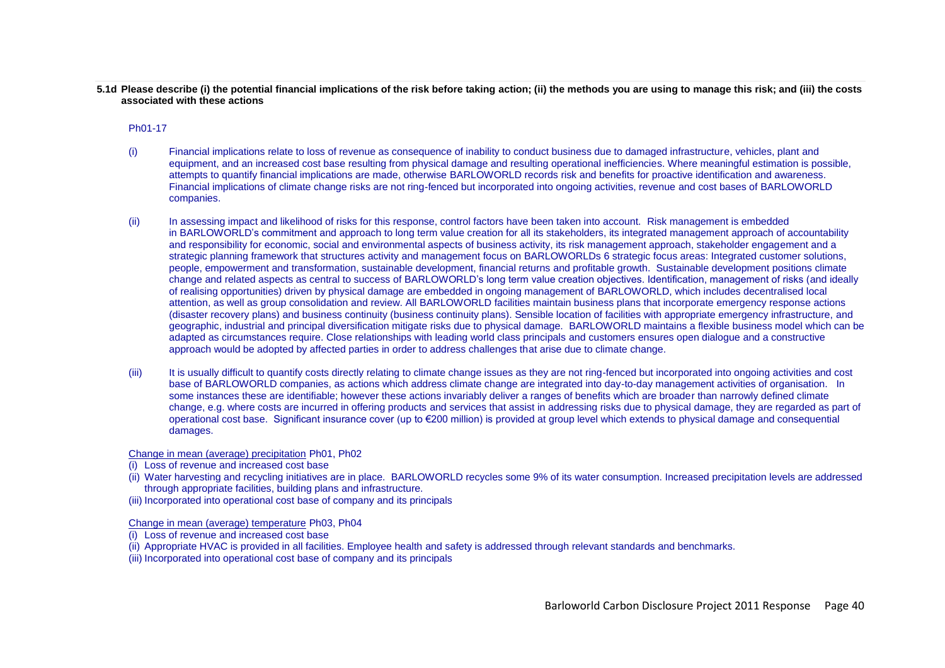**5.1d Please describe (i) the potential financial implications of the risk before taking action; (ii) the methods you are using to manage this risk; and (iii) the costs associated with these actions**

Ph01-17

- (i) Financial implications relate to loss of revenue as consequence of inability to conduct business due to damaged infrastructure, vehicles, plant and equipment, and an increased cost base resulting from physical damage and resulting operational inefficiencies. Where meaningful estimation is possible, attempts to quantify financial implications are made, otherwise BARLOWORLD records risk and benefits for proactive identification and awareness. Financial implications of climate change risks are not ring-fenced but incorporated into ongoing activities, revenue and cost bases of BARLOWORLD companies.
- (ii) In assessing impact and likelihood of risks for this response, control factors have been taken into account. Risk management is embedded in BARLOWORLD"s commitment and approach to long term value creation for all its stakeholders, its integrated management approach of accountability and responsibility for economic, social and environmental aspects of business activity, its risk management approach, stakeholder engagement and a strategic planning framework that structures activity and management focus on BARLOWORLDs 6 strategic focus areas: Integrated customer solutions, people, empowerment and transformation, sustainable development, financial returns and profitable growth. Sustainable development positions climate change and related aspects as central to success of BARLOWORLD"s long term value creation objectives. Identification, management of risks (and ideally of realising opportunities) driven by physical damage are embedded in ongoing management of BARLOWORLD, which includes decentralised local attention, as well as group consolidation and review. All BARLOWORLD facilities maintain business plans that incorporate emergency response actions (disaster recovery plans) and business continuity (business continuity plans). Sensible location of facilities with appropriate emergency infrastructure, and geographic, industrial and principal diversification mitigate risks due to physical damage. BARLOWORLD maintains a flexible business model which can be adapted as circumstances require. Close relationships with leading world class principals and customers ensures open dialogue and a constructive approach would be adopted by affected parties in order to address challenges that arise due to climate change.
- (iii) It is usually difficult to quantify costs directly relating to climate change issues as they are not ring-fenced but incorporated into ongoing activities and cost base of BARLOWORLD companies, as actions which address climate change are integrated into day-to-day management activities of organisation. In some instances these are identifiable; however these actions invariably deliver a ranges of benefits which are broader than narrowly defined climate change, e.g. where costs are incurred in offering products and services that assist in addressing risks due to physical damage, they are regarded as part of operational cost base. Significant insurance cover (up to €200 million) is provided at group level which extends to physical damage and consequential damages.

Change in mean (average) precipitation Ph01, Ph02

- (i) Loss of revenue and increased cost base
- (ii) Water harvesting and recycling initiatives are in place. BARLOWORLD recycles some 9% of its water consumption. Increased precipitation levels are addressed through appropriate facilities, building plans and infrastructure.
- (iii) Incorporated into operational cost base of company and its principals

Change in mean (average) temperature Ph03, Ph04

- (i) Loss of revenue and increased cost base
- (ii) Appropriate HVAC is provided in all facilities. Employee health and safety is addressed through relevant standards and benchmarks.
- (iii) Incorporated into operational cost base of company and its principals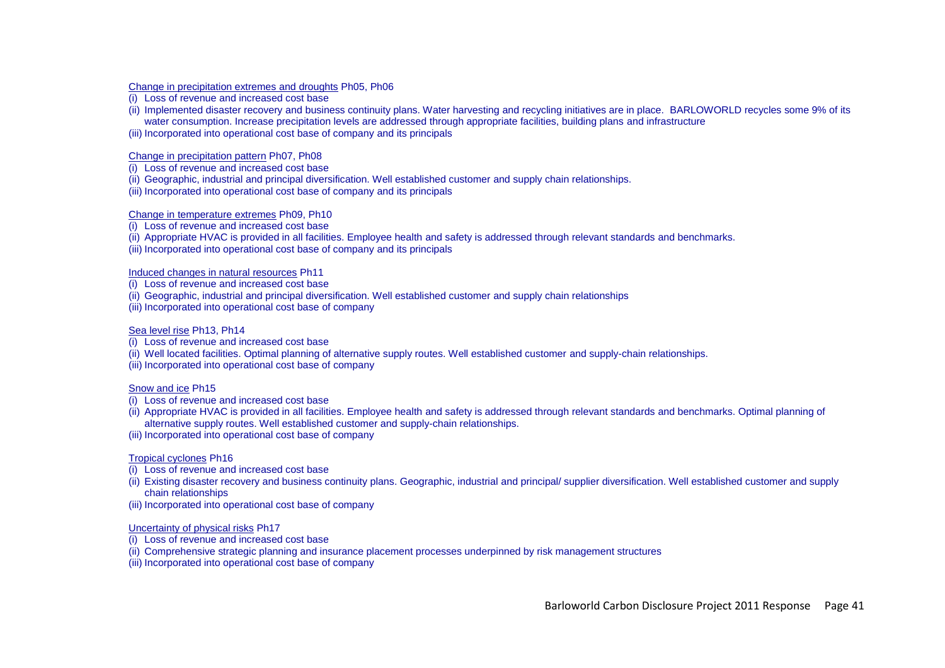Change in precipitation extremes and droughts Ph05, Ph06

- (i) Loss of revenue and increased cost base
- (ii) Implemented disaster recovery and business continuity plans. Water harvesting and recycling initiatives are in place. BARLOWORLD recycles some 9% of its water consumption. Increase precipitation levels are addressed through appropriate facilities, building plans and infrastructure
- (iii) Incorporated into operational cost base of company and its principals

### Change in precipitation pattern Ph07, Ph08

- (i) Loss of revenue and increased cost base
- (ii) Geographic, industrial and principal diversification. Well established customer and supply chain relationships.
- (iii) Incorporated into operational cost base of company and its principals

### Change in temperature extremes Ph09, Ph10

- (i) Loss of revenue and increased cost base
- (ii) Appropriate HVAC is provided in all facilities. Employee health and safety is addressed through relevant standards and benchmarks.
- (iii) Incorporated into operational cost base of company and its principals

## Induced changes in natural resources Ph11

- (i) Loss of revenue and increased cost base
- (ii) Geographic, industrial and principal diversification. Well established customer and supply chain relationships
- (iii) Incorporated into operational cost base of company

## Sea level rise Ph13, Ph14

- (i) Loss of revenue and increased cost base
- (ii) Well located facilities. Optimal planning of alternative supply routes. Well established customer and supply-chain relationships.
- (iii) Incorporated into operational cost base of company

## Snow and ice Ph15

- (i) Loss of revenue and increased cost base
- (ii) Appropriate HVAC is provided in all facilities. Employee health and safety is addressed through relevant standards and benchmarks. Optimal planning of alternative supply routes. Well established customer and supply-chain relationships.
- (iii) Incorporated into operational cost base of company

## Tropical cyclones Ph16

- (i) Loss of revenue and increased cost base
- (ii) Existing disaster recovery and business continuity plans. Geographic, industrial and principal/ supplier diversification. Well established customer and supply chain relationships
- (iii) Incorporated into operational cost base of company

## Uncertainty of physical risks Ph17

- (i) Loss of revenue and increased cost base
- (ii) Comprehensive strategic planning and insurance placement processes underpinned by risk management structures
- (iii) Incorporated into operational cost base of company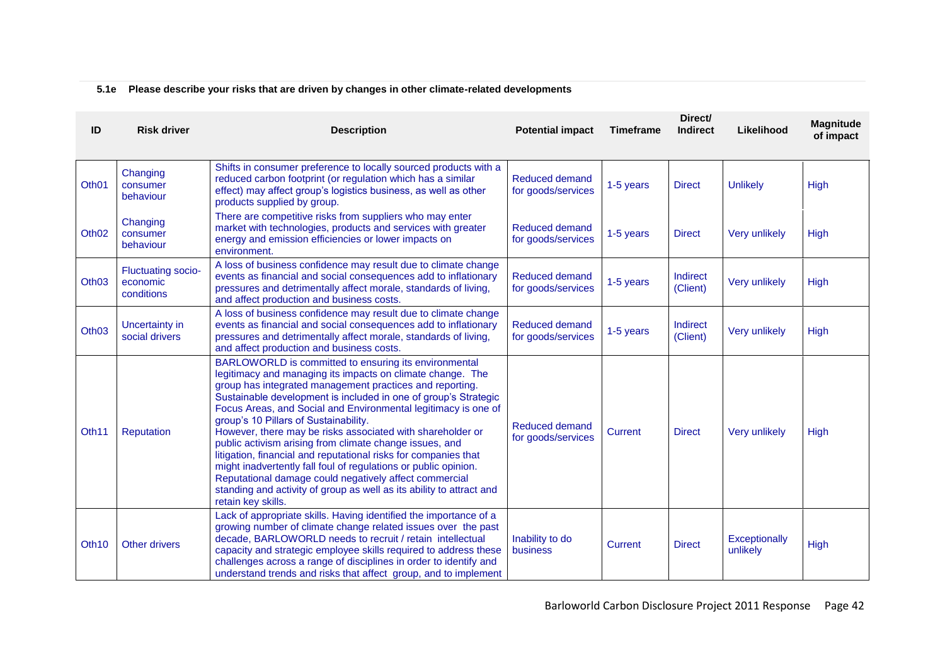# **5.1e Please describe your risks that are driven by changes in other climate-related developments**

| ID                | <b>Risk driver</b>                                  | <b>Description</b>                                                                                                                                                                                                                                                                                                                                                                                                                                                                                                                                                                                                                                                                                                                                                                   | <b>Potential impact</b>                     | <b>Timeframe</b> | Direct/<br><b>Indirect</b> | Likelihood                | Magnitude<br>of impact |
|-------------------|-----------------------------------------------------|--------------------------------------------------------------------------------------------------------------------------------------------------------------------------------------------------------------------------------------------------------------------------------------------------------------------------------------------------------------------------------------------------------------------------------------------------------------------------------------------------------------------------------------------------------------------------------------------------------------------------------------------------------------------------------------------------------------------------------------------------------------------------------------|---------------------------------------------|------------------|----------------------------|---------------------------|------------------------|
| Oth <sub>01</sub> | Changing<br>consumer<br>behaviour                   | Shifts in consumer preference to locally sourced products with a<br>reduced carbon footprint (or regulation which has a similar<br>effect) may affect group's logistics business, as well as other<br>products supplied by group.                                                                                                                                                                                                                                                                                                                                                                                                                                                                                                                                                    | <b>Reduced demand</b><br>for goods/services | 1-5 years        | <b>Direct</b>              | <b>Unlikely</b>           | High                   |
| Oth <sub>02</sub> | Changing<br>consumer<br>behaviour                   | There are competitive risks from suppliers who may enter<br>market with technologies, products and services with greater<br>energy and emission efficiencies or lower impacts on<br>environment.                                                                                                                                                                                                                                                                                                                                                                                                                                                                                                                                                                                     | <b>Reduced demand</b><br>for goods/services | 1-5 years        | <b>Direct</b>              | Very unlikely             | High                   |
| Oth <sub>03</sub> | <b>Fluctuating socio-</b><br>economic<br>conditions | A loss of business confidence may result due to climate change<br>events as financial and social consequences add to inflationary<br>pressures and detrimentally affect morale, standards of living,<br>and affect production and business costs.                                                                                                                                                                                                                                                                                                                                                                                                                                                                                                                                    | <b>Reduced demand</b><br>for goods/services | 1-5 years        | Indirect<br>(Client)       | Very unlikely             | High                   |
| Oth <sub>03</sub> | <b>Uncertainty in</b><br>social drivers             | A loss of business confidence may result due to climate change<br>events as financial and social consequences add to inflationary<br>pressures and detrimentally affect morale, standards of living,<br>and affect production and business costs.                                                                                                                                                                                                                                                                                                                                                                                                                                                                                                                                    | <b>Reduced demand</b><br>for goods/services | 1-5 years        | Indirect<br>(Client)       | Very unlikely             | High                   |
| Oth <sub>11</sub> | Reputation                                          | BARLOWORLD is committed to ensuring its environmental<br>legitimacy and managing its impacts on climate change. The<br>group has integrated management practices and reporting.<br>Sustainable development is included in one of group's Strategic<br>Focus Areas, and Social and Environmental legitimacy is one of<br>group's 10 Pillars of Sustainability.<br>However, there may be risks associated with shareholder or<br>public activism arising from climate change issues, and<br>litigation, financial and reputational risks for companies that<br>might inadvertently fall foul of regulations or public opinion.<br>Reputational damage could negatively affect commercial<br>standing and activity of group as well as its ability to attract and<br>retain key skills. | <b>Reduced demand</b><br>for goods/services | <b>Current</b>   | <b>Direct</b>              | Very unlikely             | High                   |
| Oth <sub>10</sub> | <b>Other drivers</b>                                | Lack of appropriate skills. Having identified the importance of a<br>growing number of climate change related issues over the past<br>decade, BARLOWORLD needs to recruit / retain intellectual<br>capacity and strategic employee skills required to address these<br>challenges across a range of disciplines in order to identify and<br>understand trends and risks that affect group, and to implement                                                                                                                                                                                                                                                                                                                                                                          | Inability to do<br>business                 | <b>Current</b>   | <b>Direct</b>              | Exceptionally<br>unlikely | High                   |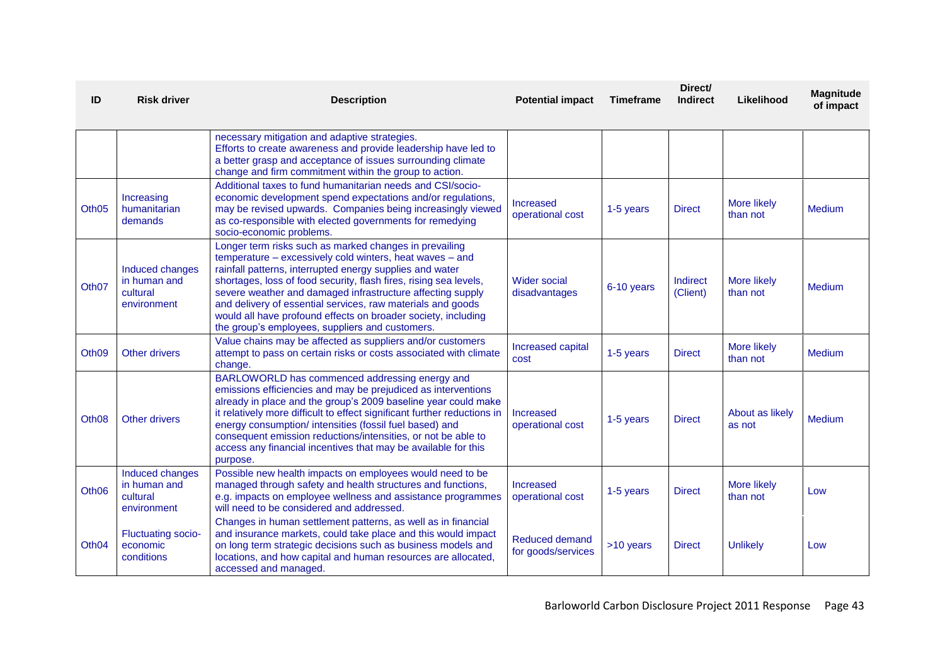| ID                | <b>Risk driver</b>                                         | <b>Description</b>                                                                                                                                                                                                                                                                                                                                                                                                                                                                                   | <b>Potential impact</b>                     | <b>Timeframe</b> | Direct/<br><b>Indirect</b> | Likelihood                     | <b>Magnitude</b><br>of impact |
|-------------------|------------------------------------------------------------|------------------------------------------------------------------------------------------------------------------------------------------------------------------------------------------------------------------------------------------------------------------------------------------------------------------------------------------------------------------------------------------------------------------------------------------------------------------------------------------------------|---------------------------------------------|------------------|----------------------------|--------------------------------|-------------------------------|
|                   |                                                            | necessary mitigation and adaptive strategies.<br>Efforts to create awareness and provide leadership have led to<br>a better grasp and acceptance of issues surrounding climate<br>change and firm commitment within the group to action.                                                                                                                                                                                                                                                             |                                             |                  |                            |                                |                               |
| Oth <sub>05</sub> | Increasing<br>humanitarian<br>demands                      | Additional taxes to fund humanitarian needs and CSI/socio-<br>economic development spend expectations and/or regulations,<br>may be revised upwards. Companies being increasingly viewed<br>as co-responsible with elected governments for remedying<br>socio-economic problems.                                                                                                                                                                                                                     | Increased<br>operational cost               | 1-5 years        | <b>Direct</b>              | More likely<br>than not        | <b>Medium</b>                 |
| Oth <sub>07</sub> | Induced changes<br>in human and<br>cultural<br>environment | Longer term risks such as marked changes in prevailing<br>temperature - excessively cold winters, heat waves - and<br>rainfall patterns, interrupted energy supplies and water<br>shortages, loss of food security, flash fires, rising sea levels,<br>severe weather and damaged infrastructure affecting supply<br>and delivery of essential services, raw materials and goods<br>would all have profound effects on broader society, including<br>the group's employees, suppliers and customers. | <b>Wider social</b><br>disadvantages        | 6-10 years       | Indirect<br>(Client)       | <b>More likely</b><br>than not | <b>Medium</b>                 |
| Oth <sub>09</sub> | Other drivers                                              | Value chains may be affected as suppliers and/or customers<br>attempt to pass on certain risks or costs associated with climate<br>change.                                                                                                                                                                                                                                                                                                                                                           | Increased capital<br>cost                   | 1-5 years        | <b>Direct</b>              | More likely<br>than not        | Medium                        |
| Oth <sub>08</sub> | Other drivers                                              | BARLOWORLD has commenced addressing energy and<br>emissions efficiencies and may be prejudiced as interventions<br>already in place and the group's 2009 baseline year could make<br>it relatively more difficult to effect significant further reductions in<br>energy consumption/ intensities (fossil fuel based) and<br>consequent emission reductions/intensities, or not be able to<br>access any financial incentives that may be available for this<br>purpose.                              | Increased<br>operational cost               | 1-5 years        | <b>Direct</b>              | About as likely<br>as not      | Medium                        |
| Oth <sub>06</sub> | Induced changes<br>in human and<br>cultural<br>environment | Possible new health impacts on employees would need to be<br>managed through safety and health structures and functions,<br>e.g. impacts on employee wellness and assistance programmes<br>will need to be considered and addressed.                                                                                                                                                                                                                                                                 | <b>Increased</b><br>operational cost        | 1-5 years        | <b>Direct</b>              | <b>More likely</b><br>than not | Low                           |
| Oth <sub>04</sub> | <b>Fluctuating socio-</b><br>economic<br>conditions        | Changes in human settlement patterns, as well as in financial<br>and insurance markets, could take place and this would impact<br>on long term strategic decisions such as business models and<br>locations, and how capital and human resources are allocated,<br>accessed and managed.                                                                                                                                                                                                             | <b>Reduced demand</b><br>for goods/services | >10 years        | <b>Direct</b>              | <b>Unlikely</b>                | Low                           |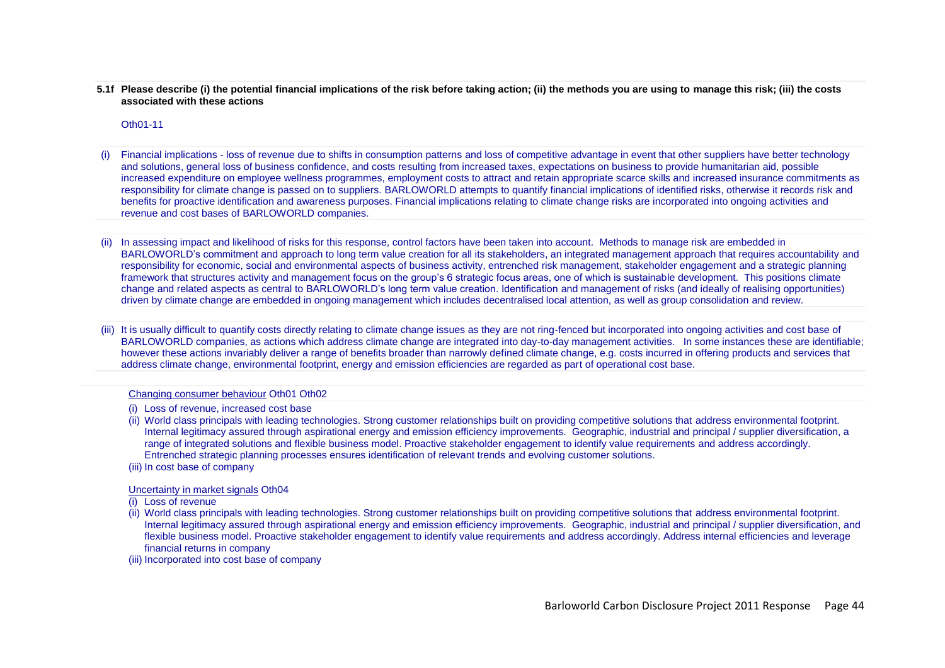**5.1f Please describe (i) the potential financial implications of the risk before taking action; (ii) the methods you are using to manage this risk; (iii) the costs associated with these actions**

Oth01-11

- Financial implications loss of revenue due to shifts in consumption patterns and loss of competitive advantage in event that other suppliers have better technology and solutions, general loss of business confidence, and costs resulting from increased taxes, expectations on business to provide humanitarian aid, possible increased expenditure on employee wellness programmes, employment costs to attract and retain appropriate scarce skills and increased insurance commitments as responsibility for climate change is passed on to suppliers. BARLOWORLD attempts to quantify financial implications of identified risks, otherwise it records risk and benefits for proactive identification and awareness purposes. Financial implications relating to climate change risks are incorporated into ongoing activities and revenue and cost bases of BARLOWORLD companies.
- (ii) In assessing impact and likelihood of risks for this response, control factors have been taken into account. Methods to manage risk are embedded in BARLOWORLD"s commitment and approach to long term value creation for all its stakeholders, an integrated management approach that requires accountability and responsibility for economic, social and environmental aspects of business activity, entrenched risk management, stakeholder engagement and a strategic planning framework that structures activity and management focus on the group"s 6 strategic focus areas, one of which is sustainable development. This positions climate change and related aspects as central to BARLOWORLD"s long term value creation. Identification and management of risks (and ideally of realising opportunities) driven by climate change are embedded in ongoing management which includes decentralised local attention, as well as group consolidation and review.
- (iii) It is usually difficult to quantify costs directly relating to climate change issues as they are not ring-fenced but incorporated into ongoing activities and cost base of BARLOWORLD companies, as actions which address climate change are integrated into day-to-day management activities. In some instances these are identifiable; however these actions invariably deliver a range of benefits broader than narrowly defined climate change, e.g. costs incurred in offering products and services that address climate change, environmental footprint, energy and emission efficiencies are regarded as part of operational cost base.

#### Changing consumer behaviour Oth01 Oth02

- (i) Loss of revenue, increased cost base
- (ii) World class principals with leading technologies. Strong customer relationships built on providing competitive solutions that address environmental footprint. Internal legitimacy assured through aspirational energy and emission efficiency improvements. Geographic, industrial and principal / supplier diversification, a range of integrated solutions and flexible business model. Proactive stakeholder engagement to identify value requirements and address accordingly. Entrenched strategic planning processes ensures identification of relevant trends and evolving customer solutions.
- (iii) In cost base of company

Uncertainty in market signals Oth04

- (i) Loss of revenue
- (ii) World class principals with leading technologies. Strong customer relationships built on providing competitive solutions that address environmental footprint. Internal legitimacy assured through aspirational energy and emission efficiency improvements. Geographic, industrial and principal / supplier diversification, and flexible business model. Proactive stakeholder engagement to identify value requirements and address accordingly. Address internal efficiencies and leverage financial returns in company
- (iii) Incorporated into cost base of company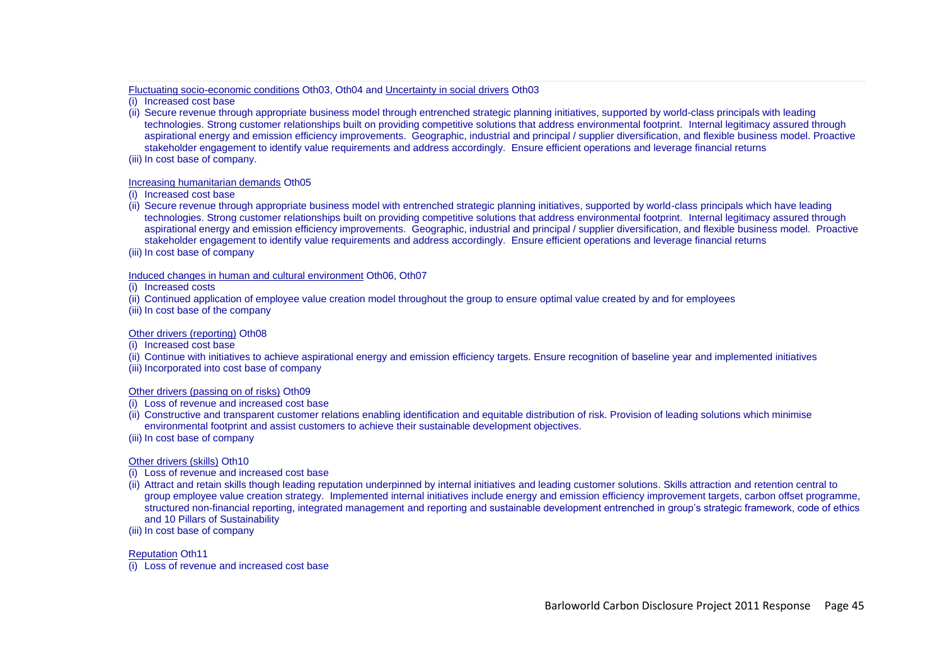Fluctuating socio-economic conditions Oth03, Oth04 and Uncertainty in social drivers Oth03

(i) Increased cost base

- (ii) Secure revenue through appropriate business model through entrenched strategic planning initiatives, supported by world-class principals with leading technologies. Strong customer relationships built on providing competitive solutions that address environmental footprint. Internal legitimacy assured through aspirational energy and emission efficiency improvements. Geographic, industrial and principal / supplier diversification, and flexible business model. Proactive stakeholder engagement to identify value requirements and address accordingly. Ensure efficient operations and leverage financial returns
- (iii) In cost base of company.

### Increasing humanitarian demands Oth05

(i) Increased cost base

- (ii) Secure revenue through appropriate business model with entrenched strategic planning initiatives, supported by world-class principals which have leading technologies. Strong customer relationships built on providing competitive solutions that address environmental footprint. Internal legitimacy assured through aspirational energy and emission efficiency improvements. Geographic, industrial and principal / supplier diversification, and flexible business model. Proactive stakeholder engagement to identify value requirements and address accordingly. Ensure efficient operations and leverage financial returns
- (iii) In cost base of company

### Induced changes in human and cultural environment Oth06, Oth07

(i) Increased costs

(ii) Continued application of employee value creation model throughout the group to ensure optimal value created by and for employees

(iii) In cost base of the company

## Other drivers (reporting) Oth08

(i) Increased cost base

(ii) Continue with initiatives to achieve aspirational energy and emission efficiency targets. Ensure recognition of baseline year and implemented initiatives

(iii) Incorporated into cost base of company

## Other drivers (passing on of risks) Oth09

- (i) Loss of revenue and increased cost base
- (ii) Constructive and transparent customer relations enabling identification and equitable distribution of risk. Provision of leading solutions which minimise environmental footprint and assist customers to achieve their sustainable development objectives.
- (iii) In cost base of company

## Other drivers (skills) Oth10

- (i) Loss of revenue and increased cost base
- (ii) Attract and retain skills though leading reputation underpinned by internal initiatives and leading customer solutions. Skills attraction and retention central to group employee value creation strategy. Implemented internal initiatives include energy and emission efficiency improvement targets, carbon offset programme, structured non-financial reporting, integrated management and reporting and sustainable development entrenched in group"s strategic framework, code of ethics and 10 Pillars of Sustainability
- (iii) In cost base of company

Reputation Oth11

(i) Loss of revenue and increased cost base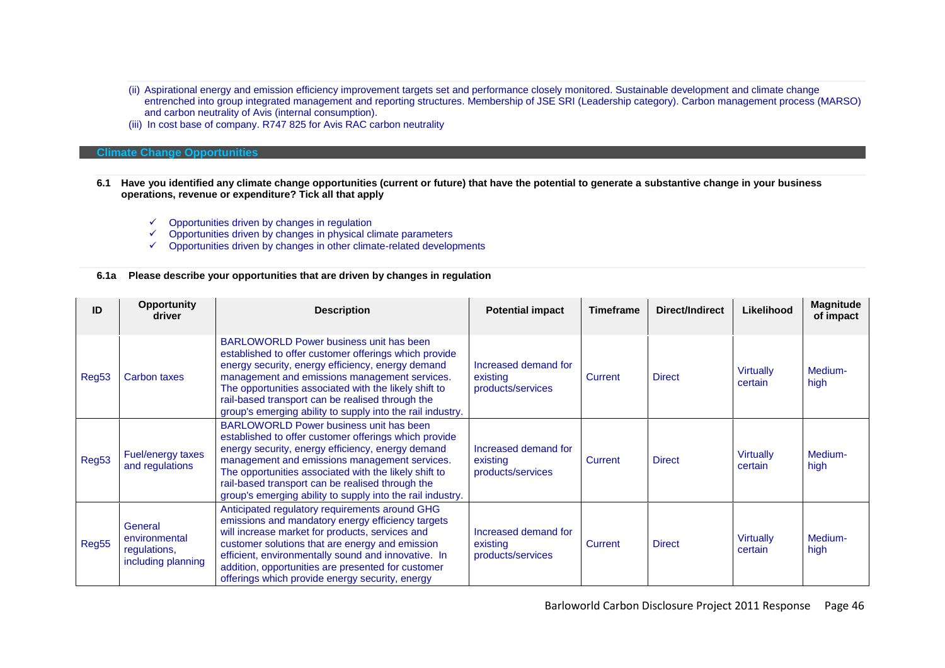- (ii) Aspirational energy and emission efficiency improvement targets set and performance closely monitored. Sustainable development and climate change entrenched into group integrated management and reporting structures. Membership of JSE SRI (Leadership category). Carbon management process (MARSO) and carbon neutrality of Avis (internal consumption).
- (iii) In cost base of company. R747 825 for Avis RAC carbon neutrality

#### **Climate Change Opportunities**

- **6.1 Have you identified any climate change opportunities (current or future) that have the potential to generate a substantive change in your business operations, revenue or expenditure? Tick all that apply**
	- $\checkmark$  Opportunities driven by changes in regulation
	- $\checkmark$  Opportunities driven by changes in physical climate parameters
	- $\checkmark$  Opportunities driven by changes in other climate-related developments

### **6.1a Please describe your opportunities that are driven by changes in regulation**

| ID    | <b>Opportunity</b><br>driver                                   | <b>Description</b>                                                                                                                                                                                                                                                                                                                                                                | <b>Potential impact</b>                               | <b>Timeframe</b> | Direct/Indirect | Likelihood                  | <b>Magnitude</b><br>of impact |
|-------|----------------------------------------------------------------|-----------------------------------------------------------------------------------------------------------------------------------------------------------------------------------------------------------------------------------------------------------------------------------------------------------------------------------------------------------------------------------|-------------------------------------------------------|------------------|-----------------|-----------------------------|-------------------------------|
| Reg53 | Carbon taxes                                                   | BARLOWORLD Power business unit has been<br>established to offer customer offerings which provide<br>energy security, energy efficiency, energy demand<br>management and emissions management services.<br>The opportunities associated with the likely shift to<br>rail-based transport can be realised through the<br>group's emerging ability to supply into the rail industry. | Increased demand for<br>existing<br>products/services | Current          | <b>Direct</b>   | <b>Virtually</b><br>certain | Medium-<br>high               |
| Reg53 | Fuel/energy taxes<br>and regulations                           | BARLOWORLD Power business unit has been<br>established to offer customer offerings which provide<br>energy security, energy efficiency, energy demand<br>management and emissions management services.<br>The opportunities associated with the likely shift to<br>rail-based transport can be realised through the<br>group's emerging ability to supply into the rail industry. | Increased demand for<br>existing<br>products/services | Current          | <b>Direct</b>   | <b>Virtually</b><br>certain | Medium-<br>high               |
| Reg55 | General<br>environmental<br>regulations,<br>including planning | Anticipated regulatory requirements around GHG<br>emissions and mandatory energy efficiency targets<br>will increase market for products, services and<br>customer solutions that are energy and emission<br>efficient, environmentally sound and innovative. In<br>addition, opportunities are presented for customer<br>offerings which provide energy security, energy         | Increased demand for<br>existing<br>products/services | <b>Current</b>   | <b>Direct</b>   | <b>Virtually</b><br>certain | Medium-<br>high               |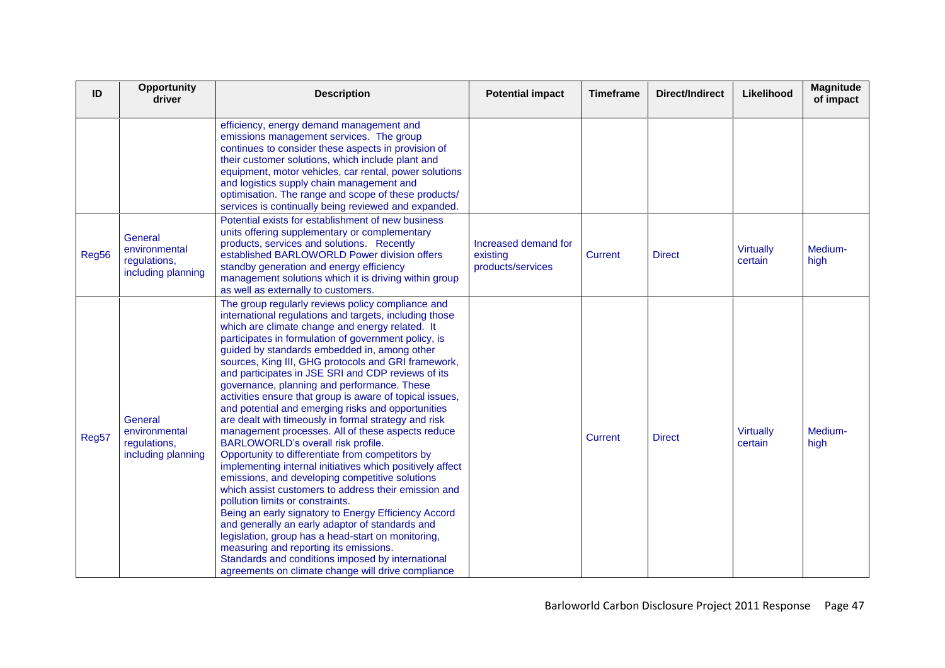| ID    | <b>Opportunity</b><br>driver                                   | <b>Description</b>                                                                                                                                                                                                                                                                                                                                                                                                                                                                                                                                                                                                                                                                                                                                                                                                                                                                                                                                                                                                                                                                                                                                                                                                                                                                            | <b>Potential impact</b>                               | <b>Timeframe</b> | <b>Direct/Indirect</b> | Likelihood                  | <b>Magnitude</b><br>of impact |
|-------|----------------------------------------------------------------|-----------------------------------------------------------------------------------------------------------------------------------------------------------------------------------------------------------------------------------------------------------------------------------------------------------------------------------------------------------------------------------------------------------------------------------------------------------------------------------------------------------------------------------------------------------------------------------------------------------------------------------------------------------------------------------------------------------------------------------------------------------------------------------------------------------------------------------------------------------------------------------------------------------------------------------------------------------------------------------------------------------------------------------------------------------------------------------------------------------------------------------------------------------------------------------------------------------------------------------------------------------------------------------------------|-------------------------------------------------------|------------------|------------------------|-----------------------------|-------------------------------|
|       |                                                                | efficiency, energy demand management and<br>emissions management services. The group<br>continues to consider these aspects in provision of<br>their customer solutions, which include plant and<br>equipment, motor vehicles, car rental, power solutions<br>and logistics supply chain management and<br>optimisation. The range and scope of these products/<br>services is continually being reviewed and expanded.                                                                                                                                                                                                                                                                                                                                                                                                                                                                                                                                                                                                                                                                                                                                                                                                                                                                       |                                                       |                  |                        |                             |                               |
| Reg56 | General<br>environmental<br>regulations,<br>including planning | Potential exists for establishment of new business<br>units offering supplementary or complementary<br>products, services and solutions. Recently<br>established BARLOWORLD Power division offers<br>standby generation and energy efficiency<br>management solutions which it is driving within group<br>as well as externally to customers.                                                                                                                                                                                                                                                                                                                                                                                                                                                                                                                                                                                                                                                                                                                                                                                                                                                                                                                                                 | Increased demand for<br>existing<br>products/services | Current          | <b>Direct</b>          | <b>Virtually</b><br>certain | Medium-<br>high               |
| Reg57 | General<br>environmental<br>regulations,<br>including planning | The group regularly reviews policy compliance and<br>international regulations and targets, including those<br>which are climate change and energy related. It<br>participates in formulation of government policy, is<br>guided by standards embedded in, among other<br>sources, King III, GHG protocols and GRI framework,<br>and participates in JSE SRI and CDP reviews of its<br>governance, planning and performance. These<br>activities ensure that group is aware of topical issues,<br>and potential and emerging risks and opportunities<br>are dealt with timeously in formal strategy and risk<br>management processes. All of these aspects reduce<br>BARLOWORLD's overall risk profile.<br>Opportunity to differentiate from competitors by<br>implementing internal initiatives which positively affect<br>emissions, and developing competitive solutions<br>which assist customers to address their emission and<br>pollution limits or constraints.<br>Being an early signatory to Energy Efficiency Accord<br>and generally an early adaptor of standards and<br>legislation, group has a head-start on monitoring,<br>measuring and reporting its emissions.<br>Standards and conditions imposed by international<br>agreements on climate change will drive compliance |                                                       | Current          | <b>Direct</b>          | <b>Virtually</b><br>certain | Medium-<br>high               |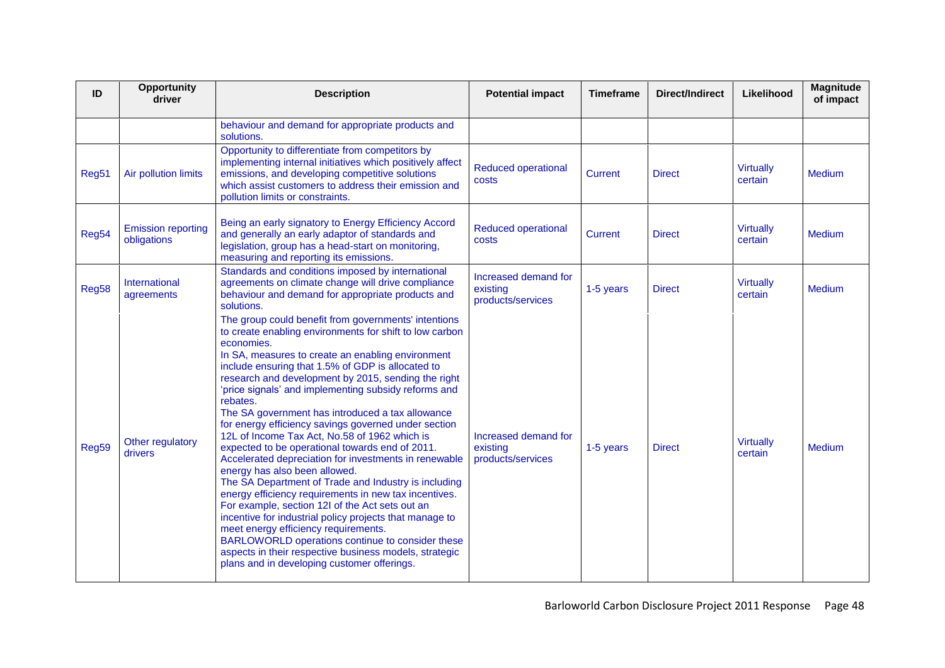| ID    | Opportunity<br>driver                    | <b>Description</b>                                                                                                                                                                                                                                                                                                                                                                                                                                                                                                                                                                                                                                                                                                                                                                                                                                                                                                                                                                                                                                                                                               | <b>Potential impact</b>                               | <b>Timeframe</b> | <b>Direct/Indirect</b> | Likelihood                  | <b>Magnitude</b><br>of impact |
|-------|------------------------------------------|------------------------------------------------------------------------------------------------------------------------------------------------------------------------------------------------------------------------------------------------------------------------------------------------------------------------------------------------------------------------------------------------------------------------------------------------------------------------------------------------------------------------------------------------------------------------------------------------------------------------------------------------------------------------------------------------------------------------------------------------------------------------------------------------------------------------------------------------------------------------------------------------------------------------------------------------------------------------------------------------------------------------------------------------------------------------------------------------------------------|-------------------------------------------------------|------------------|------------------------|-----------------------------|-------------------------------|
|       |                                          | behaviour and demand for appropriate products and<br>solutions.                                                                                                                                                                                                                                                                                                                                                                                                                                                                                                                                                                                                                                                                                                                                                                                                                                                                                                                                                                                                                                                  |                                                       |                  |                        |                             |                               |
| Reg51 | Air pollution limits                     | Opportunity to differentiate from competitors by<br>implementing internal initiatives which positively affect<br>emissions, and developing competitive solutions<br>which assist customers to address their emission and<br>pollution limits or constraints.                                                                                                                                                                                                                                                                                                                                                                                                                                                                                                                                                                                                                                                                                                                                                                                                                                                     | <b>Reduced operational</b><br>costs                   | <b>Current</b>   | <b>Direct</b>          | <b>Virtually</b><br>certain | <b>Medium</b>                 |
| Reg54 | <b>Emission reporting</b><br>obligations | Being an early signatory to Energy Efficiency Accord<br>and generally an early adaptor of standards and<br>legislation, group has a head-start on monitoring,<br>measuring and reporting its emissions.                                                                                                                                                                                                                                                                                                                                                                                                                                                                                                                                                                                                                                                                                                                                                                                                                                                                                                          | <b>Reduced operational</b><br>costs                   | <b>Current</b>   | <b>Direct</b>          | <b>Virtually</b><br>certain | <b>Medium</b>                 |
| Reg58 | International<br>agreements              | Standards and conditions imposed by international<br>agreements on climate change will drive compliance<br>behaviour and demand for appropriate products and<br>solutions.                                                                                                                                                                                                                                                                                                                                                                                                                                                                                                                                                                                                                                                                                                                                                                                                                                                                                                                                       | Increased demand for<br>existing<br>products/services | 1-5 years        | <b>Direct</b>          | <b>Virtually</b><br>certain | <b>Medium</b>                 |
| Reg59 | Other regulatory<br>drivers              | The group could benefit from governments' intentions<br>to create enabling environments for shift to low carbon<br>economies.<br>In SA, measures to create an enabling environment<br>include ensuring that 1.5% of GDP is allocated to<br>research and development by 2015, sending the right<br>'price signals' and implementing subsidy reforms and<br>rebates.<br>The SA government has introduced a tax allowance<br>for energy efficiency savings governed under section<br>12L of Income Tax Act, No.58 of 1962 which is<br>expected to be operational towards end of 2011.<br>Accelerated depreciation for investments in renewable<br>energy has also been allowed.<br>The SA Department of Trade and Industry is including<br>energy efficiency requirements in new tax incentives.<br>For example, section 12l of the Act sets out an<br>incentive for industrial policy projects that manage to<br>meet energy efficiency requirements.<br>BARLOWORLD operations continue to consider these<br>aspects in their respective business models, strategic<br>plans and in developing customer offerings. | Increased demand for<br>existing<br>products/services | 1-5 years        | <b>Direct</b>          | <b>Virtually</b><br>certain | <b>Medium</b>                 |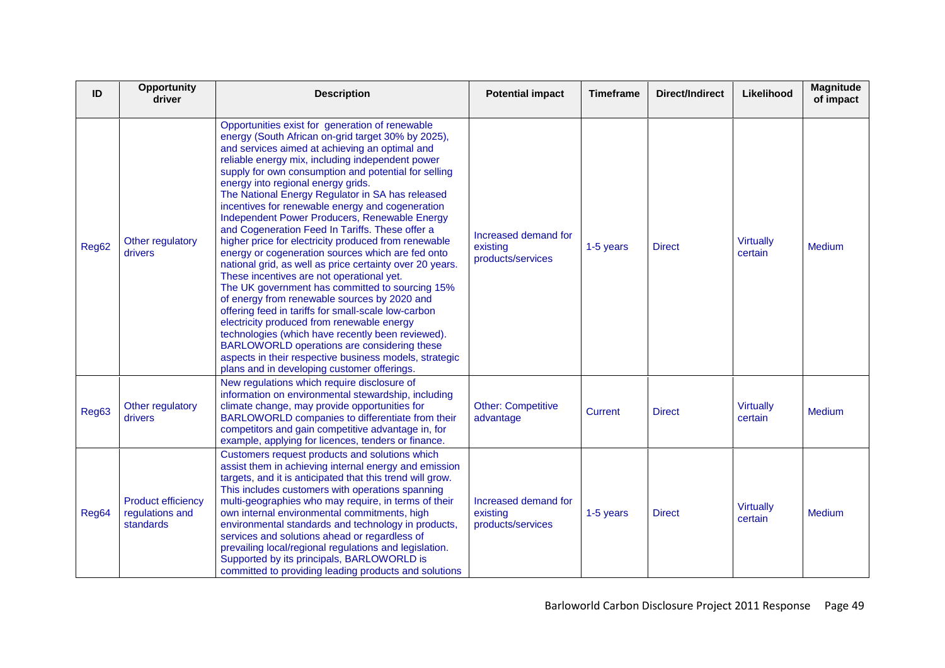| ID    | <b>Opportunity</b><br>driver                              | <b>Description</b>                                                                                                                                                                                                                                                                                                                                                                                                                                                                                                                                                                                                                                                                                                                                                                                                                                                                                                                                                                                                                                                                                                                                               | <b>Potential impact</b>                               | <b>Timeframe</b> | <b>Direct/Indirect</b> | Likelihood                  | <b>Magnitude</b><br>of impact |
|-------|-----------------------------------------------------------|------------------------------------------------------------------------------------------------------------------------------------------------------------------------------------------------------------------------------------------------------------------------------------------------------------------------------------------------------------------------------------------------------------------------------------------------------------------------------------------------------------------------------------------------------------------------------------------------------------------------------------------------------------------------------------------------------------------------------------------------------------------------------------------------------------------------------------------------------------------------------------------------------------------------------------------------------------------------------------------------------------------------------------------------------------------------------------------------------------------------------------------------------------------|-------------------------------------------------------|------------------|------------------------|-----------------------------|-------------------------------|
| Reg62 | Other regulatory<br>drivers                               | Opportunities exist for generation of renewable<br>energy (South African on-grid target 30% by 2025),<br>and services aimed at achieving an optimal and<br>reliable energy mix, including independent power<br>supply for own consumption and potential for selling<br>energy into regional energy grids.<br>The National Energy Regulator in SA has released<br>incentives for renewable energy and cogeneration<br>Independent Power Producers, Renewable Energy<br>and Cogeneration Feed In Tariffs. These offer a<br>higher price for electricity produced from renewable<br>energy or cogeneration sources which are fed onto<br>national grid, as well as price certainty over 20 years.<br>These incentives are not operational yet.<br>The UK government has committed to sourcing 15%<br>of energy from renewable sources by 2020 and<br>offering feed in tariffs for small-scale low-carbon<br>electricity produced from renewable energy<br>technologies (which have recently been reviewed).<br>BARLOWORLD operations are considering these<br>aspects in their respective business models, strategic<br>plans and in developing customer offerings. | Increased demand for<br>existing<br>products/services | 1-5 years        | <b>Direct</b>          | <b>Virtually</b><br>certain | Medium                        |
| Reg63 | Other regulatory<br>drivers                               | New regulations which require disclosure of<br>information on environmental stewardship, including<br>climate change, may provide opportunities for<br>BARLOWORLD companies to differentiate from their<br>competitors and gain competitive advantage in, for<br>example, applying for licences, tenders or finance.                                                                                                                                                                                                                                                                                                                                                                                                                                                                                                                                                                                                                                                                                                                                                                                                                                             | <b>Other: Competitive</b><br>advantage                | <b>Current</b>   | <b>Direct</b>          | <b>Virtually</b><br>certain | Medium                        |
| Reg64 | <b>Product efficiency</b><br>regulations and<br>standards | Customers request products and solutions which<br>assist them in achieving internal energy and emission<br>targets, and it is anticipated that this trend will grow.<br>This includes customers with operations spanning<br>multi-geographies who may require, in terms of their<br>own internal environmental commitments, high<br>environmental standards and technology in products,<br>services and solutions ahead or regardless of<br>prevailing local/regional regulations and legislation.<br>Supported by its principals, BARLOWORLD is<br>committed to providing leading products and solutions                                                                                                                                                                                                                                                                                                                                                                                                                                                                                                                                                        | Increased demand for<br>existing<br>products/services | 1-5 years        | <b>Direct</b>          | <b>Virtually</b><br>certain | <b>Medium</b>                 |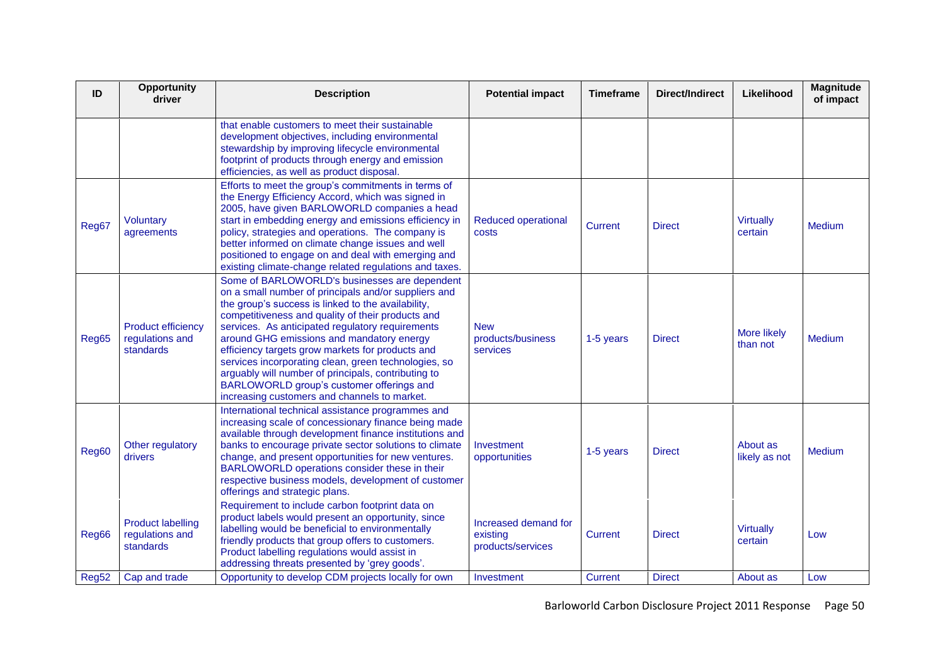| ID    | Opportunity<br>driver                                     | <b>Description</b>                                                                                                                                                                                                                                                                                                                                                                                                                                                                                                                                                                | <b>Potential impact</b>                               | <b>Timeframe</b> | <b>Direct/Indirect</b> | Likelihood                  | <b>Magnitude</b><br>of impact |
|-------|-----------------------------------------------------------|-----------------------------------------------------------------------------------------------------------------------------------------------------------------------------------------------------------------------------------------------------------------------------------------------------------------------------------------------------------------------------------------------------------------------------------------------------------------------------------------------------------------------------------------------------------------------------------|-------------------------------------------------------|------------------|------------------------|-----------------------------|-------------------------------|
|       |                                                           | that enable customers to meet their sustainable<br>development objectives, including environmental<br>stewardship by improving lifecycle environmental<br>footprint of products through energy and emission<br>efficiencies, as well as product disposal.                                                                                                                                                                                                                                                                                                                         |                                                       |                  |                        |                             |                               |
| Reg67 | <b>Voluntary</b><br>agreements                            | Efforts to meet the group's commitments in terms of<br>the Energy Efficiency Accord, which was signed in<br>2005, have given BARLOWORLD companies a head<br>start in embedding energy and emissions efficiency in<br>policy, strategies and operations. The company is<br>better informed on climate change issues and well<br>positioned to engage on and deal with emerging and<br>existing climate-change related regulations and taxes.                                                                                                                                       | Reduced operational<br>costs                          | <b>Current</b>   | <b>Direct</b>          | <b>Virtually</b><br>certain | <b>Medium</b>                 |
| Reg65 | <b>Product efficiency</b><br>regulations and<br>standards | Some of BARLOWORLD's businesses are dependent<br>on a small number of principals and/or suppliers and<br>the group's success is linked to the availability,<br>competitiveness and quality of their products and<br>services. As anticipated regulatory requirements<br>around GHG emissions and mandatory energy<br>efficiency targets grow markets for products and<br>services incorporating clean, green technologies, so<br>arguably will number of principals, contributing to<br>BARLOWORLD group's customer offerings and<br>increasing customers and channels to market. | <b>New</b><br>products/business<br>services           | 1-5 years        | <b>Direct</b>          | More likely<br>than not     | Medium                        |
| Reg60 | Other regulatory<br>drivers                               | International technical assistance programmes and<br>increasing scale of concessionary finance being made<br>available through development finance institutions and<br>banks to encourage private sector solutions to climate<br>change, and present opportunities for new ventures.<br>BARLOWORLD operations consider these in their<br>respective business models, development of customer<br>offerings and strategic plans.                                                                                                                                                    | Investment<br>opportunities                           | 1-5 years        | <b>Direct</b>          | About as<br>likely as not   | <b>Medium</b>                 |
| Reg66 | <b>Product labelling</b><br>regulations and<br>standards  | Requirement to include carbon footprint data on<br>product labels would present an opportunity, since<br>labelling would be beneficial to environmentally<br>friendly products that group offers to customers.<br>Product labelling regulations would assist in<br>addressing threats presented by 'grey goods'.                                                                                                                                                                                                                                                                  | Increased demand for<br>existing<br>products/services | Current          | <b>Direct</b>          | <b>Virtually</b><br>certain | Low                           |
| Reg52 | Cap and trade                                             | Opportunity to develop CDM projects locally for own                                                                                                                                                                                                                                                                                                                                                                                                                                                                                                                               | Investment                                            | <b>Current</b>   | <b>Direct</b>          | About as                    | Low                           |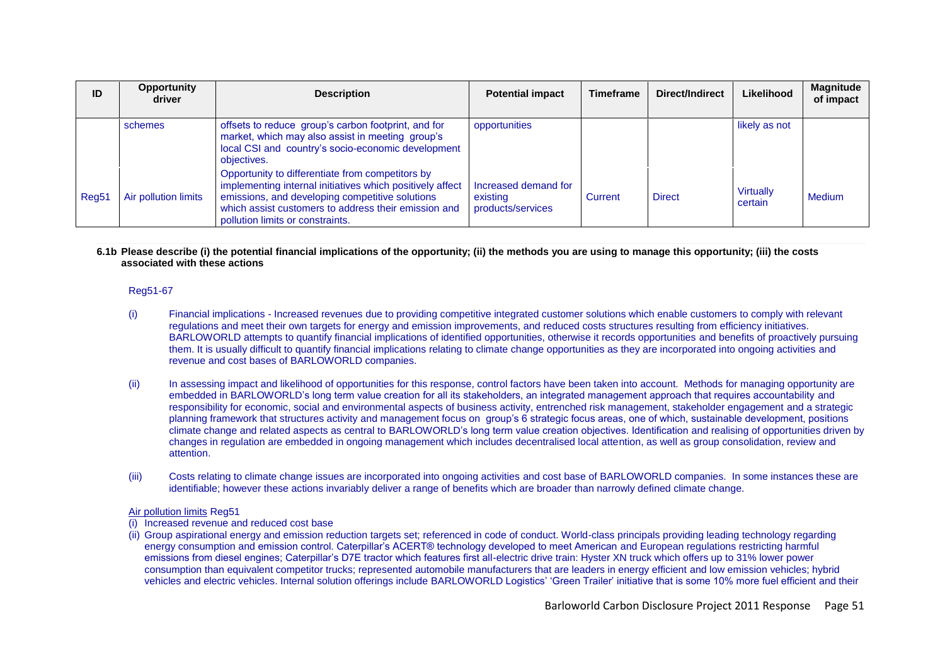| ID                | <b>Opportunity</b><br>driver | <b>Description</b>                                                                                                                                                                                                                                           | <b>Potential impact</b>                               | <b>Timeframe</b> | Direct/Indirect | Likelihood                  | <b>Magnitude</b><br>of impact |
|-------------------|------------------------------|--------------------------------------------------------------------------------------------------------------------------------------------------------------------------------------------------------------------------------------------------------------|-------------------------------------------------------|------------------|-----------------|-----------------------------|-------------------------------|
|                   | schemes                      | offsets to reduce group's carbon footprint, and for<br>market, which may also assist in meeting group's<br>local CSI and country's socio-economic development<br>objectives.                                                                                 | opportunities                                         |                  |                 | likely as not               |                               |
| Reg <sub>51</sub> | Air pollution limits         | Opportunity to differentiate from competitors by<br>implementing internal initiatives which positively affect<br>emissions, and developing competitive solutions<br>which assist customers to address their emission and<br>pollution limits or constraints. | Increased demand for<br>existing<br>products/services | Current          | <b>Direct</b>   | <b>Virtually</b><br>certain | <b>Medium</b>                 |

**6.1b Please describe (i) the potential financial implications of the opportunity; (ii) the methods you are using to manage this opportunity; (iii) the costs associated with these actions**

### Reg51-67

- (i) Financial implications Increased revenues due to providing competitive integrated customer solutions which enable customers to comply with relevant regulations and meet their own targets for energy and emission improvements, and reduced costs structures resulting from efficiency initiatives. BARLOWORLD attempts to quantify financial implications of identified opportunities, otherwise it records opportunities and benefits of proactively pursuing them. It is usually difficult to quantify financial implications relating to climate change opportunities as they are incorporated into ongoing activities and revenue and cost bases of BARLOWORLD companies.
- (ii) In assessing impact and likelihood of opportunities for this response, control factors have been taken into account. Methods for managing opportunity are embedded in BARLOWORLD"s long term value creation for all its stakeholders, an integrated management approach that requires accountability and responsibility for economic, social and environmental aspects of business activity, entrenched risk management, stakeholder engagement and a strategic planning framework that structures activity and management focus on group"s 6 strategic focus areas, one of which, sustainable development, positions climate change and related aspects as central to BARLOWORLD"s long term value creation objectives. Identification and realising of opportunities driven by changes in regulation are embedded in ongoing management which includes decentralised local attention, as well as group consolidation, review and attention.
- (iii) Costs relating to climate change issues are incorporated into ongoing activities and cost base of BARLOWORLD companies. In some instances these are identifiable; however these actions invariably deliver a range of benefits which are broader than narrowly defined climate change.

#### Air pollution limits Reg51

- (i) Increased revenue and reduced cost base
- (ii) Group aspirational energy and emission reduction targets set; referenced in code of conduct. World-class principals providing leading technology regarding energy consumption and emission control. Caterpillar"s ACERT® technology developed to meet American and European regulations restricting harmful emissions from diesel engines; Caterpillar"s D7E tractor which features first all-electric drive train: Hyster XN truck which offers up to 31% lower power consumption than equivalent competitor trucks; represented automobile manufacturers that are leaders in energy efficient and low emission vehicles; hybrid vehicles and electric vehicles. Internal solution offerings include BARLOWORLD Logistics" "Green Trailer" initiative that is some 10% more fuel efficient and their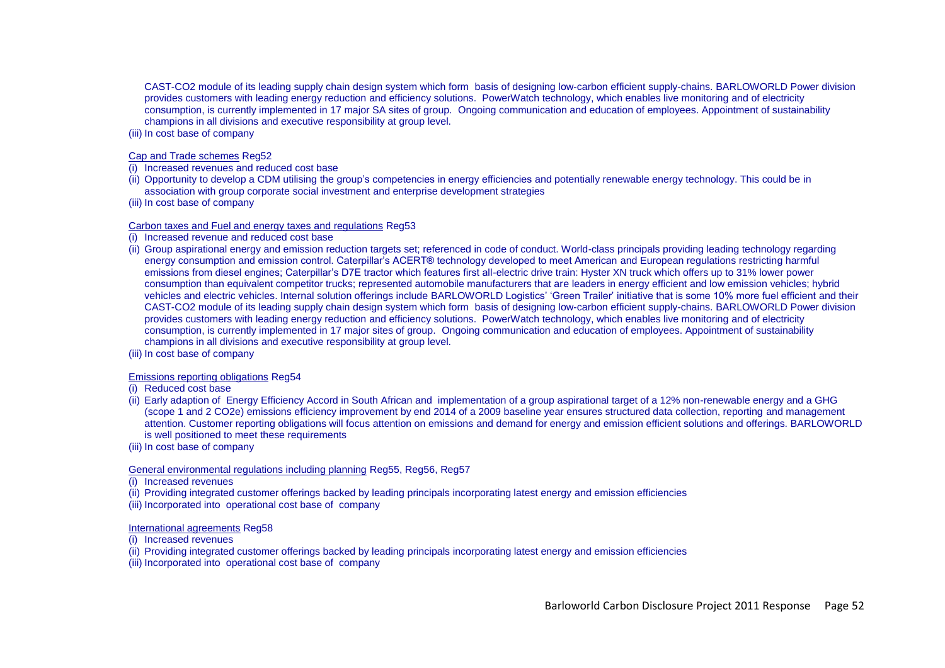CAST-CO2 module of its leading supply chain design system which form basis of designing low-carbon efficient supply-chains. BARLOWORLD Power division provides customers with leading energy reduction and efficiency solutions. PowerWatch technology, which enables live monitoring and of electricity consumption, is currently implemented in 17 major SA sites of group. Ongoing communication and education of employees. Appointment of sustainability champions in all divisions and executive responsibility at group level.

(iii) In cost base of company

#### Cap and Trade schemes Reg52

- (i) Increased revenues and reduced cost base
- (ii) Opportunity to develop a CDM utilising the group"s competencies in energy efficiencies and potentially renewable energy technology. This could be in association with group corporate social investment and enterprise development strategies
- (iii) In cost base of company

### Carbon taxes and Fuel and energy taxes and regulations Reg53

- Increased revenue and reduced cost base
- (ii) Group aspirational energy and emission reduction targets set; referenced in code of conduct. World-class principals providing leading technology regarding energy consumption and emission control. Caterpillar"s ACERT® technology developed to meet American and European regulations restricting harmful emissions from diesel engines; Caterpillar"s D7E tractor which features first all-electric drive train: Hyster XN truck which offers up to 31% lower power consumption than equivalent competitor trucks; represented automobile manufacturers that are leaders in energy efficient and low emission vehicles; hybrid vehicles and electric vehicles. Internal solution offerings include BARLOWORLD Logistics' 'Green Trailer' initiative that is some 10% more fuel efficient and their CAST-CO2 module of its leading supply chain design system which form basis of designing low-carbon efficient supply-chains. BARLOWORLD Power division provides customers with leading energy reduction and efficiency solutions. PowerWatch technology, which enables live monitoring and of electricity consumption, is currently implemented in 17 major sites of group. Ongoing communication and education of employees. Appointment of sustainability champions in all divisions and executive responsibility at group level.
- (iii) In cost base of company

## Emissions reporting obligations Reg54

- (i) Reduced cost base
- (ii) Early adaption of Energy Efficiency Accord in South African and implementation of a group aspirational target of a 12% non-renewable energy and a GHG (scope 1 and 2 CO2e) emissions efficiency improvement by end 2014 of a 2009 baseline year ensures structured data collection, reporting and management attention. Customer reporting obligations will focus attention on emissions and demand for energy and emission efficient solutions and offerings. BARLOWORLD is well positioned to meet these requirements
- (iii) In cost base of company

## General environmental regulations including planning Reg55, Reg56, Reg57

- (i) Increased revenues
- (ii) Providing integrated customer offerings backed by leading principals incorporating latest energy and emission efficiencies
- (iii) Incorporated into operational cost base of company

#### International agreements Reg58

- (i) Increased revenues
- (ii) Providing integrated customer offerings backed by leading principals incorporating latest energy and emission efficiencies
- (iii) Incorporated into operational cost base of company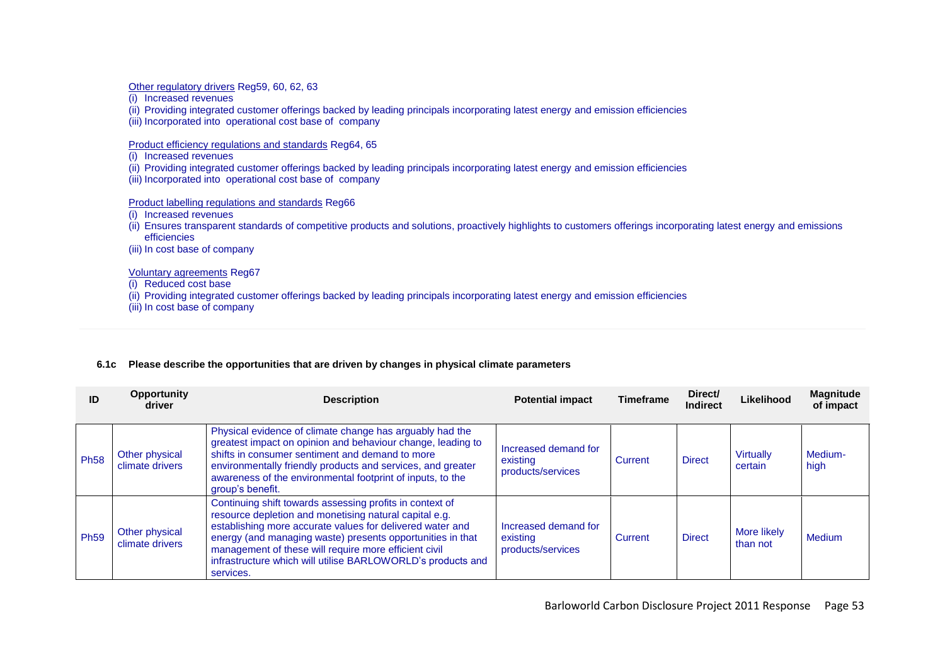Other regulatory drivers Reg59, 60, 62, 63

- (i) Increased revenues
- (ii) Providing integrated customer offerings backed by leading principals incorporating latest energy and emission efficiencies
- (iii) Incorporated into operational cost base of company

Product efficiency regulations and standards Reg64, 65

- (i) Increased revenues
- (ii) Providing integrated customer offerings backed by leading principals incorporating latest energy and emission efficiencies
- (iii) Incorporated into operational cost base of company

Product labelling regulations and standards Reg66

- (i) Increased revenues
- (ii) Ensures transparent standards of competitive products and solutions, proactively highlights to customers offerings incorporating latest energy and emissions efficiencies
- (iii) In cost base of company

Voluntary agreements Reg67

(i) Reduced cost base

- (ii) Providing integrated customer offerings backed by leading principals incorporating latest energy and emission efficiencies
- (iii) In cost base of company

|  | 6.1c Please describe the opportunities that are driven by changes in physical climate parameters |
|--|--------------------------------------------------------------------------------------------------|
|--|--------------------------------------------------------------------------------------------------|

| ID          | <b>Opportunity</b><br>driver      | <b>Description</b>                                                                                                                                                                                                                                                                                                                                                                 | <b>Potential impact</b>                               | <b>Timeframe</b> | Direct/<br><b>Indirect</b> | Likelihood              | <b>Magnitude</b><br>of impact |
|-------------|-----------------------------------|------------------------------------------------------------------------------------------------------------------------------------------------------------------------------------------------------------------------------------------------------------------------------------------------------------------------------------------------------------------------------------|-------------------------------------------------------|------------------|----------------------------|-------------------------|-------------------------------|
| <b>Ph58</b> | Other physical<br>climate drivers | Physical evidence of climate change has arguably had the<br>greatest impact on opinion and behaviour change, leading to<br>shifts in consumer sentiment and demand to more<br>environmentally friendly products and services, and greater<br>awareness of the environmental footprint of inputs, to the<br>group's benefit.                                                        | Increased demand for<br>existing<br>products/services | Current          | <b>Direct</b>              | Virtually<br>certain    | Medium-<br>high               |
| <b>Ph59</b> | Other physical<br>climate drivers | Continuing shift towards assessing profits in context of<br>resource depletion and monetising natural capital e.g.<br>establishing more accurate values for delivered water and<br>energy (and managing waste) presents opportunities in that<br>management of these will require more efficient civil<br>infrastructure which will utilise BARLOWORLD's products and<br>services. | Increased demand for<br>existing<br>products/services | Current          | <b>Direct</b>              | More likely<br>than not | <b>Medium</b>                 |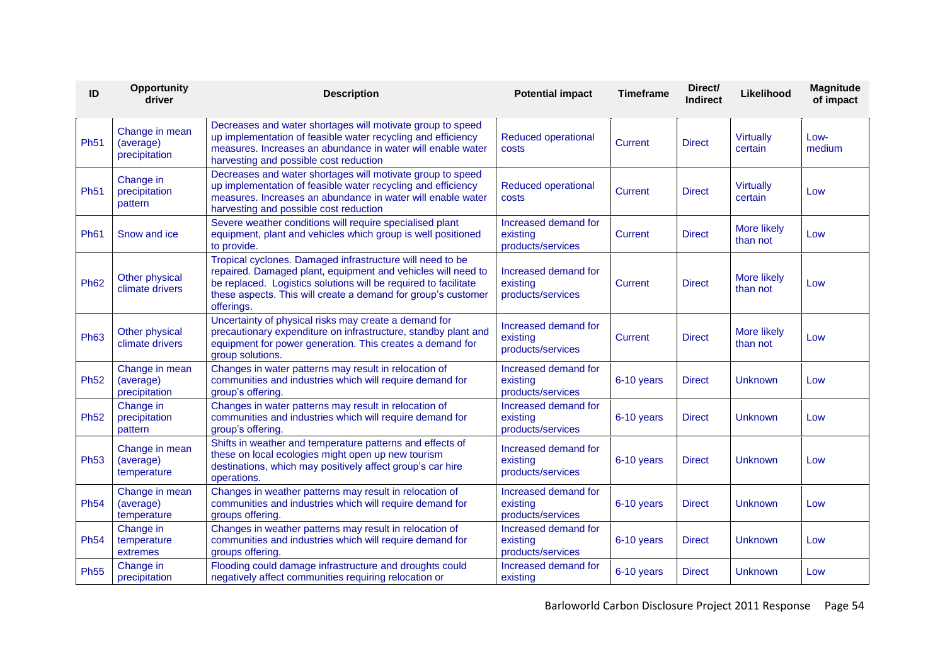| ID          | Opportunity<br>driver                        | <b>Description</b>                                                                                                                                                                                                                                                          | <b>Potential impact</b>                               | <b>Timeframe</b> | Direct/<br>Indirect | Likelihood                  | Magnitude<br>of impact |
|-------------|----------------------------------------------|-----------------------------------------------------------------------------------------------------------------------------------------------------------------------------------------------------------------------------------------------------------------------------|-------------------------------------------------------|------------------|---------------------|-----------------------------|------------------------|
| <b>Ph51</b> | Change in mean<br>(average)<br>precipitation | Decreases and water shortages will motivate group to speed<br>up implementation of feasible water recycling and efficiency<br>measures. Increases an abundance in water will enable water<br>harvesting and possible cost reduction                                         | <b>Reduced operational</b><br>costs                   | <b>Current</b>   | <b>Direct</b>       | <b>Virtually</b><br>certain | Low-<br>medium         |
| <b>Ph51</b> | Change in<br>precipitation<br>pattern        | Decreases and water shortages will motivate group to speed<br>up implementation of feasible water recycling and efficiency<br>measures. Increases an abundance in water will enable water<br>harvesting and possible cost reduction                                         | <b>Reduced operational</b><br>costs                   | Current          | <b>Direct</b>       | <b>Virtually</b><br>certain | Low                    |
| <b>Ph61</b> | Snow and ice                                 | Severe weather conditions will require specialised plant<br>equipment, plant and vehicles which group is well positioned<br>to provide.                                                                                                                                     | Increased demand for<br>existing<br>products/services | Current          | <b>Direct</b>       | More likely<br>than not     | Low                    |
| <b>Ph62</b> | Other physical<br>climate drivers            | Tropical cyclones. Damaged infrastructure will need to be<br>repaired. Damaged plant, equipment and vehicles will need to<br>be replaced. Logistics solutions will be required to facilitate<br>these aspects. This will create a demand for group's customer<br>offerings. | Increased demand for<br>existing<br>products/services | Current          | <b>Direct</b>       | More likely<br>than not     | Low                    |
| <b>Ph63</b> | Other physical<br>climate drivers            | Uncertainty of physical risks may create a demand for<br>precautionary expenditure on infrastructure, standby plant and<br>equipment for power generation. This creates a demand for<br>group solutions.                                                                    | Increased demand for<br>existing<br>products/services | Current          | <b>Direct</b>       | More likely<br>than not     | Low                    |
| <b>Ph52</b> | Change in mean<br>(average)<br>precipitation | Changes in water patterns may result in relocation of<br>communities and industries which will require demand for<br>group's offering.                                                                                                                                      | Increased demand for<br>existing<br>products/services | 6-10 years       | <b>Direct</b>       | Unknown                     | Low                    |
| <b>Ph52</b> | Change in<br>precipitation<br>pattern        | Changes in water patterns may result in relocation of<br>communities and industries which will require demand for<br>group's offering.                                                                                                                                      | Increased demand for<br>existing<br>products/services | 6-10 years       | <b>Direct</b>       | Unknown                     | Low                    |
| <b>Ph53</b> | Change in mean<br>(average)<br>temperature   | Shifts in weather and temperature patterns and effects of<br>these on local ecologies might open up new tourism<br>destinations, which may positively affect group's car hire<br>operations.                                                                                |                                                       | 6-10 years       | <b>Direct</b>       | Unknown                     | Low                    |
| <b>Ph54</b> | Change in mean<br>(average)<br>temperature   | Changes in weather patterns may result in relocation of<br>communities and industries which will require demand for<br>groups offering.                                                                                                                                     | Increased demand for<br>existing<br>products/services | 6-10 years       | <b>Direct</b>       | <b>Unknown</b>              | Low                    |
| <b>Ph54</b> | Change in<br>temperature<br>extremes         | Changes in weather patterns may result in relocation of<br>communities and industries which will require demand for<br>groups offering.                                                                                                                                     | Increased demand for<br>existing<br>products/services | 6-10 years       | <b>Direct</b>       | Unknown                     | Low                    |
| <b>Ph55</b> | Change in<br>precipitation                   | Flooding could damage infrastructure and droughts could<br>negatively affect communities requiring relocation or                                                                                                                                                            | Increased demand for<br>existing                      | 6-10 years       | <b>Direct</b>       | Unknown                     | Low                    |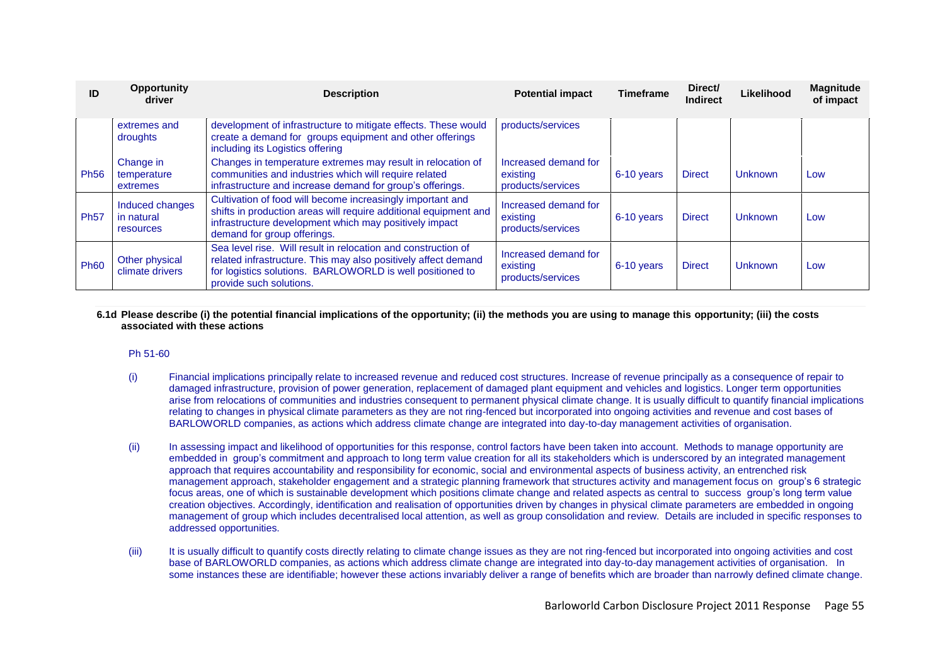| ID          | <b>Opportunity</b><br><b>Description</b><br>driver |                                                                                                                                                                                                                         | <b>Potential impact</b>                               | <b>Timeframe</b> | Direct/<br><b>Indirect</b> | Likelihood     | <b>Magnitude</b><br>of impact |
|-------------|----------------------------------------------------|-------------------------------------------------------------------------------------------------------------------------------------------------------------------------------------------------------------------------|-------------------------------------------------------|------------------|----------------------------|----------------|-------------------------------|
|             | extremes and<br>droughts                           | development of infrastructure to mitigate effects. These would<br>create a demand for groups equipment and other offerings<br>including its Logistics offering                                                          | products/services                                     |                  |                            |                |                               |
| <b>Ph56</b> | Change in<br>temperature<br>extremes               | Changes in temperature extremes may result in relocation of<br>communities and industries which will require related<br>infrastructure and increase demand for group's offerings.                                       | Increased demand for<br>existing<br>products/services | 6-10 years       | <b>Direct</b>              | <b>Unknown</b> | Low                           |
| <b>Ph57</b> | Induced changes<br>in natural<br>resources         | Cultivation of food will become increasingly important and<br>shifts in production areas will require additional equipment and<br>infrastructure development which may positively impact<br>demand for group offerings. | Increased demand for<br>existing<br>products/services | 6-10 years       | <b>Direct</b>              | Unknown        | Low                           |
| <b>Ph60</b> | Other physical<br>climate drivers                  | Sea level rise. Will result in relocation and construction of<br>related infrastructure. This may also positively affect demand<br>for logistics solutions. BARLOWORLD is well positioned to<br>provide such solutions. | Increased demand for<br>existing<br>products/services | 6-10 years       | <b>Direct</b>              | Unknown        | Low                           |

### **6.1d Please describe (i) the potential financial implications of the opportunity; (ii) the methods you are using to manage this opportunity; (iii) the costs associated with these actions**

## Ph 51-60

- (i) Financial implications principally relate to increased revenue and reduced cost structures. Increase of revenue principally as a consequence of repair to damaged infrastructure, provision of power generation, replacement of damaged plant equipment and vehicles and logistics. Longer term opportunities arise from relocations of communities and industries consequent to permanent physical climate change. It is usually difficult to quantify financial implications relating to changes in physical climate parameters as they are not ring-fenced but incorporated into ongoing activities and revenue and cost bases of BARLOWORLD companies, as actions which address climate change are integrated into day-to-day management activities of organisation.
- (ii) In assessing impact and likelihood of opportunities for this response, control factors have been taken into account. Methods to manage opportunity are embedded in group"s commitment and approach to long term value creation for all its stakeholders which is underscored by an integrated management approach that requires accountability and responsibility for economic, social and environmental aspects of business activity, an entrenched risk management approach, stakeholder engagement and a strategic planning framework that structures activity and management focus on group"s 6 strategic focus areas, one of which is sustainable development which positions climate change and related aspects as central to success group"s long term value creation objectives. Accordingly, identification and realisation of opportunities driven by changes in physical climate parameters are embedded in ongoing management of group which includes decentralised local attention, as well as group consolidation and review. Details are included in specific responses to addressed opportunities.
- (iii) It is usually difficult to quantify costs directly relating to climate change issues as they are not ring-fenced but incorporated into ongoing activities and cost base of BARLOWORLD companies, as actions which address climate change are integrated into day-to-day management activities of organisation. In some instances these are identifiable; however these actions invariably deliver a range of benefits which are broader than narrowly defined climate change.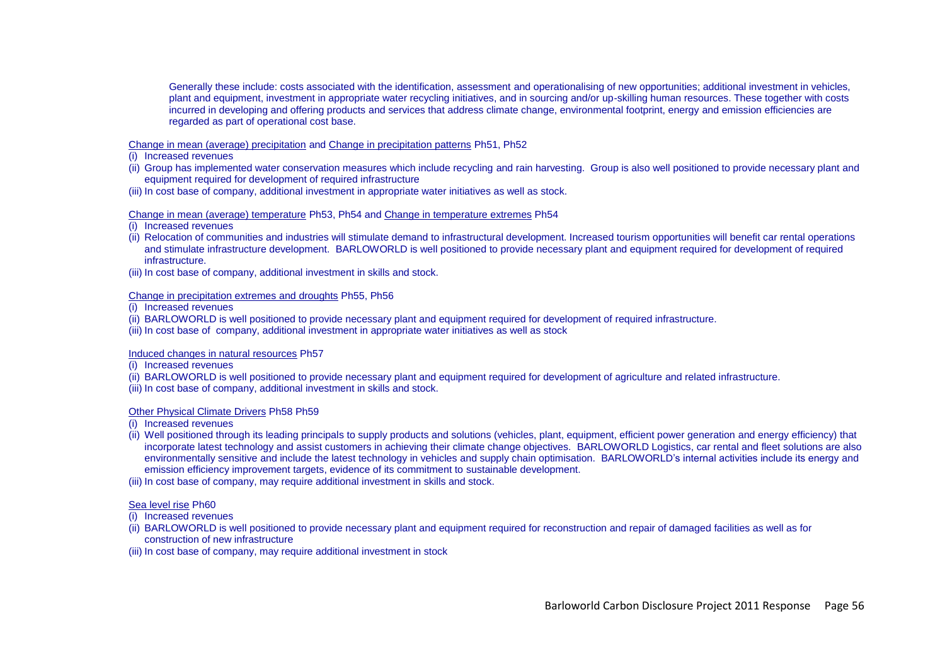Generally these include: costs associated with the identification, assessment and operationalising of new opportunities; additional investment in vehicles, plant and equipment, investment in appropriate water recycling initiatives, and in sourcing and/or up-skilling human resources. These together with costs incurred in developing and offering products and services that address climate change, environmental footprint, energy and emission efficiencies are regarded as part of operational cost base.

#### Change in mean (average) precipitation and Change in precipitation patterns Ph51, Ph52

- (i) Increased revenues
- (ii) Group has implemented water conservation measures which include recycling and rain harvesting. Group is also well positioned to provide necessary plant and equipment required for development of required infrastructure
- (iii) In cost base of company, additional investment in appropriate water initiatives as well as stock.

#### Change in mean (average) temperature Ph53, Ph54 and Change in temperature extremes Ph54

- (i) Increased revenues
- (ii) Relocation of communities and industries will stimulate demand to infrastructural development. Increased tourism opportunities will benefit car rental operations and stimulate infrastructure development. BARLOWORLD is well positioned to provide necessary plant and equipment required for development of required infrastructure.
- (iii) In cost base of company, additional investment in skills and stock.

#### Change in precipitation extremes and droughts Ph55, Ph56

(i) Increased revenues

- (ii) BARLOWORLD is well positioned to provide necessary plant and equipment required for development of required infrastructure.
- (iii) In cost base of company, additional investment in appropriate water initiatives as well as stock

#### Induced changes in natural resources Ph57

- (i) Increased revenues
- (ii) BARLOWORLD is well positioned to provide necessary plant and equipment required for development of agriculture and related infrastructure.
- (iii) In cost base of company, additional investment in skills and stock.

#### Other Physical Climate Drivers Ph58 Ph59

- (i) Increased revenues
- (ii) Well positioned through its leading principals to supply products and solutions (vehicles, plant, equipment, efficient power generation and energy efficiency) that incorporate latest technology and assist customers in achieving their climate change objectives. BARLOWORLD Logistics, car rental and fleet solutions are also environmentally sensitive and include the latest technology in vehicles and supply chain optimisation. BARLOWORLD"s internal activities include its energy and emission efficiency improvement targets, evidence of its commitment to sustainable development.
- (iii) In cost base of company, may require additional investment in skills and stock.

#### Sea level rise Ph60

- (i) Increased revenues
- (ii) BARLOWORLD is well positioned to provide necessary plant and equipment required for reconstruction and repair of damaged facilities as well as for construction of new infrastructure
- (iii) In cost base of company, may require additional investment in stock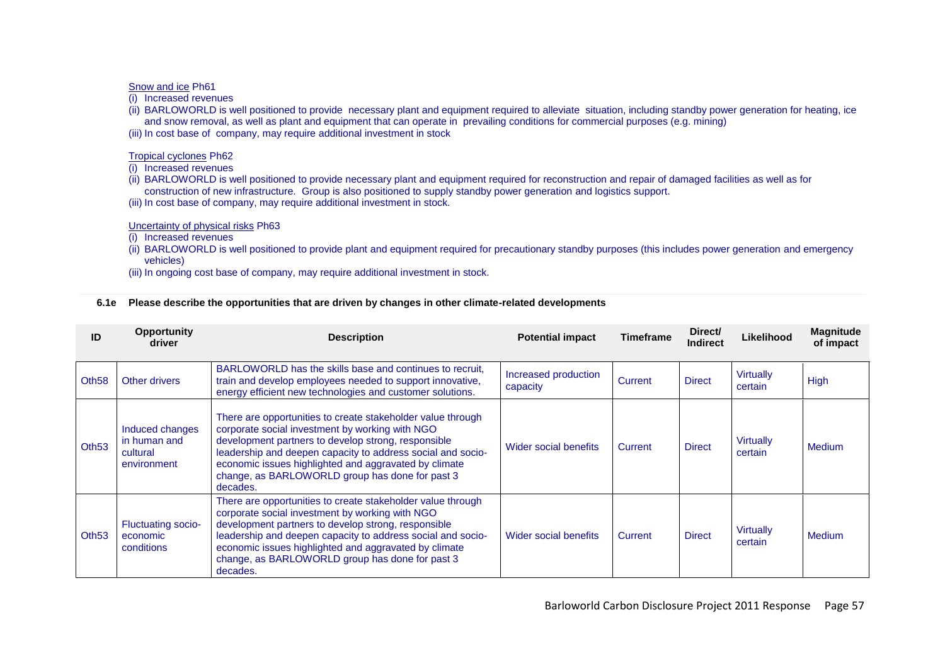#### Snow and ice Ph61

(i) Increased revenues

- (ii) BARLOWORLD is well positioned to provide necessary plant and equipment required to alleviate situation, including standby power generation for heating, ice and snow removal, as well as plant and equipment that can operate in prevailing conditions for commercial purposes (e.g. mining)
- (iii) In cost base of company, may require additional investment in stock

## Tropical cyclones Ph62

(i) Increased revenues

- (ii) BARLOWORLD is well positioned to provide necessary plant and equipment required for reconstruction and repair of damaged facilities as well as for construction of new infrastructure. Group is also positioned to supply standby power generation and logistics support.
- (iii) In cost base of company, may require additional investment in stock.

## Uncertainty of physical risks Ph63

- (i) Increased revenues
- (ii) BARLOWORLD is well positioned to provide plant and equipment required for precautionary standby purposes (this includes power generation and emergency vehicles)
- (iii) In ongoing cost base of company, may require additional investment in stock.

## **6.1e Please describe the opportunities that are driven by changes in other climate-related developments**

|                   | <b>Opportunity</b><br>driver                               | <b>Description</b>                                                                                                                                                                                                                                                                                                                                                                    | <b>Potential impact</b>          | Timeframe | Direct/<br><b>Indirect</b> | Likelihood                  | <b>Magnitude</b><br>of impact |
|-------------------|------------------------------------------------------------|---------------------------------------------------------------------------------------------------------------------------------------------------------------------------------------------------------------------------------------------------------------------------------------------------------------------------------------------------------------------------------------|----------------------------------|-----------|----------------------------|-----------------------------|-------------------------------|
| Oth <sub>58</sub> | Other drivers                                              | BARLOWORLD has the skills base and continues to recruit.<br>train and develop employees needed to support innovative,<br>energy efficient new technologies and customer solutions.                                                                                                                                                                                                    | Increased production<br>capacity | Current   | <b>Direct</b>              | <b>Virtually</b><br>certain | High                          |
| Oth <sub>53</sub> | Induced changes<br>in human and<br>cultural<br>environment | There are opportunities to create stakeholder value through<br>corporate social investment by working with NGO<br>development partners to develop strong, responsible<br>leadership and deepen capacity to address social and socio-<br>economic issues highlighted and aggravated by climate<br>change, as BARLOWORLD group has done for past 3<br>decades.                          | Wider social benefits            | Current   | <b>Direct</b>              | <b>Virtually</b><br>certain | Medium                        |
| Oth <sub>53</sub> | <b>Fluctuating socio-</b><br>economic<br>conditions        | There are opportunities to create stakeholder value through<br>corporate social investment by working with NGO<br>development partners to develop strong, responsible<br>leadership and deepen capacity to address social and socio-<br>Wider social benefits<br>economic issues highlighted and aggravated by climate<br>change, as BARLOWORLD group has done for past 3<br>decades. |                                  | Current   | <b>Direct</b>              | <b>Virtually</b><br>certain | Medium                        |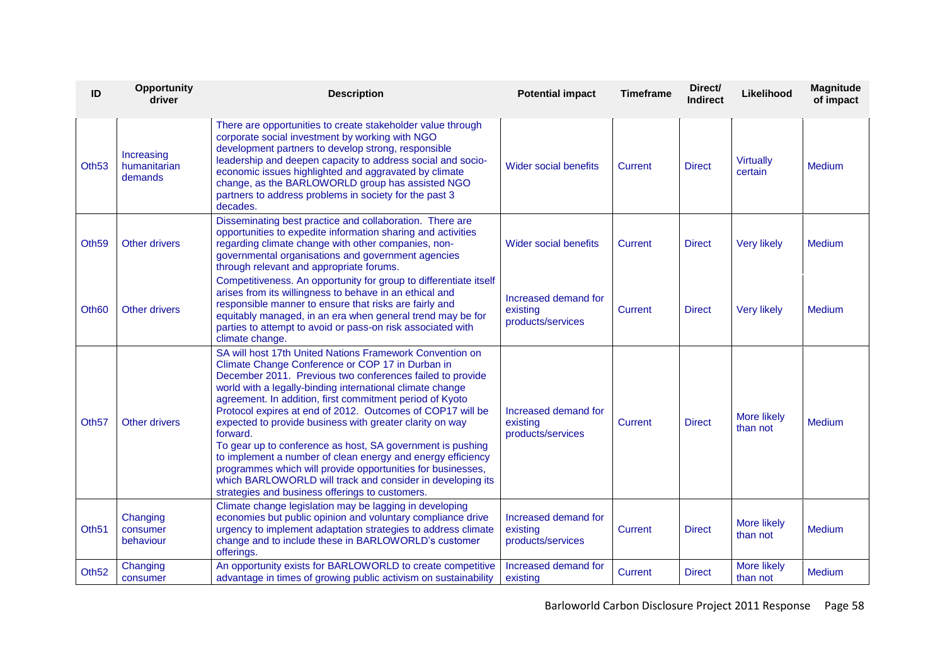| ID                | <b>Opportunity</b><br>driver          | <b>Description</b>                                                                                                                                                                                                                                                                                                                                                                                                                                                                                                                                                                                                                                                                                                                                    | <b>Potential impact</b>                               | <b>Timeframe</b> | Direct/<br><b>Indirect</b> | Likelihood                  | <b>Magnitude</b><br>of impact |
|-------------------|---------------------------------------|-------------------------------------------------------------------------------------------------------------------------------------------------------------------------------------------------------------------------------------------------------------------------------------------------------------------------------------------------------------------------------------------------------------------------------------------------------------------------------------------------------------------------------------------------------------------------------------------------------------------------------------------------------------------------------------------------------------------------------------------------------|-------------------------------------------------------|------------------|----------------------------|-----------------------------|-------------------------------|
| Oth <sub>53</sub> | Increasing<br>humanitarian<br>demands | There are opportunities to create stakeholder value through<br>corporate social investment by working with NGO<br>development partners to develop strong, responsible<br>leadership and deepen capacity to address social and socio-<br>economic issues highlighted and aggravated by climate<br>change, as the BARLOWORLD group has assisted NGO<br>partners to address problems in society for the past 3<br>decades.                                                                                                                                                                                                                                                                                                                               | <b>Wider social benefits</b>                          | <b>Current</b>   | <b>Direct</b>              | <b>Virtually</b><br>certain | <b>Medium</b>                 |
| Oth <sub>59</sub> | Other drivers                         | Disseminating best practice and collaboration. There are<br>opportunities to expedite information sharing and activities<br>regarding climate change with other companies, non-<br>governmental organisations and government agencies<br>through relevant and appropriate forums.                                                                                                                                                                                                                                                                                                                                                                                                                                                                     | Wider social benefits                                 | Current          | <b>Direct</b>              | <b>Very likely</b>          | <b>Medium</b>                 |
| Oth <sub>60</sub> | <b>Other drivers</b>                  | Competitiveness. An opportunity for group to differentiate itself<br>arises from its willingness to behave in an ethical and<br>responsible manner to ensure that risks are fairly and<br>equitably managed, in an era when general trend may be for<br>parties to attempt to avoid or pass-on risk associated with<br>climate change.                                                                                                                                                                                                                                                                                                                                                                                                                | Increased demand for<br>existing<br>products/services | <b>Current</b>   | <b>Direct</b>              | <b>Very likely</b>          | <b>Medium</b>                 |
| Oth <sub>57</sub> | <b>Other drivers</b>                  | SA will host 17th United Nations Framework Convention on<br>Climate Change Conference or COP 17 in Durban in<br>December 2011. Previous two conferences failed to provide<br>world with a legally-binding international climate change<br>agreement. In addition, first commitment period of Kyoto<br>Protocol expires at end of 2012. Outcomes of COP17 will be<br>expected to provide business with greater clarity on way<br>forward.<br>To gear up to conference as host, SA government is pushing<br>to implement a number of clean energy and energy efficiency<br>programmes which will provide opportunities for businesses,<br>which BARLOWORLD will track and consider in developing its<br>strategies and business offerings to customers. | Increased demand for<br>existing<br>products/services | Current          | <b>Direct</b>              | More likely<br>than not     | Medium                        |
| Oth <sub>51</sub> | Changing<br>consumer<br>behaviour     | Climate change legislation may be lagging in developing<br>economies but public opinion and voluntary compliance drive<br>urgency to implement adaptation strategies to address climate<br>change and to include these in BARLOWORLD's customer<br>offerings.                                                                                                                                                                                                                                                                                                                                                                                                                                                                                         | Increased demand for<br>existing<br>products/services | <b>Current</b>   | <b>Direct</b>              | More likely<br>than not     | <b>Medium</b>                 |
| Oth <sub>52</sub> | Changing<br>consumer                  | An opportunity exists for BARLOWORLD to create competitive<br>advantage in times of growing public activism on sustainability                                                                                                                                                                                                                                                                                                                                                                                                                                                                                                                                                                                                                         | Increased demand for<br>existing                      | Current          | <b>Direct</b>              | More likely<br>than not     | <b>Medium</b>                 |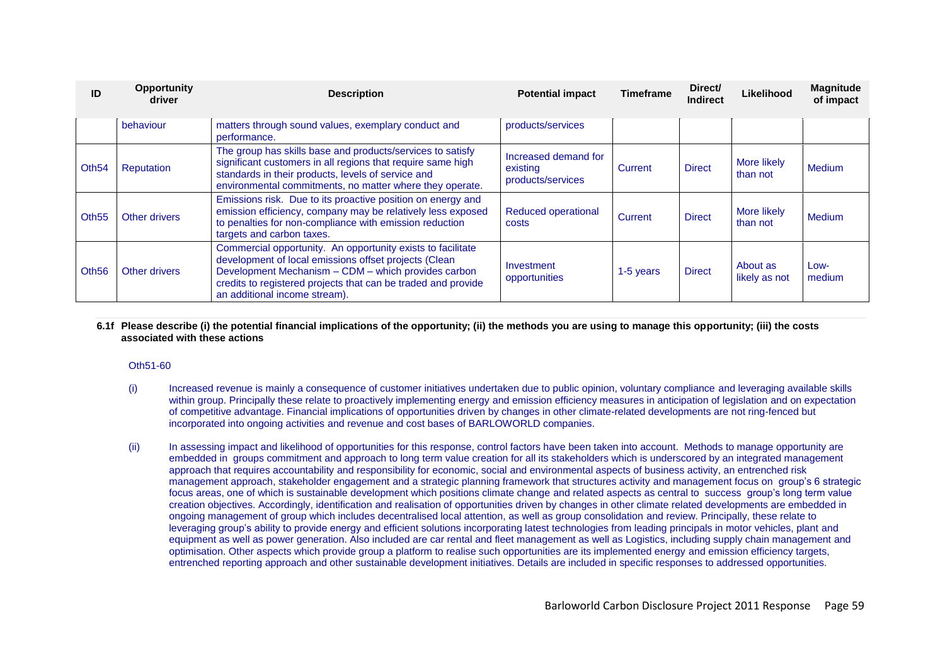| ID                | <b>Opportunity</b><br><b>Description</b><br>driver |                                                                                                                                                                                                                                                                               | <b>Potential impact</b>                               | <b>Timeframe</b> | Direct/<br><b>Indirect</b> | Likelihood                | Magnitude<br>of impact |
|-------------------|----------------------------------------------------|-------------------------------------------------------------------------------------------------------------------------------------------------------------------------------------------------------------------------------------------------------------------------------|-------------------------------------------------------|------------------|----------------------------|---------------------------|------------------------|
|                   | behaviour                                          | matters through sound values, exemplary conduct and<br>performance.                                                                                                                                                                                                           | products/services                                     |                  |                            |                           |                        |
| Oth <sub>54</sub> | Reputation                                         | The group has skills base and products/services to satisfy<br>significant customers in all regions that require same high<br>standards in their products, levels of service and<br>environmental commitments, no matter where they operate.                                   | Increased demand for<br>existing<br>products/services | Current          | <b>Direct</b>              | More likely<br>than not   | <b>Medium</b>          |
| Oth <sub>55</sub> | Other drivers                                      | Emissions risk. Due to its proactive position on energy and<br>emission efficiency, company may be relatively less exposed<br>to penalties for non-compliance with emission reduction<br>targets and carbon taxes.                                                            | <b>Reduced operational</b><br>costs                   | Current          | <b>Direct</b>              | More likely<br>than not   | <b>Medium</b>          |
| Oth <sub>56</sub> | Other drivers                                      | Commercial opportunity. An opportunity exists to facilitate<br>development of local emissions offset projects (Clean<br>Development Mechanism - CDM - which provides carbon<br>credits to registered projects that can be traded and provide<br>an additional income stream). | Investment<br>opportunities                           | 1-5 years        | <b>Direct</b>              | About as<br>likely as not | Low-<br>medium         |

#### **6.1f Please describe (i) the potential financial implications of the opportunity; (ii) the methods you are using to manage this opportunity; (iii) the costs associated with these actions**

#### Oth51-60

- (i) Increased revenue is mainly a consequence of customer initiatives undertaken due to public opinion, voluntary compliance and leveraging available skills within group. Principally these relate to proactively implementing energy and emission efficiency measures in anticipation of legislation and on expectation of competitive advantage. Financial implications of opportunities driven by changes in other climate-related developments are not ring-fenced but incorporated into ongoing activities and revenue and cost bases of BARLOWORLD companies.
- (ii) In assessing impact and likelihood of opportunities for this response, control factors have been taken into account. Methods to manage opportunity are embedded in groups commitment and approach to long term value creation for all its stakeholders which is underscored by an integrated management approach that requires accountability and responsibility for economic, social and environmental aspects of business activity, an entrenched risk management approach, stakeholder engagement and a strategic planning framework that structures activity and management focus on group"s 6 strategic focus areas, one of which is sustainable development which positions climate change and related aspects as central to success group"s long term value creation objectives. Accordingly, identification and realisation of opportunities driven by changes in other climate related developments are embedded in ongoing management of group which includes decentralised local attention, as well as group consolidation and review. Principally, these relate to leveraging group"s ability to provide energy and efficient solutions incorporating latest technologies from leading principals in motor vehicles, plant and equipment as well as power generation. Also included are car rental and fleet management as well as Logistics, including supply chain management and optimisation. Other aspects which provide group a platform to realise such opportunities are its implemented energy and emission efficiency targets, entrenched reporting approach and other sustainable development initiatives. Details are included in specific responses to addressed opportunities.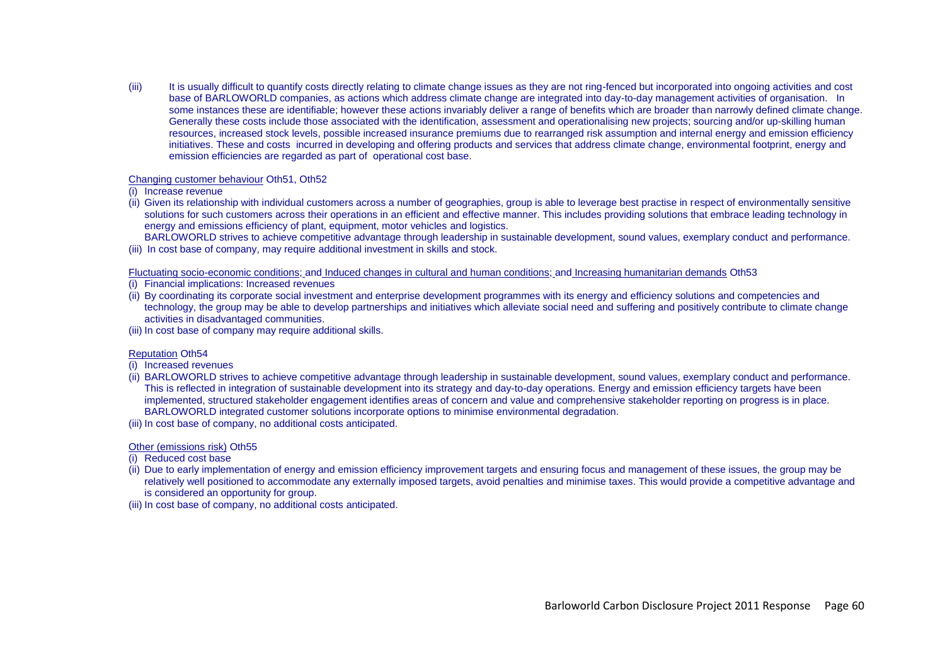(iii) It is usually difficult to quantify costs directly relating to climate change issues as they are not ring-fenced but incorporated into ongoing activities and cost base of BARLOWORLD companies, as actions which address climate change are integrated into day-to-day management activities of organisation. In some instances these are identifiable; however these actions invariably deliver a range of benefits which are broader than narrowly defined climate change. Generally these costs include those associated with the identification, assessment and operationalising new projects; sourcing and/or up-skilling human resources, increased stock levels, possible increased insurance premiums due to rearranged risk assumption and internal energy and emission efficiency initiatives. These and costs incurred in developing and offering products and services that address climate change, environmental footprint, energy and emission efficiencies are regarded as part of operational cost base.

#### Changing customer behaviour Oth51, Oth52

#### (i) Increase revenue

(ii) Given its relationship with individual customers across a number of geographies, group is able to leverage best practise in respect of environmentally sensitive solutions for such customers across their operations in an efficient and effective manner. This includes providing solutions that embrace leading technology in energy and emissions efficiency of plant, equipment, motor vehicles and logistics.

BARLOWORLD strives to achieve competitive advantage through leadership in sustainable development, sound values, exemplary conduct and performance. (iii) In cost base of company, may require additional investment in skills and stock.

#### Fluctuating socio-economic conditions; and Induced changes in cultural and human conditions; and Increasing humanitarian demands Oth53

- (i) Financial implications: Increased revenues
- (ii) By coordinating its corporate social investment and enterprise development programmes with its energy and efficiency solutions and competencies and technology, the group may be able to develop partnerships and initiatives which alleviate social need and suffering and positively contribute to climate change activities in disadvantaged communities.
- (iii) In cost base of company may require additional skills.

#### Reputation Oth54

- (i) Increased revenues
- (ii) BARLOWORLD strives to achieve competitive advantage through leadership in sustainable development, sound values, exemplary conduct and performance. This is reflected in integration of sustainable development into its strategy and day-to-day operations. Energy and emission efficiency targets have been implemented, structured stakeholder engagement identifies areas of concern and value and comprehensive stakeholder reporting on progress is in place. BARLOWORLD integrated customer solutions incorporate options to minimise environmental degradation.
- (iii) In cost base of company, no additional costs anticipated.

## Other (emissions risk) Oth55

- (i) Reduced cost base
- (ii) Due to early implementation of energy and emission efficiency improvement targets and ensuring focus and management of these issues, the group may be relatively well positioned to accommodate any externally imposed targets, avoid penalties and minimise taxes. This would provide a competitive advantage and is considered an opportunity for group.
- (iii) In cost base of company, no additional costs anticipated.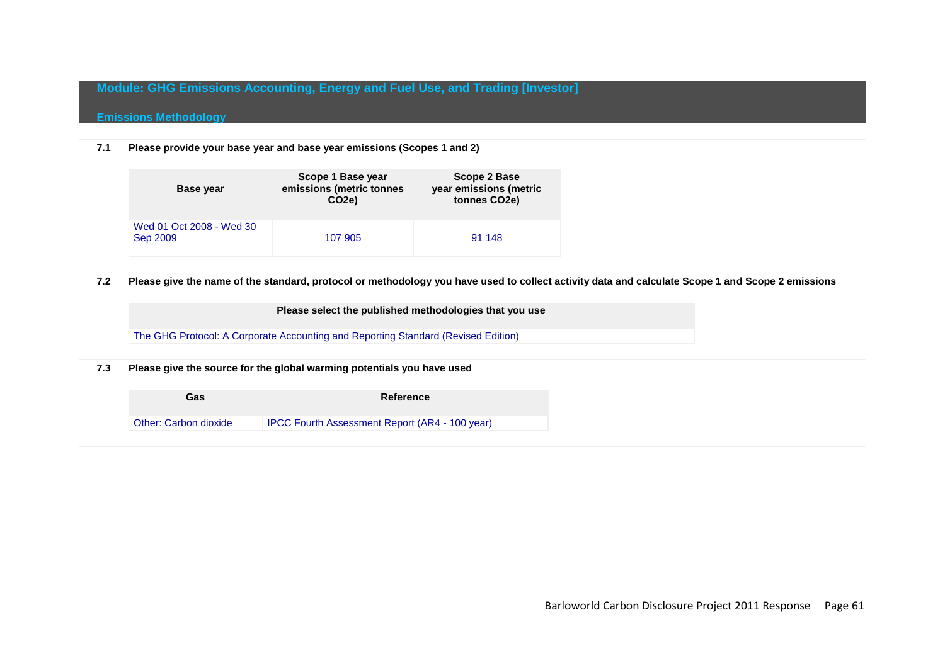# **Module: GHG Emissions Accounting, Energy and Fuel Use, and Trading [Investor]**

# **Emissions Methodology**

**7.1 Please provide your base year and base year emissions (Scopes 1 and 2)**

| <b>Base year</b>                     | Scope 1 Base year<br>emissions (metric tonnes<br>CO <sub>2e</sub> ) | <b>Scope 2 Base</b><br>year emissions (metric<br>tonnes CO <sub>2</sub> e) |
|--------------------------------------|---------------------------------------------------------------------|----------------------------------------------------------------------------|
| Wed 01 Oct 2008 - Wed 30<br>Sep 2009 | 107 905                                                             | 91 148                                                                     |

## **7.2 Please give the name of the standard, protocol or methodology you have used to collect activity data and calculate Scope 1 and Scope 2 emissions**

**Please select the published methodologies that you use**

The GHG Protocol: A Corporate Accounting and Reporting Standard (Revised Edition)

**7.3 Please give the source for the global warming potentials you have used**

| Gas                   | Reference                                      |
|-----------------------|------------------------------------------------|
| Other: Carbon dioxide | IPCC Fourth Assessment Report (AR4 - 100 year) |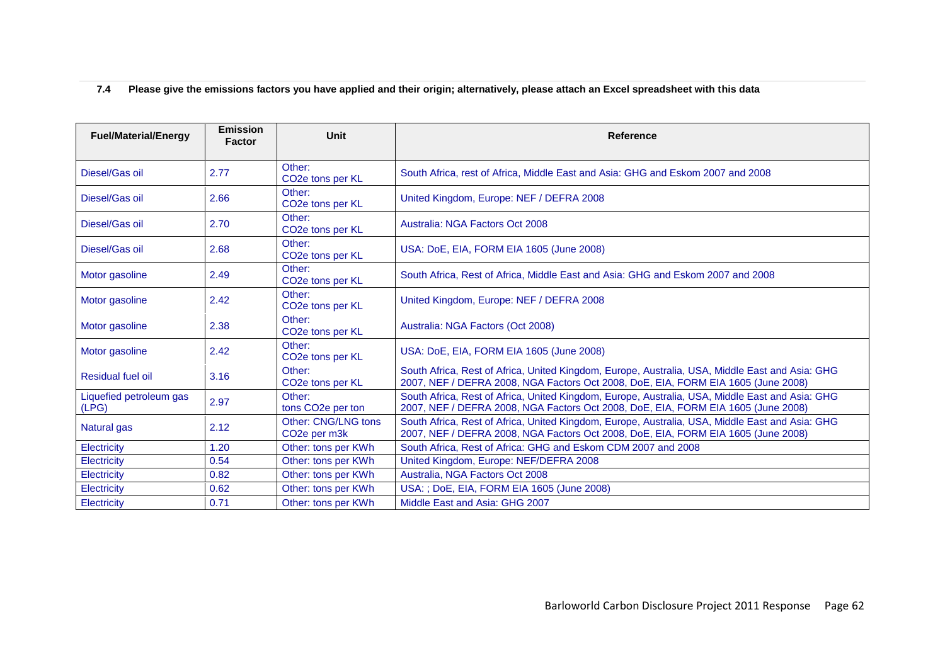# **7.4 Please give the emissions factors you have applied and their origin; alternatively, please attach an Excel spreadsheet with this data**

| <b>Fuel/Material/Energy</b>      | <b>Emission</b><br><b>Factor</b> | Unit                                                          | <b>Reference</b>                                                                                                                                                                     |
|----------------------------------|----------------------------------|---------------------------------------------------------------|--------------------------------------------------------------------------------------------------------------------------------------------------------------------------------------|
| Diesel/Gas oil                   | 2.77                             | Other:<br>CO <sub>2</sub> e tons per KL                       | South Africa, rest of Africa, Middle East and Asia: GHG and Eskom 2007 and 2008                                                                                                      |
| Diesel/Gas oil                   | 2.66                             | Other:<br>CO <sub>2</sub> e tons per KL                       | United Kingdom, Europe: NEF / DEFRA 2008                                                                                                                                             |
| Diesel/Gas oil                   | 2.70                             | Other:<br>CO <sub>2</sub> e tons per KL                       | Australia: NGA Factors Oct 2008                                                                                                                                                      |
| Diesel/Gas oil                   | 2.68                             | Other:<br>CO <sub>2</sub> e tons per KL                       | USA: DoE, EIA, FORM EIA 1605 (June 2008)                                                                                                                                             |
| Motor gasoline                   | 2.49                             | Other:<br>CO <sub>2</sub> e tons per KL                       | South Africa, Rest of Africa, Middle East and Asia: GHG and Eskom 2007 and 2008                                                                                                      |
| Motor gasoline                   | 2.42                             | Other:<br>CO <sub>2</sub> e tons per KL                       | United Kingdom, Europe: NEF / DEFRA 2008                                                                                                                                             |
| Motor gasoline                   | 2.38                             | Other:<br>CO <sub>2</sub> e tons per KL                       | Australia: NGA Factors (Oct 2008)                                                                                                                                                    |
| Motor gasoline                   | 2.42                             | Other:<br>CO <sub>2</sub> e tons per KL                       | USA: DoE, EIA, FORM EIA 1605 (June 2008)                                                                                                                                             |
| Residual fuel oil                | 3.16                             | Other:<br>CO <sub>2</sub> e tons per KL                       | South Africa, Rest of Africa, United Kingdom, Europe, Australia, USA, Middle East and Asia: GHG<br>2007, NEF / DEFRA 2008, NGA Factors Oct 2008, DoE, EIA, FORM EIA 1605 (June 2008) |
| Liquefied petroleum gas<br>(LPG) | 2.97                             | Other:<br>tons CO <sub>2</sub> e per ton                      | South Africa, Rest of Africa, United Kingdom, Europe, Australia, USA, Middle East and Asia: GHG<br>2007, NEF / DEFRA 2008, NGA Factors Oct 2008, DoE, EIA, FORM EIA 1605 (June 2008) |
| Natural gas                      | 2.12                             | Other: CNG/LNG tons<br>CO <sub>2</sub> e per m <sub>3</sub> k | South Africa, Rest of Africa, United Kingdom, Europe, Australia, USA, Middle East and Asia: GHG<br>2007, NEF / DEFRA 2008, NGA Factors Oct 2008, DoE, EIA, FORM EIA 1605 (June 2008) |
| <b>Electricity</b>               | 1.20                             | Other: tons per KWh                                           | South Africa, Rest of Africa: GHG and Eskom CDM 2007 and 2008                                                                                                                        |
| <b>Electricity</b>               | 0.54                             | Other: tons per KWh                                           | United Kingdom, Europe: NEF/DEFRA 2008                                                                                                                                               |
| Electricity                      | 0.82                             | Other: tons per KWh                                           | Australia, NGA Factors Oct 2008                                                                                                                                                      |
| Electricity                      | 0.62                             | Other: tons per KWh                                           | USA: ; DoE, EIA, FORM EIA 1605 (June 2008)                                                                                                                                           |
| Electricity                      | 0.71                             | Other: tons per KWh                                           | Middle East and Asia: GHG 2007                                                                                                                                                       |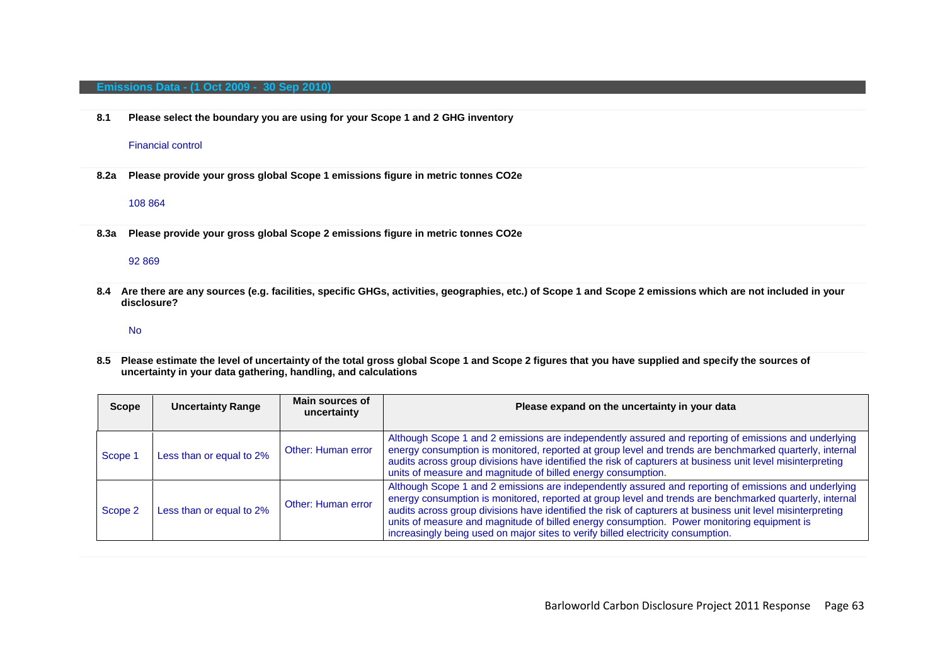#### **Emissions Data - (1 Oct 2009 - 30 Sep 2010)**

**8.1 Please select the boundary you are using for your Scope 1 and 2 GHG inventory**

#### Financial control

**8.2a Please provide your gross global Scope 1 emissions figure in metric tonnes CO2e**

#### 108 864

**8.3a Please provide your gross global Scope 2 emissions figure in metric tonnes CO2e**

#### 92 869

**8.4 Are there are any sources (e.g. facilities, specific GHGs, activities, geographies, etc.) of Scope 1 and Scope 2 emissions which are not included in your disclosure?**

#### No

**8.5 Please estimate the level of uncertainty of the total gross global Scope 1 and Scope 2 figures that you have supplied and specify the sources of uncertainty in your data gathering, handling, and calculations**

| <b>Scope</b> | <b>Uncertainty Range</b> | Main sources of<br>uncertainty | Please expand on the uncertainty in your data                                                                                                                                                                                                                                                                                                                                                                                                                                                                   |
|--------------|--------------------------|--------------------------------|-----------------------------------------------------------------------------------------------------------------------------------------------------------------------------------------------------------------------------------------------------------------------------------------------------------------------------------------------------------------------------------------------------------------------------------------------------------------------------------------------------------------|
| Scope 1      | Less than or equal to 2% | Other: Human error             | Although Scope 1 and 2 emissions are independently assured and reporting of emissions and underlying<br>energy consumption is monitored, reported at group level and trends are benchmarked quarterly, internal<br>audits across group divisions have identified the risk of capturers at business unit level misinterpreting<br>units of measure and magnitude of billed energy consumption.                                                                                                                   |
| Scope 2      | Less than or equal to 2% | Other: Human error             | Although Scope 1 and 2 emissions are independently assured and reporting of emissions and underlying<br>energy consumption is monitored, reported at group level and trends are benchmarked quarterly, internal<br>audits across group divisions have identified the risk of capturers at business unit level misinterpreting<br>units of measure and magnitude of billed energy consumption. Power monitoring equipment is<br>increasingly being used on major sites to verify billed electricity consumption. |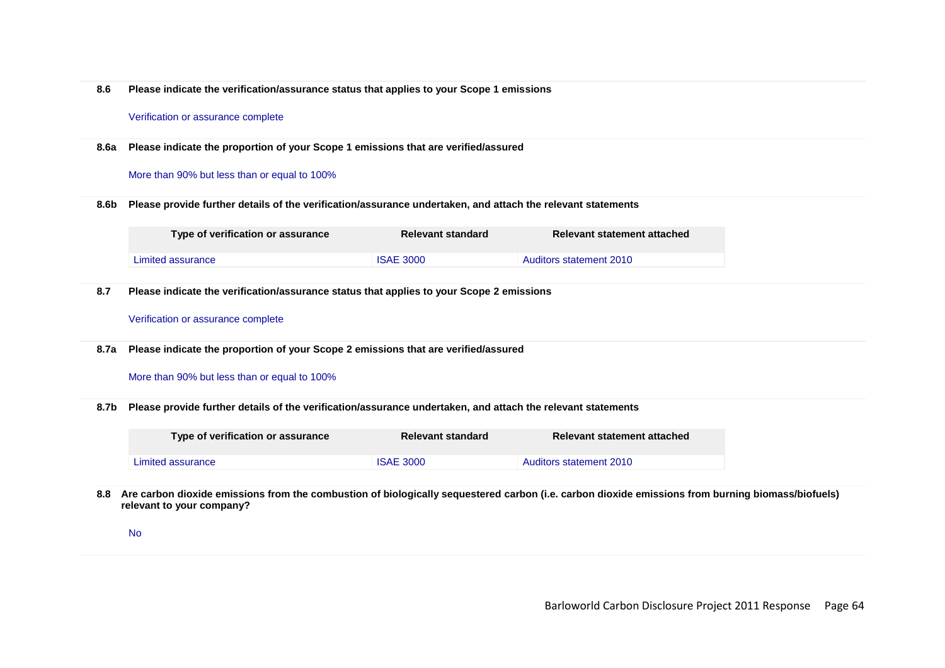**8.6 Please indicate the verification/assurance status that applies to your Scope 1 emissions**

#### Verification or assurance complete

**8.6a Please indicate the proportion of your Scope 1 emissions that are verified/assured**

### More than 90% but less than or equal to 100%

**8.6b Please provide further details of the verification/assurance undertaken, and attach the relevant statements**

| Type of verification or assurance | <b>Relevant standard</b> | Relevant statement attached |
|-----------------------------------|--------------------------|-----------------------------|
| Limited assurance                 | <b>ISAE 3000</b>         | Auditors statement 2010     |

**8.7 Please indicate the verification/assurance status that applies to your Scope 2 emissions**

### Verification or assurance complete

**8.7a Please indicate the proportion of your Scope 2 emissions that are verified/assured**

### More than 90% but less than or equal to 100%

**8.7b Please provide further details of the verification/assurance undertaken, and attach the relevant statements**

| Type of verification or assurance | Relevant standard | Relevant statement attached |
|-----------------------------------|-------------------|-----------------------------|
| Limited assurance                 | <b>ISAE 3000</b>  | Auditors statement 2010     |

**8.8 Are carbon dioxide emissions from the combustion of biologically sequestered carbon (i.e. carbon dioxide emissions from burning biomass/biofuels) relevant to your company?**

No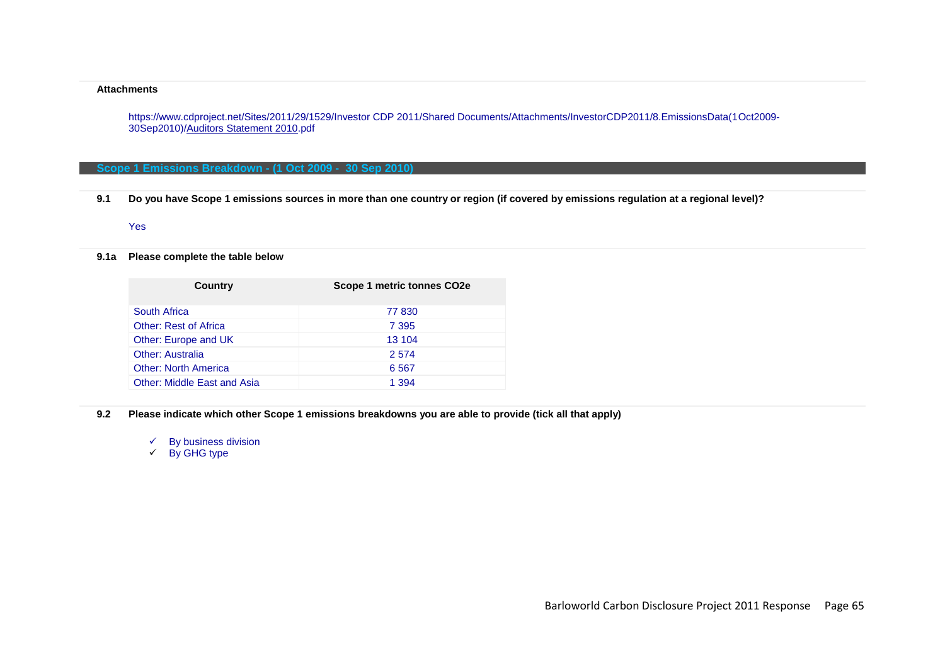#### **Attachments**

https://www.cdproject.net/Sites/2011/29/1529/Investor CDP 2011/Shared Documents/Attachments/InvestorCDP2011/8.EmissionsData(1Oct2009- 30Sep2010)/Auditors Statement 2010.pdf

## **Scope 1 Emissions Breakdown - (1 Oct 2009 - 30 Sep 2010)**

**9.1 Do you have Scope 1 emissions sources in more than one country or region (if covered by emissions regulation at a regional level)?**

## Yes

## **9.1a Please complete the table below**

| Scope 1 metric tonnes CO2e |
|----------------------------|
| 77 830                     |
| 7 3 9 5                    |
| 13 104                     |
| 2 5 7 4                    |
| 6 5 6 7                    |
| 1 3 9 4                    |
|                            |

**9.2 Please indicate which other Scope 1 emissions breakdowns you are able to provide (tick all that apply)**

 $\checkmark$  By business division

 $\checkmark$  By GHG type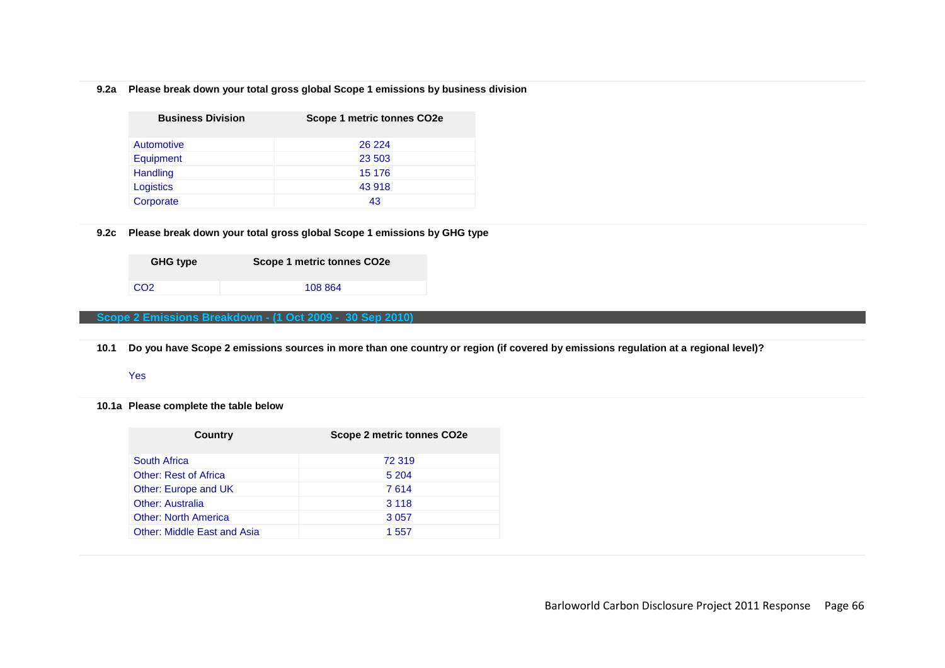# **9.2a Please break down your total gross global Scope 1 emissions by business division**

| <b>Business Division</b> | Scope 1 metric tonnes CO2e |
|--------------------------|----------------------------|
| Automotive               | 26 224                     |
| Equipment                | 23 503                     |
| Handling                 | 15 176                     |
| Logistics                | 43 918                     |
| Corporate                | 43                         |

## **9.2c Please break down your total gross global Scope 1 emissions by GHG type**

| <b>GHG type</b> | Scope 1 metric tonnes CO <sub>2</sub> e |
|-----------------|-----------------------------------------|
| CO <sub>2</sub> | 108 864                                 |

## **Scope 2 Emissions Breakdown - (1 Oct 2009 - 30 Sep 2010)**

**10.1 Do you have Scope 2 emissions sources in more than one country or region (if covered by emissions regulation at a regional level)?**

### Yes

**10.1a Please complete the table below**

| South Africa<br>72 319                      |  |
|---------------------------------------------|--|
| <b>Other: Rest of Africa</b><br>5 204       |  |
| Other: Europe and UK<br>7 614               |  |
| <b>Other: Australia</b><br>3 1 1 8          |  |
| <b>Other: North America</b><br>3 0 5 7      |  |
| <b>Other: Middle East and Asia</b><br>1 557 |  |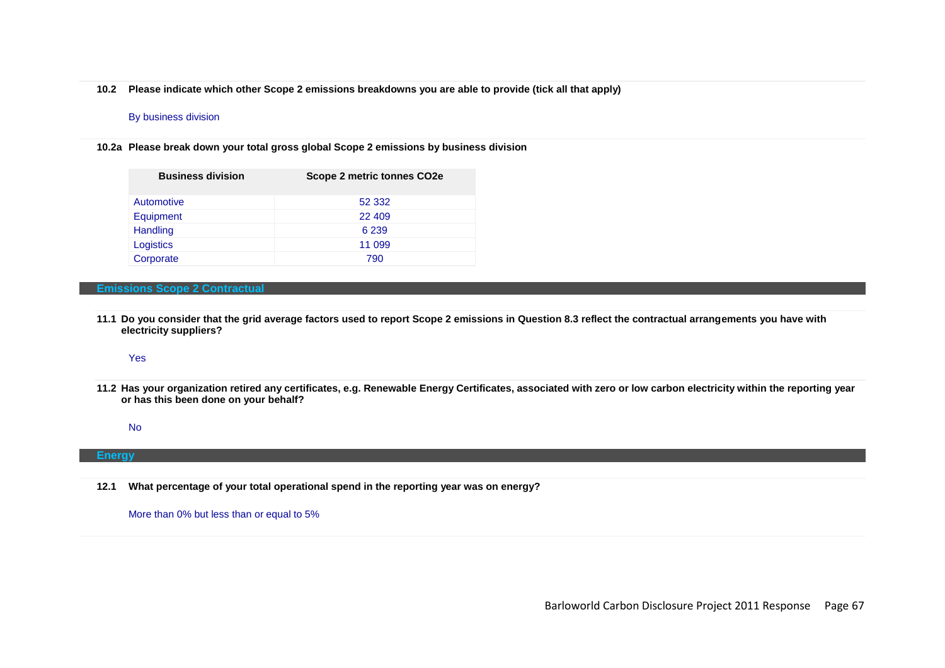**10.2 Please indicate which other Scope 2 emissions breakdowns you are able to provide (tick all that apply)**

### By business division

**10.2a Please break down your total gross global Scope 2 emissions by business division**

| <b>Business division</b> | Scope 2 metric tonnes CO2e |
|--------------------------|----------------------------|
| Automotive               | 52 332                     |
| Equipment                | 22 409                     |
| Handling                 | 6 2 3 9                    |
| Logistics                | 11 099                     |
| Corporate                | 790                        |

## **Emissions Scope 2 Contractual**

**11.1 Do you consider that the grid average factors used to report Scope 2 emissions in Question 8.3 reflect the contractual arrangements you have with electricity suppliers?**

Yes

**11.2 Has your organization retired any certificates, e.g. Renewable Energy Certificates, associated with zero or low carbon electricity within the reporting year or has this been done on your behalf?** 

No

#### **Energy**

**12.1 What percentage of your total operational spend in the reporting year was on energy?**

More than 0% but less than or equal to 5%

Barloworld Carbon Disclosure Project 2011 Response Page 67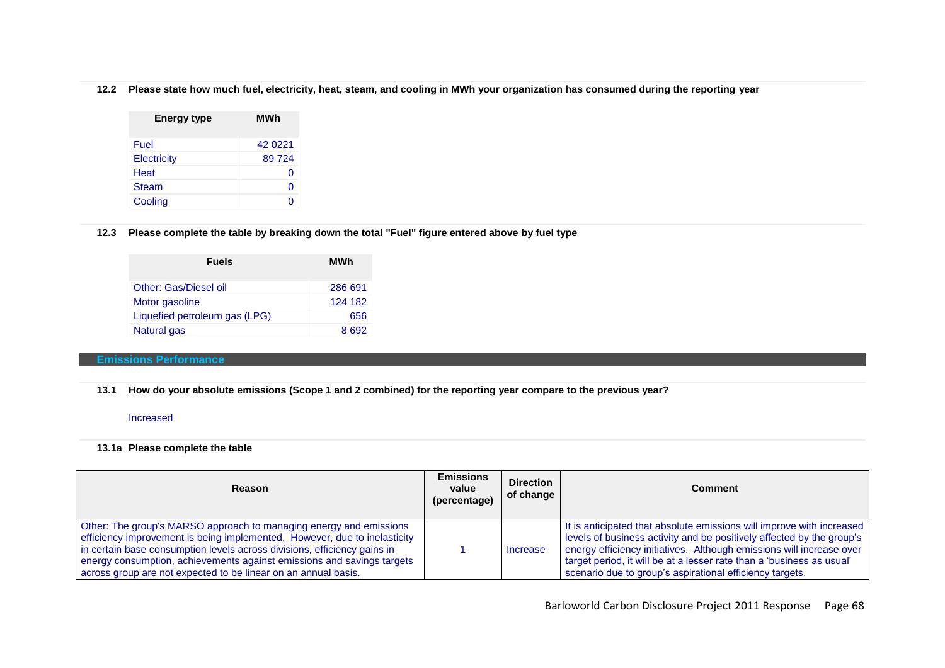**12.2 Please state how much fuel, electricity, heat, steam, and cooling in MWh your organization has consumed during the reporting year**

| <b>Energy type</b> | MWh     |
|--------------------|---------|
| Fuel               | 42 0221 |
| Electricity        | 89724   |
| Heat               | O       |
| <b>Steam</b>       | O       |
| Cooling            | ∩       |

## **12.3 Please complete the table by breaking down the total "Fuel" figure entered above by fuel type**

| <b>Fuels</b>                  | <b>MWh</b> |
|-------------------------------|------------|
| Other: Gas/Diesel oil         | 286 691    |
| Motor gasoline                | 124 182    |
| Liquefied petroleum gas (LPG) | 656        |
| Natural gas                   | 8692       |

## **Emissions Performance**

**13.1 How do your absolute emissions (Scope 1 and 2 combined) for the reporting year compare to the previous year?**

## Increased

## **13.1a Please complete the table**

| <b>Reason</b>                                                                                                                                                                                                                                                                                                                                                           | <b>Emissions</b><br>value<br>(percentage) | <b>Direction</b><br>of change | <b>Comment</b>                                                                                                                                                                                                                                                                                                                                              |
|-------------------------------------------------------------------------------------------------------------------------------------------------------------------------------------------------------------------------------------------------------------------------------------------------------------------------------------------------------------------------|-------------------------------------------|-------------------------------|-------------------------------------------------------------------------------------------------------------------------------------------------------------------------------------------------------------------------------------------------------------------------------------------------------------------------------------------------------------|
| Other: The group's MARSO approach to managing energy and emissions<br>efficiency improvement is being implemented. However, due to inelasticity<br>in certain base consumption levels across divisions, efficiency gains in<br>energy consumption, achievements against emissions and savings targets<br>across group are not expected to be linear on an annual basis. |                                           | Increase                      | It is anticipated that absolute emissions will improve with increased<br>levels of business activity and be positively affected by the group's<br>energy efficiency initiatives. Although emissions will increase over<br>target period, it will be at a lesser rate than a 'business as usual'<br>scenario due to group's aspirational efficiency targets. |

Barloworld Carbon Disclosure Project 2011 Response Page 68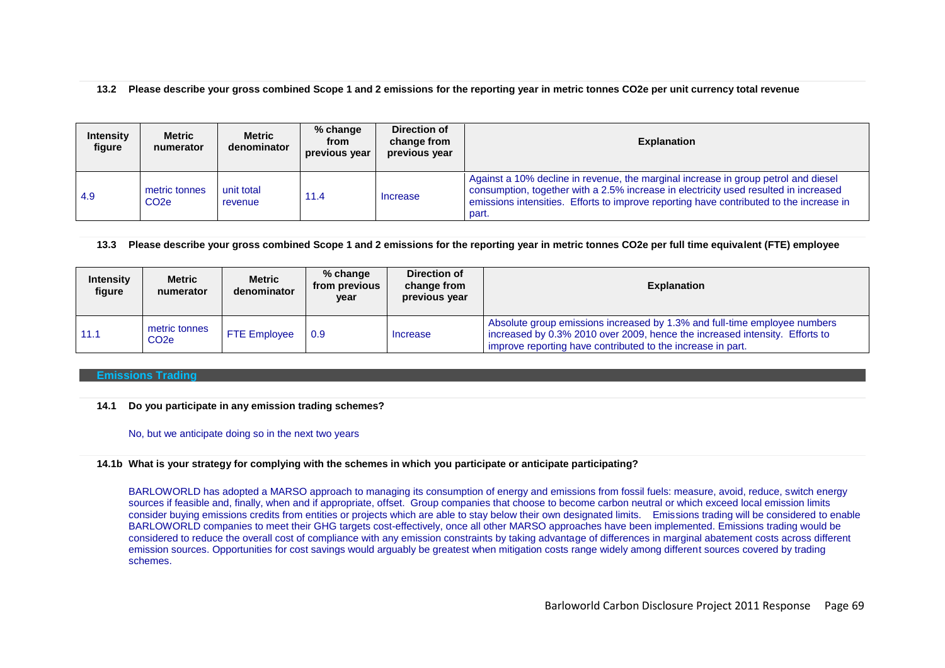## **13.2 Please describe your gross combined Scope 1 and 2 emissions for the reporting year in metric tonnes CO2e per unit currency total revenue**

| <b>Intensity</b><br>figure | Metric<br>numerator                | Metric<br>denominator | $%$ change<br>from<br>previous year | Direction of<br>change from<br>previous year | <b>Explanation</b>                                                                                                                                                                                                                                                             |
|----------------------------|------------------------------------|-----------------------|-------------------------------------|----------------------------------------------|--------------------------------------------------------------------------------------------------------------------------------------------------------------------------------------------------------------------------------------------------------------------------------|
| 4.9                        | metric tonnes<br>CO <sub>2</sub> e | unit total<br>revenue | 11.4                                | Increase                                     | Against a 10% decline in revenue, the marginal increase in group petrol and diesel<br>consumption, together with a 2.5% increase in electricity used resulted in increased<br>emissions intensities. Efforts to improve reporting have contributed to the increase in<br>part. |

## **13.3 Please describe your gross combined Scope 1 and 2 emissions for the reporting year in metric tonnes CO2e per full time equivalent (FTE) employee**

| <b>Intensity</b><br>figure | <b>Metric</b><br>numerator         | <b>Metric</b><br>denominator | % change<br>from previous<br>year | Direction of<br>change from<br>previous year | <b>Explanation</b>                                                                                                                                                                                                        |
|----------------------------|------------------------------------|------------------------------|-----------------------------------|----------------------------------------------|---------------------------------------------------------------------------------------------------------------------------------------------------------------------------------------------------------------------------|
| 11.1                       | metric tonnes<br>CO <sub>2</sub> e | <b>FTE Employee</b>          | 0.9                               | Increase                                     | Absolute group emissions increased by 1.3% and full-time employee numbers<br>increased by 0.3% 2010 over 2009, hence the increased intensity. Efforts to<br>I improve reporting have contributed to the increase in part. |

## **Emissions Trading**

## **14.1 Do you participate in any emission trading schemes?**

## No, but we anticipate doing so in the next two years

## **14.1b What is your strategy for complying with the schemes in which you participate or anticipate participating?**

BARLOWORLD has adopted a MARSO approach to managing its consumption of energy and emissions from fossil fuels: measure, avoid, reduce, switch energy sources if feasible and, finally, when and if appropriate, offset. Group companies that choose to become carbon neutral or which exceed local emission limits consider buying emissions credits from entities or projects which are able to stay below their own designated limits. Emissions trading will be considered to enable BARLOWORLD companies to meet their GHG targets cost-effectively, once all other MARSO approaches have been implemented. Emissions trading would be considered to reduce the overall cost of compliance with any emission constraints by taking advantage of differences in marginal abatement costs across different emission sources. Opportunities for cost savings would arguably be greatest when mitigation costs range widely among different sources covered by trading schemes.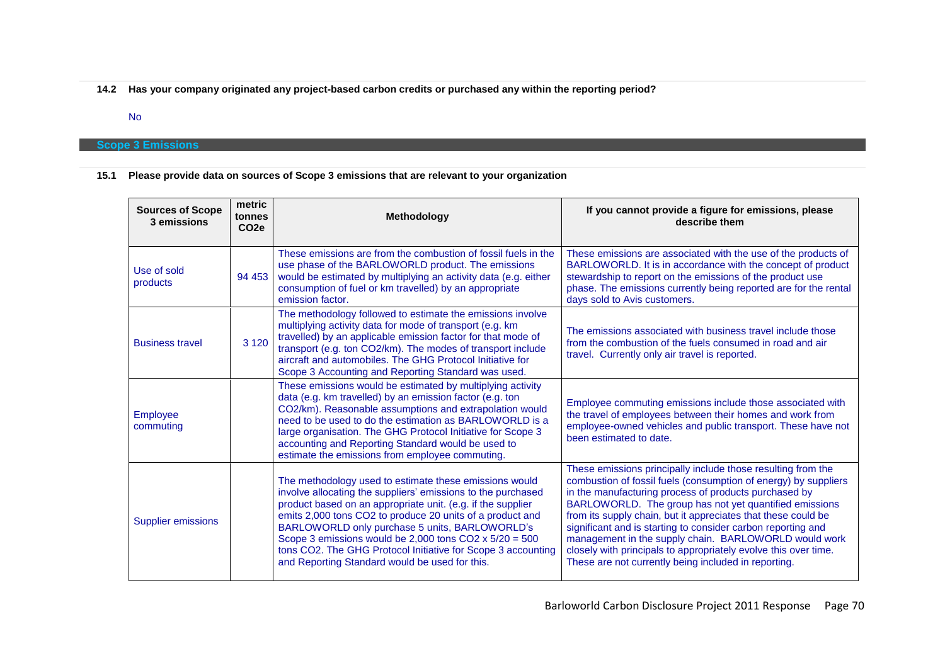**14.2 Has your company originated any project-based carbon credits or purchased any within the reporting period?**

## No

## **Scope 3 Emissions**

# **15.1 Please provide data on sources of Scope 3 emissions that are relevant to your organization**

| <b>Sources of Scope</b><br>3 emissions | metric<br>tonnes<br>CO <sub>2e</sub> | <b>Methodology</b>                                                                                                                                                                                                                                                                                                                                                                                                                                                                      | If you cannot provide a figure for emissions, please<br>describe them                                                                                                                                                                                                                                                                                                                                                                                                                                                                                                   |
|----------------------------------------|--------------------------------------|-----------------------------------------------------------------------------------------------------------------------------------------------------------------------------------------------------------------------------------------------------------------------------------------------------------------------------------------------------------------------------------------------------------------------------------------------------------------------------------------|-------------------------------------------------------------------------------------------------------------------------------------------------------------------------------------------------------------------------------------------------------------------------------------------------------------------------------------------------------------------------------------------------------------------------------------------------------------------------------------------------------------------------------------------------------------------------|
| Use of sold<br>products                | 94 453                               | These emissions are from the combustion of fossil fuels in the<br>use phase of the BARLOWORLD product. The emissions<br>would be estimated by multiplying an activity data (e.g. either<br>consumption of fuel or km travelled) by an appropriate<br>emission factor.                                                                                                                                                                                                                   | These emissions are associated with the use of the products of<br>BARLOWORLD. It is in accordance with the concept of product<br>stewardship to report on the emissions of the product use<br>phase. The emissions currently being reported are for the rental<br>days sold to Avis customers.                                                                                                                                                                                                                                                                          |
| <b>Business travel</b>                 | 3 1 2 0                              | The methodology followed to estimate the emissions involve<br>multiplying activity data for mode of transport (e.g. km<br>travelled) by an applicable emission factor for that mode of<br>transport (e.g. ton CO2/km). The modes of transport include<br>aircraft and automobiles. The GHG Protocol Initiative for<br>Scope 3 Accounting and Reporting Standard was used.                                                                                                               | The emissions associated with business travel include those<br>from the combustion of the fuels consumed in road and air<br>travel. Currently only air travel is reported.                                                                                                                                                                                                                                                                                                                                                                                              |
| <b>Employee</b><br>commuting           |                                      | These emissions would be estimated by multiplying activity<br>data (e.g. km travelled) by an emission factor (e.g. ton<br>CO2/km). Reasonable assumptions and extrapolation would<br>need to be used to do the estimation as BARLOWORLD is a<br>large organisation. The GHG Protocol Initiative for Scope 3<br>accounting and Reporting Standard would be used to<br>estimate the emissions from employee commuting.                                                                    | Employee commuting emissions include those associated with<br>the travel of employees between their homes and work from<br>employee-owned vehicles and public transport. These have not<br>been estimated to date.                                                                                                                                                                                                                                                                                                                                                      |
| <b>Supplier emissions</b>              |                                      | The methodology used to estimate these emissions would<br>involve allocating the suppliers' emissions to the purchased<br>product based on an appropriate unit. (e.g. if the supplier<br>emits 2,000 tons CO2 to produce 20 units of a product and<br>BARLOWORLD only purchase 5 units, BARLOWORLD's<br>Scope 3 emissions would be 2,000 tons CO2 $\times$ 5/20 = 500<br>tons CO2. The GHG Protocol Initiative for Scope 3 accounting<br>and Reporting Standard would be used for this. | These emissions principally include those resulting from the<br>combustion of fossil fuels (consumption of energy) by suppliers<br>in the manufacturing process of products purchased by<br>BARLOWORLD. The group has not yet quantified emissions<br>from its supply chain, but it appreciates that these could be<br>significant and is starting to consider carbon reporting and<br>management in the supply chain. BARLOWORLD would work<br>closely with principals to appropriately evolve this over time.<br>These are not currently being included in reporting. |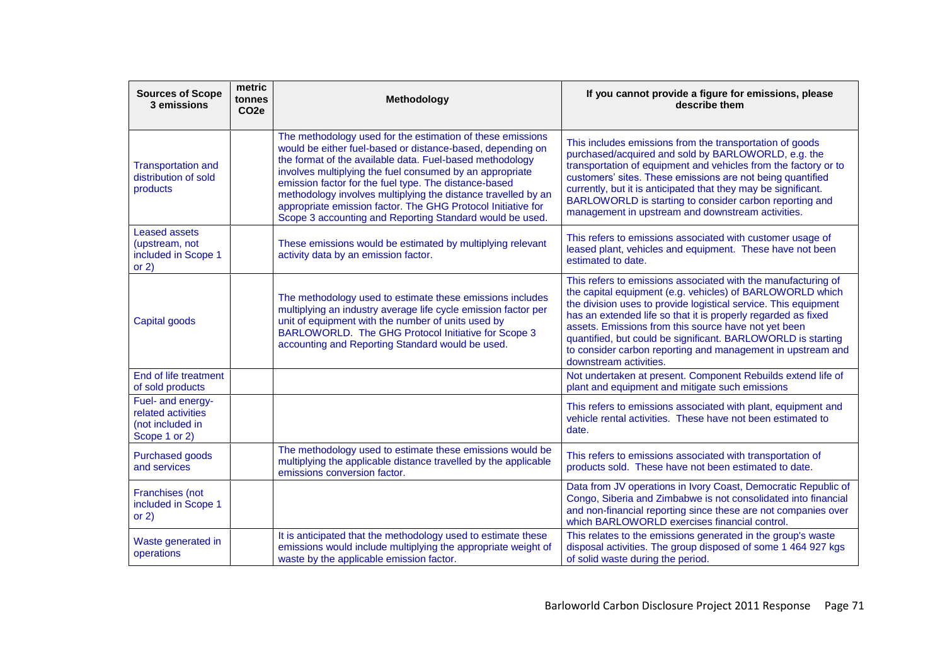| <b>Sources of Scope</b><br>3 emissions                                       | metric<br>tonnes<br>CO <sub>2e</sub> | Methodology                                                                                                                                                                                                                                                                                                                                                                                                                                                                                            | If you cannot provide a figure for emissions, please<br>describe them                                                                                                                                                                                                                                                                                                                                                                                                           |
|------------------------------------------------------------------------------|--------------------------------------|--------------------------------------------------------------------------------------------------------------------------------------------------------------------------------------------------------------------------------------------------------------------------------------------------------------------------------------------------------------------------------------------------------------------------------------------------------------------------------------------------------|---------------------------------------------------------------------------------------------------------------------------------------------------------------------------------------------------------------------------------------------------------------------------------------------------------------------------------------------------------------------------------------------------------------------------------------------------------------------------------|
| <b>Transportation and</b><br>distribution of sold<br>products                |                                      | The methodology used for the estimation of these emissions<br>would be either fuel-based or distance-based, depending on<br>the format of the available data. Fuel-based methodology<br>involves multiplying the fuel consumed by an appropriate<br>emission factor for the fuel type. The distance-based<br>methodology involves multiplying the distance travelled by an<br>appropriate emission factor. The GHG Protocol Initiative for<br>Scope 3 accounting and Reporting Standard would be used. | This includes emissions from the transportation of goods<br>purchased/acquired and sold by BARLOWORLD, e.g. the<br>transportation of equipment and vehicles from the factory or to<br>customers' sites. These emissions are not being quantified<br>currently, but it is anticipated that they may be significant.<br>BARLOWORLD is starting to consider carbon reporting and<br>management in upstream and downstream activities.                                              |
| <b>Leased assets</b><br>(upstream, not<br>included in Scope 1<br>or $2)$     |                                      | These emissions would be estimated by multiplying relevant<br>activity data by an emission factor.                                                                                                                                                                                                                                                                                                                                                                                                     | This refers to emissions associated with customer usage of<br>leased plant, vehicles and equipment. These have not been<br>estimated to date.                                                                                                                                                                                                                                                                                                                                   |
| Capital goods                                                                |                                      | The methodology used to estimate these emissions includes<br>multiplying an industry average life cycle emission factor per<br>unit of equipment with the number of units used by<br>BARLOWORLD. The GHG Protocol Initiative for Scope 3<br>accounting and Reporting Standard would be used.                                                                                                                                                                                                           | This refers to emissions associated with the manufacturing of<br>the capital equipment (e.g. vehicles) of BARLOWORLD which<br>the division uses to provide logistical service. This equipment<br>has an extended life so that it is properly regarded as fixed<br>assets. Emissions from this source have not yet been<br>quantified, but could be significant. BARLOWORLD is starting<br>to consider carbon reporting and management in upstream and<br>downstream activities. |
| End of life treatment<br>of sold products                                    |                                      |                                                                                                                                                                                                                                                                                                                                                                                                                                                                                                        | Not undertaken at present. Component Rebuilds extend life of<br>plant and equipment and mitigate such emissions                                                                                                                                                                                                                                                                                                                                                                 |
| Fuel- and energy-<br>related activities<br>(not included in<br>Scope 1 or 2) |                                      |                                                                                                                                                                                                                                                                                                                                                                                                                                                                                                        | This refers to emissions associated with plant, equipment and<br>vehicle rental activities. These have not been estimated to<br>date.                                                                                                                                                                                                                                                                                                                                           |
| Purchased goods<br>and services                                              |                                      | The methodology used to estimate these emissions would be<br>multiplying the applicable distance travelled by the applicable<br>emissions conversion factor.                                                                                                                                                                                                                                                                                                                                           | This refers to emissions associated with transportation of<br>products sold. These have not been estimated to date.                                                                                                                                                                                                                                                                                                                                                             |
| Franchises (not<br>included in Scope 1<br>or $2)$                            |                                      |                                                                                                                                                                                                                                                                                                                                                                                                                                                                                                        | Data from JV operations in Ivory Coast, Democratic Republic of<br>Congo, Siberia and Zimbabwe is not consolidated into financial<br>and non-financial reporting since these are not companies over<br>which BARLOWORLD exercises financial control.                                                                                                                                                                                                                             |
| Waste generated in<br>operations                                             |                                      | It is anticipated that the methodology used to estimate these<br>emissions would include multiplying the appropriate weight of<br>waste by the applicable emission factor.                                                                                                                                                                                                                                                                                                                             | This relates to the emissions generated in the group's waste<br>disposal activities. The group disposed of some 1 464 927 kgs<br>of solid waste during the period.                                                                                                                                                                                                                                                                                                              |